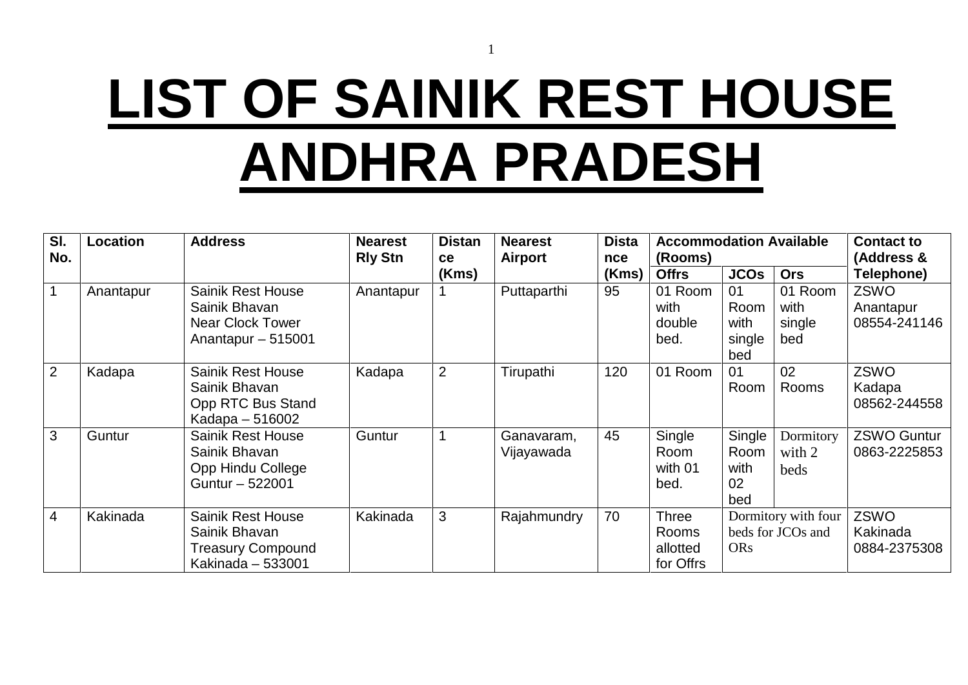# **LIST OF SAINIK REST HOUSE ANDHRA PRADESH**

1

| SI.<br>No.     | Location  | <b>Address</b>                                                                              | <b>Nearest</b><br><b>Rly Stn</b> | <b>Distan</b><br><b>ce</b> | <b>Nearest</b><br><b>Airport</b> | <b>Dista</b><br>nce | <b>Accommodation Available</b><br>(Rooms)      |                                     |                                          | <b>Contact to</b><br>(Address &          |
|----------------|-----------|---------------------------------------------------------------------------------------------|----------------------------------|----------------------------|----------------------------------|---------------------|------------------------------------------------|-------------------------------------|------------------------------------------|------------------------------------------|
|                |           |                                                                                             |                                  | (Kms)                      |                                  | (Kms)               | <b>Offrs</b>                                   | <b>JCOs</b>                         | <b>Ors</b>                               | <b>Telephone)</b>                        |
|                | Anantapur | <b>Sainik Rest House</b><br>Sainik Bhavan<br><b>Near Clock Tower</b><br>Anantapur $-515001$ | Anantapur                        |                            | Puttaparthi                      | 95                  | 01 Room<br>with<br>double<br>bed.              | 01<br>Room<br>with<br>single<br>bed | 01 Room<br>with<br>single<br>bed         | <b>ZSWO</b><br>Anantapur<br>08554-241146 |
| 2              | Kadapa    | <b>Sainik Rest House</b><br>Sainik Bhavan<br>Opp RTC Bus Stand<br>Kadapa – 516002           | Kadapa                           | $\overline{2}$             | Tirupathi                        | 120                 | 01 Room                                        | 01<br>Room                          | 02<br>Rooms                              | ZSWO<br>Kadapa<br>08562-244558           |
| 3              | Guntur    | <b>Sainik Rest House</b><br>Sainik Bhavan<br>Opp Hindu College<br>Guntur - 522001           | Guntur                           |                            | Ganavaram,<br>Vijayawada         | 45                  | Single<br>Room<br>with 01<br>bed.              | Single<br>Room<br>with<br>02<br>bed | Dormitory<br>with $2$<br>beds            | <b>ZSWO Guntur</b><br>0863-2225853       |
| $\overline{4}$ | Kakinada  | <b>Sainik Rest House</b><br>Sainik Bhavan<br><b>Treasury Compound</b><br>Kakinada - 533001  | Kakinada                         | 3                          | Rajahmundry                      | 70                  | <b>Three</b><br>Rooms<br>allotted<br>for Offrs | <b>ORs</b>                          | Dormitory with four<br>beds for JCOs and | ZSWO<br>Kakinada<br>0884-2375308         |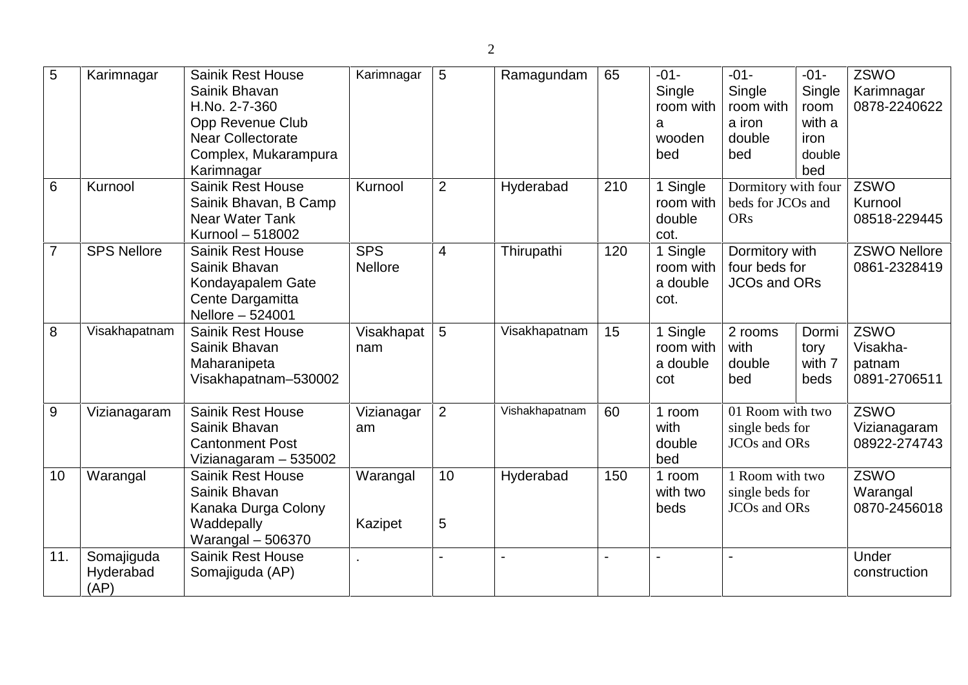| 5              | Karimnagar                      | <b>Sainik Rest House</b><br>Sainik Bhavan<br>H.No. 2-7-360<br>Opp Revenue Club<br><b>Near Collectorate</b><br>Complex, Mukarampura<br>Karimnagar | Karimnagar                   | 5              | Ramagundam     | 65  | $-01-$<br>Single<br>room with<br>a<br>wooden<br>bed   | $-01-$<br>Single<br>room with<br>a iron<br>double<br>bed                    | $-01-$<br>Single<br>room<br>with a<br>iron<br>double<br>bed | ZSWO<br>Karimnagar<br>0878-2240622         |
|----------------|---------------------------------|--------------------------------------------------------------------------------------------------------------------------------------------------|------------------------------|----------------|----------------|-----|-------------------------------------------------------|-----------------------------------------------------------------------------|-------------------------------------------------------------|--------------------------------------------|
| 6              | Kurnool                         | <b>Sainik Rest House</b><br>Sainik Bhavan, B Camp<br>Near Water Tank<br>Kurnool - 518002                                                         | Kurnool                      | $\overline{2}$ | Hyderabad      | 210 | 1 Single<br>room with<br>double<br>cot.               | Dormitory with four<br>beds for JCOs and<br><b>ORs</b>                      |                                                             | ZSWO<br>Kurnool<br>08518-229445            |
| $\overline{7}$ | <b>SPS Nellore</b>              | <b>Sainik Rest House</b><br>Sainik Bhavan<br>Kondayapalem Gate<br>Cente Dargamitta<br>Nellore - 524001                                           | <b>SPS</b><br><b>Nellore</b> | $\overline{4}$ | Thirupathi     | 120 | 1 Single<br>room with<br>a double<br>cot.             | Dormitory with<br>four beds for<br><b>JCOs and ORs</b>                      |                                                             | <b>ZSWO Nellore</b><br>0861-2328419        |
| 8              | Visakhapatnam                   | <b>Sainik Rest House</b><br>Sainik Bhavan<br>Maharanipeta<br>Visakhapatnam-530002                                                                | Visakhapat<br>nam            | 5              | Visakhapatnam  | 15  | $\overline{1}$ Single<br>room with<br>a double<br>cot | 2 rooms<br>with<br>double<br>bed                                            | Dormi<br>tory<br>with 7<br>beds                             | ZSWO<br>Visakha-<br>patnam<br>0891-2706511 |
| 9              | Vizianagaram                    | <b>Sainik Rest House</b><br>Sainik Bhavan<br><b>Cantonment Post</b><br>Vizianagaram - 535002                                                     | Vizianagar<br>am             | $\overline{2}$ | Vishakhapatnam | 60  | 1 room<br>with<br>double<br>bed                       | 01 Room with two<br>single beds for<br>JCO <sub>s</sub> and OR <sub>s</sub> |                                                             | ZSWO<br>Vizianagaram<br>08922-274743       |
| 10             | Warangal                        | <b>Sainik Rest House</b><br>Sainik Bhavan<br>Kanaka Durga Colony<br>Waddepally<br>Warangal $-506370$                                             | Warangal<br>Kazipet          | 10<br>5        | Hyderabad      | 150 | 1 room<br>with two<br>beds                            | 1 Room with two<br>single beds for<br>JCO <sub>s</sub> and OR <sub>s</sub>  |                                                             | <b>ZSWO</b><br>Warangal<br>0870-2456018    |
| 11.            | Somajiguda<br>Hyderabad<br>(AP) | <b>Sainik Rest House</b><br>Somajiguda (AP)                                                                                                      |                              |                |                |     |                                                       |                                                                             |                                                             | Under<br>construction                      |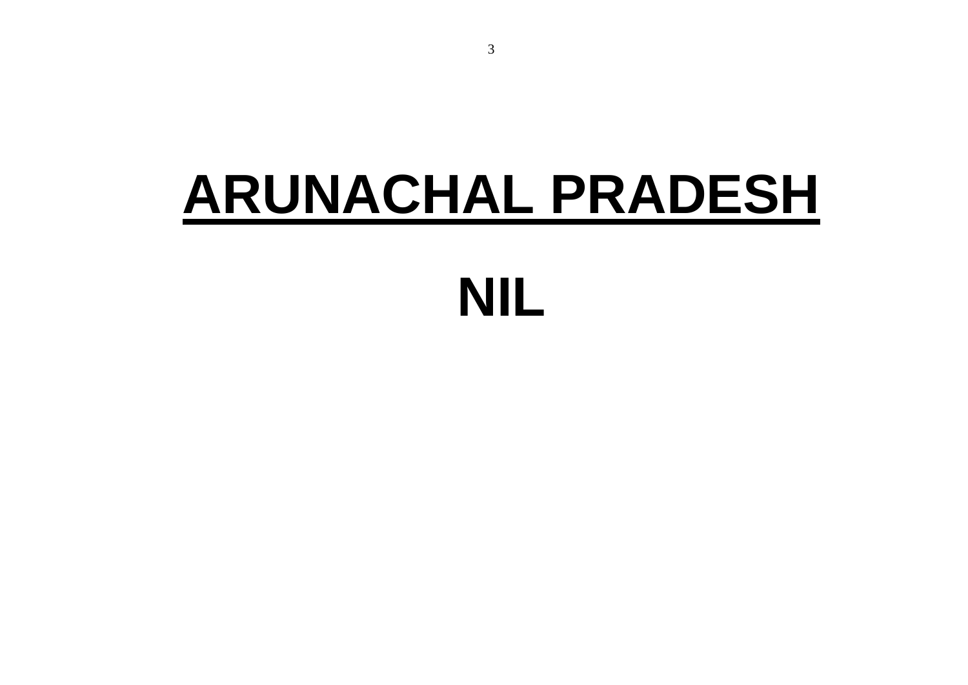# **ARUNACHAL PRADESH NIL**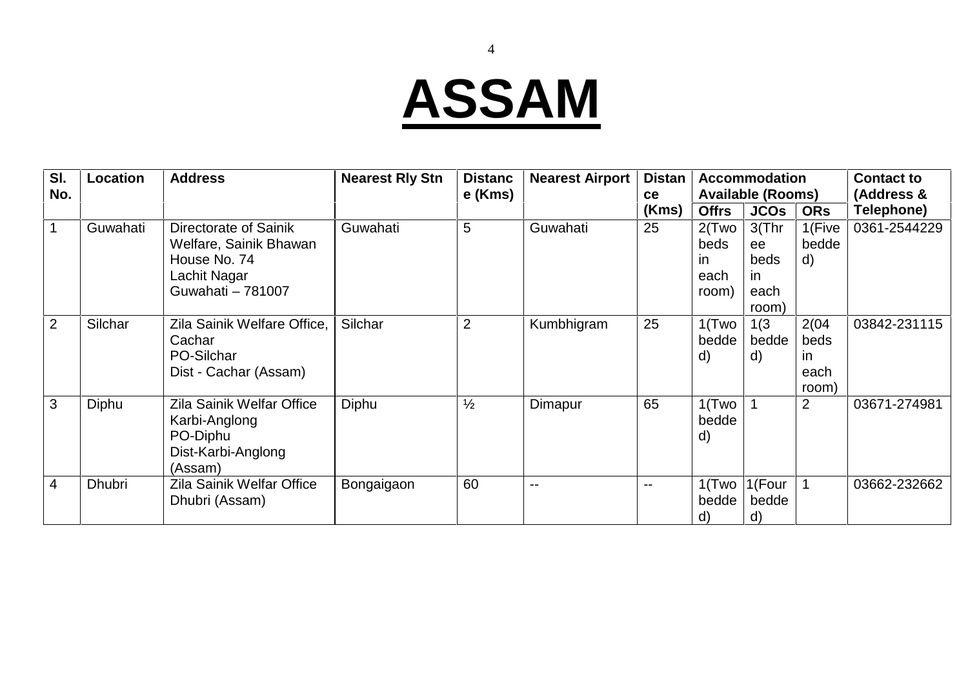# **ASSAM**

| SI.            | Location      | <b>Address</b>                                                                                       | <b>Nearest Rly Stn</b> | <b>Distanc</b> | <b>Nearest Airport</b> | <b>Distan</b>            |                                         | <b>Accommodation</b>                                 |                                      | <b>Contact to</b> |
|----------------|---------------|------------------------------------------------------------------------------------------------------|------------------------|----------------|------------------------|--------------------------|-----------------------------------------|------------------------------------------------------|--------------------------------------|-------------------|
| No.            |               |                                                                                                      |                        | e (Kms)        |                        | ce                       |                                         | <b>Available (Rooms)</b>                             |                                      | (Address &        |
|                |               |                                                                                                      |                        |                |                        | (Kms)                    | <b>Offrs</b>                            | <b>JCOs</b>                                          | <b>ORs</b>                           | <b>Telephone)</b> |
| $\mathbf 1$    | Guwahati      | Directorate of Sainik<br>Welfare, Sainik Bhawan<br>House No. 74<br>Lachit Nagar<br>Guwahati - 781007 | Guwahati               | 5              | Guwahati               | 25                       | $2$ (Two<br>beds<br>ın<br>each<br>room) | $3$ (Thr<br>ee<br>beds<br><i>in</i><br>each<br>room) | 1(Five<br>bedde<br>d)                | 0361-2544229      |
| 2              | Silchar       | Zila Sainik Welfare Office,<br>Cachar<br>PO-Silchar<br>Dist - Cachar (Assam)                         | Silchar                | $\overline{2}$ | Kumbhigram             | 25                       | $1$ (Two<br>bedde<br>d)                 | 1(3)<br>bedde<br>$\mathsf{d}$                        | 2(04)<br>beds<br>ın<br>each<br>room) | 03842-231115      |
| $\mathbf{3}$   | Diphu         | Zila Sainik Welfar Office<br>Karbi-Anglong<br>PO-Diphu<br>Dist-Karbi-Anglong<br>(Assam)              | Diphu                  | $\frac{1}{2}$  | Dimapur                | 65                       | $1$ (Two<br>bedde<br>d)                 |                                                      | $\overline{2}$                       | 03671-274981      |
| $\overline{4}$ | <b>Dhubri</b> | Zila Sainik Welfar Office<br>Dhubri (Assam)                                                          | Bongaigaon             | 60             | $- -$                  | $\overline{\phantom{m}}$ | bedde<br>d)                             | $1$ (Two   1 (Four<br>bedde<br>d)                    |                                      | 03662-232662      |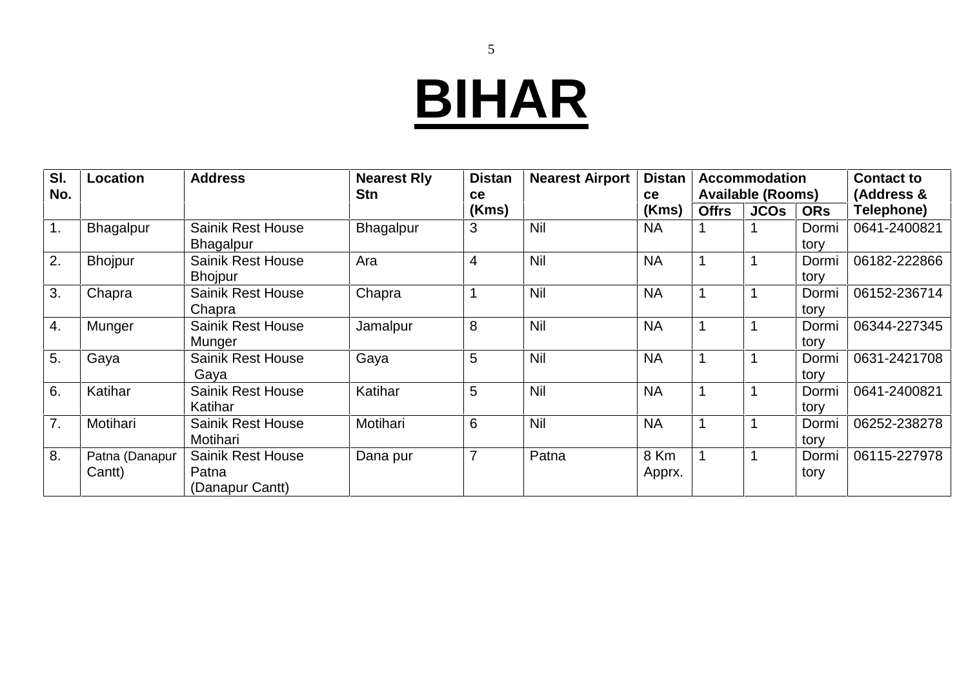# **BIHAR**

| SI.            | <b>Location</b>          | <b>Address</b>                                       | <b>Nearest Rly</b> | <b>Distan</b> | <b>Nearest Airport</b> | <b>Distan</b>  |              | <b>Accommodation</b>     |               | <b>Contact to</b> |
|----------------|--------------------------|------------------------------------------------------|--------------------|---------------|------------------------|----------------|--------------|--------------------------|---------------|-------------------|
| No.            |                          |                                                      | <b>Stn</b>         | ce            |                        | <b>ce</b>      |              | <b>Available (Rooms)</b> |               | (Address &        |
|                |                          |                                                      |                    | (Kms)         |                        | (Kms)          | <b>Offrs</b> | <b>JCOs</b>              | <b>ORs</b>    | Telephone)        |
| $\mathbf{1}$ . | Bhagalpur                | <b>Sainik Rest House</b><br><b>Bhagalpur</b>         | Bhagalpur          | 3             | Nil                    | <b>NA</b>      |              |                          | Dormi<br>tory | 0641-2400821      |
| 2.             | <b>Bhojpur</b>           | <b>Sainik Rest House</b><br><b>Bhojpur</b>           | Ara                | 4             | Nil                    | <b>NA</b>      |              |                          | Dormi<br>tory | 06182-222866      |
| 3.             | Chapra                   | <b>Sainik Rest House</b><br>Chapra                   | Chapra             |               | Nil                    | <b>NA</b>      |              |                          | Dormi<br>tory | 06152-236714      |
| 4.             | Munger                   | <b>Sainik Rest House</b><br>Munger                   | Jamalpur           | 8             | Nil                    | <b>NA</b>      |              |                          | Dormi<br>tory | 06344-227345      |
| 5.             | Gaya                     | <b>Sainik Rest House</b><br>Gaya                     | Gaya               | 5             | Nil                    | <b>NA</b>      |              |                          | Dormi<br>tory | 0631-2421708      |
| 6.             | Katihar                  | <b>Sainik Rest House</b><br>Katihar                  | Katihar            | 5             | Nil                    | <b>NA</b>      |              |                          | Dormi<br>tory | 0641-2400821      |
| 7.             | Motihari                 | <b>Sainik Rest House</b><br>Motihari                 | Motihari           | 6             | Nil                    | <b>NA</b>      |              |                          | Dormi<br>tory | 06252-238278      |
| 8.             | Patna (Danapur<br>Cantt) | <b>Sainik Rest House</b><br>Patna<br>(Danapur Cantt) | Dana pur           |               | Patna                  | 8 Km<br>Apprx. |              |                          | Dormi<br>tory | 06115-227978      |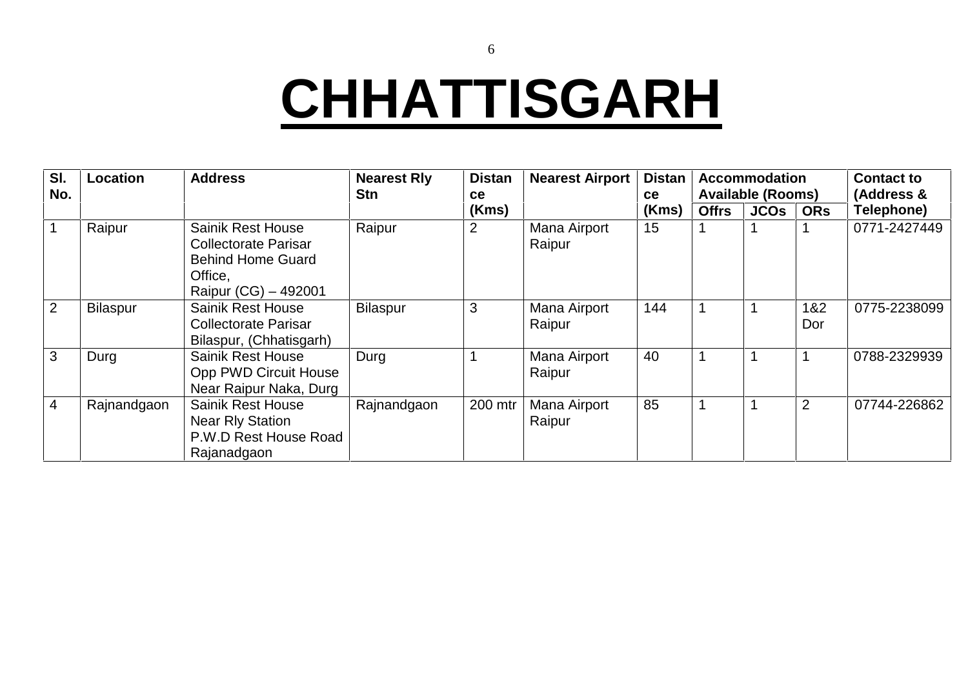### **CHHATTISGARH**

| SI.<br>No.     | Location    | <b>Address</b>                                                                                                         | <b>Nearest Rly</b><br>Stn | <b>Distan</b><br><b>ce</b> | <b>Nearest Airport</b> | <b>Distan</b><br>ce |              | <b>Accommodation</b><br><b>Available (Rooms)</b> |            | <b>Contact to</b><br>(Address & |
|----------------|-------------|------------------------------------------------------------------------------------------------------------------------|---------------------------|----------------------------|------------------------|---------------------|--------------|--------------------------------------------------|------------|---------------------------------|
|                |             |                                                                                                                        |                           | (Kms)                      |                        | (Kms)               | <b>Offrs</b> | <b>JCOs</b>                                      | <b>ORs</b> | Telephone)                      |
|                | Raipur      | <b>Sainik Rest House</b><br><b>Collectorate Parisar</b><br><b>Behind Home Guard</b><br>Office.<br>Raipur (CG) – 492001 | Raipur                    | 2                          | Mana Airport<br>Raipur | 15                  |              |                                                  |            | 0771-2427449                    |
| 2              | Bilaspur    | <b>Sainik Rest House</b><br><b>Collectorate Parisar</b><br>Bilaspur, (Chhatisgarh)                                     | <b>Bilaspur</b>           | 3                          | Mana Airport<br>Raipur | 144                 |              |                                                  | 1&2<br>Dor | 0775-2238099                    |
| 3              | Durg        | <b>Sainik Rest House</b><br>Opp PWD Circuit House<br>Near Raipur Naka, Durg                                            | Durg                      |                            | Mana Airport<br>Raipur | 40                  |              |                                                  |            | 0788-2329939                    |
| $\overline{4}$ | Rajnandgaon | <b>Sainik Rest House</b><br><b>Near Rly Station</b><br>P.W.D Rest House Road<br>Rajanadgaon                            | Rajnandgaon               | 200 mtr                    | Mana Airport<br>Raipur | 85                  |              |                                                  | 2          | 07744-226862                    |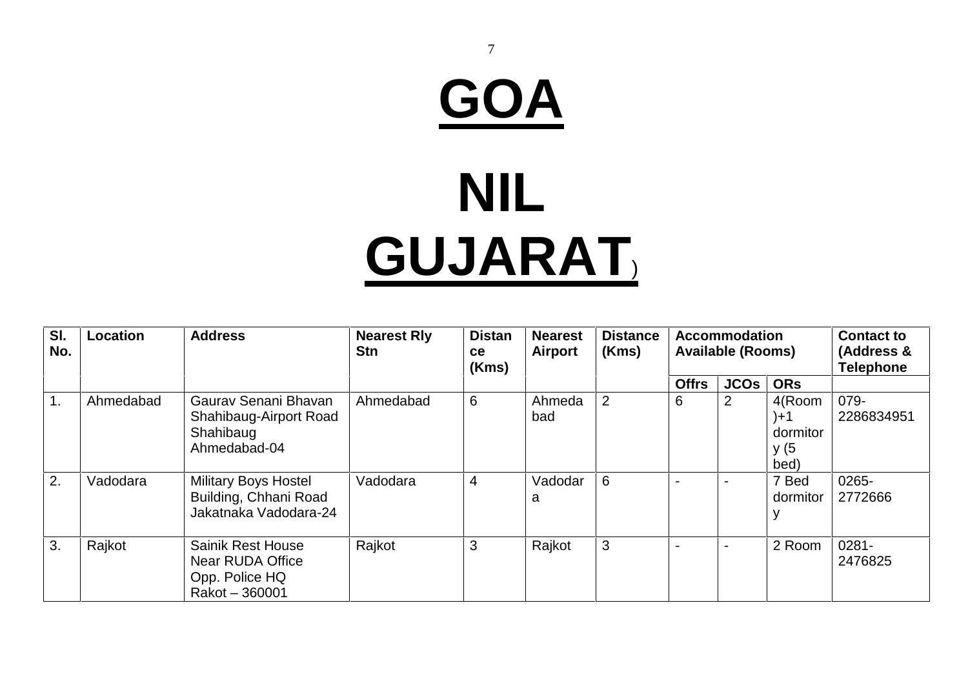# **GOA NIL GUJARAT**)

7

| SI.<br>No. | <b>Location</b> | <b>Address</b>                                                                          | <b>Nearest Rly</b><br><b>Stn</b> | <b>Distan</b><br><b>ce</b><br>(Kms) | <b>Nearest</b><br><b>Airport</b> | <b>Distance</b><br>(Kms) |                          | <b>Accommodation</b><br><b>Available (Rooms)</b> |                                           | <b>Contact to</b><br>(Address &<br><b>Telephone</b> |
|------------|-----------------|-----------------------------------------------------------------------------------------|----------------------------------|-------------------------------------|----------------------------------|--------------------------|--------------------------|--------------------------------------------------|-------------------------------------------|-----------------------------------------------------|
|            |                 |                                                                                         |                                  |                                     |                                  |                          | <b>Offrs</b>             | <b>JCOS</b>                                      | <b>ORs</b>                                |                                                     |
| 1.         | Ahmedabad       | Gauray Senani Bhavan<br>Shahibaug-Airport Road<br>Shahibaug<br>Ahmedabad-04             | Ahmedabad                        | $6\phantom{1}$                      | Ahmeda<br>bad                    | 2                        | 6                        | 2                                                | 4(Room<br>)+1<br>dormitor<br>y (5<br>bed) | 079-<br>2286834951                                  |
| 2.         | Vadodara        | <b>Military Boys Hostel</b><br>Building, Chhani Road<br>Jakatnaka Vadodara-24           | Vadodara                         | $\overline{4}$                      | Vadodar<br>a                     | 6                        |                          |                                                  | 7 Bed<br>dormitor                         | 0265-<br>2772666                                    |
| 3.         | Rajkot          | <b>Sainik Rest House</b><br><b>Near RUDA Office</b><br>Opp. Police HQ<br>Rakot - 360001 | Rajkot                           | 3                                   | Rajkot                           | 3                        | $\overline{\phantom{0}}$ | $\blacksquare$                                   | 2 Room                                    | $0281 -$<br>2476825                                 |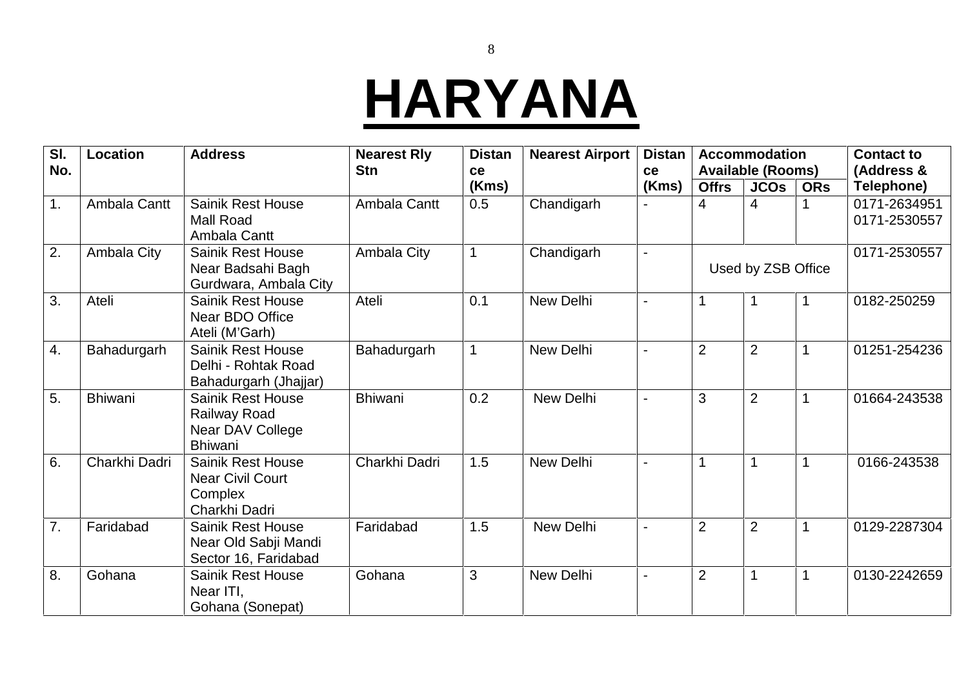#### **HARYANA**

| SI.<br>No. | <b>Location</b> | <b>Address</b>                                                                  | <b>Nearest Rly</b><br><b>Stn</b> | <b>Distan</b> | <b>Nearest Airport</b> | <b>Distan</b><br>ce |                | <b>Accommodation</b>                    |            | <b>Contact to</b><br>(Address & |
|------------|-----------------|---------------------------------------------------------------------------------|----------------------------------|---------------|------------------------|---------------------|----------------|-----------------------------------------|------------|---------------------------------|
|            |                 |                                                                                 |                                  | ce<br>(Kms)   |                        | (Kms)               | <b>Offrs</b>   | <b>Available (Rooms)</b><br><b>JCOs</b> | <b>ORs</b> | Telephone)                      |
| 1.         | Ambala Cantt    | <b>Sainik Rest House</b><br><b>Mall Road</b><br>Ambala Cantt                    | Ambala Cantt                     | 0.5           | Chandigarh             |                     | 4              | 4                                       |            | 0171-2634951<br>0171-2530557    |
| 2.         | Ambala City     | <b>Sainik Rest House</b><br>Near Badsahi Bagh<br>Gurdwara, Ambala City          | Ambala City                      |               | Chandigarh             | $\blacksquare$      |                | Used by ZSB Office                      |            | 0171-2530557                    |
| 3.         | Ateli           | <b>Sainik Rest House</b><br>Near BDO Office<br>Ateli (M'Garh)                   | Ateli                            | 0.1           | New Delhi              | $\blacksquare$      |                |                                         |            | 0182-250259                     |
| 4.         | Bahadurgarh     | <b>Sainik Rest House</b><br>Delhi - Rohtak Road<br>Bahadurgarh (Jhajjar)        | Bahadurgarh                      |               | New Delhi              |                     | $\overline{2}$ | $\overline{2}$                          |            | 01251-254236                    |
| 5.         | <b>Bhiwani</b>  | Sainik Rest House<br><b>Railway Road</b><br>Near DAV College<br><b>Bhiwani</b>  | <b>Bhiwani</b>                   | 0.2           | New Delhi              |                     | 3              | $\overline{2}$                          |            | 01664-243538                    |
| 6.         | Charkhi Dadri   | <b>Sainik Rest House</b><br><b>Near Civil Court</b><br>Complex<br>Charkhi Dadri | Charkhi Dadri                    | 1.5           | <b>New Delhi</b>       |                     | 1              |                                         |            | 0166-243538                     |
| 7.         | Faridabad       | <b>Sainik Rest House</b><br>Near Old Sabji Mandi<br>Sector 16, Faridabad        | Faridabad                        | 1.5           | New Delhi              |                     | $\overline{2}$ | $\overline{2}$                          |            | 0129-2287304                    |
| 8.         | Gohana          | <b>Sainik Rest House</b><br>Near ITI,<br>Gohana (Sonepat)                       | Gohana                           | 3             | <b>New Delhi</b>       |                     | $\overline{2}$ |                                         |            | 0130-2242659                    |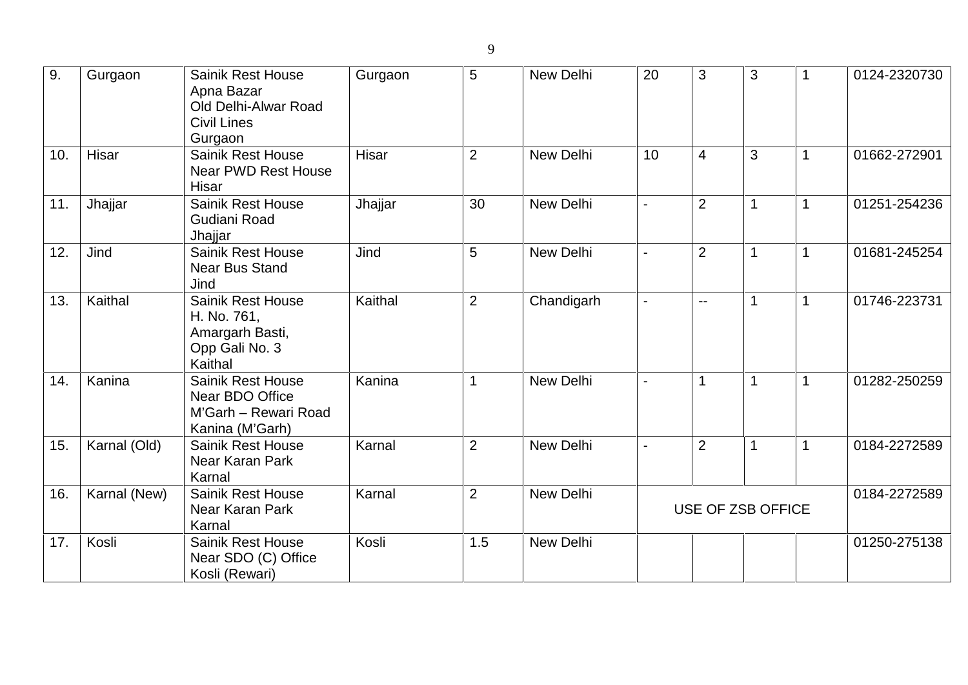| 9.  | Gurgaon      | <b>Sainik Rest House</b><br>Apna Bazar<br>Old Delhi-Alwar Road<br><b>Civil Lines</b><br>Gurgaon | Gurgaon | 5              | New Delhi  | 20             | 3                 | 3            | 1              | 0124-2320730 |
|-----|--------------|-------------------------------------------------------------------------------------------------|---------|----------------|------------|----------------|-------------------|--------------|----------------|--------------|
| 10. | Hisar        | Sainik Rest House<br><b>Near PWD Rest House</b><br>Hisar                                        | Hisar   | 2              | New Delhi  | 10             | $\overline{4}$    | 3            | $\mathbf 1$    | 01662-272901 |
| 11. | Jhajjar      | <b>Sainik Rest House</b><br>Gudiani Road<br>Jhajjar                                             | Jhajjar | 30             | New Delhi  |                | $\overline{2}$    | 1            | $\mathbf 1$    | 01251-254236 |
| 12. | Jind         | <b>Sainik Rest House</b><br><b>Near Bus Stand</b><br>Jind                                       | Jind    | 5              | New Delhi  |                | $\overline{2}$    | 1            | 1              | 01681-245254 |
| 13. | Kaithal      | Sainik Rest House<br>H. No. 761,<br>Amargarh Basti,<br>Opp Gali No. 3<br>Kaithal                | Kaithal | $\overline{2}$ | Chandigarh |                | $- -$             | $\mathbf{1}$ | $\mathbf{1}$   | 01746-223731 |
| 14. | Kanina       | <b>Sainik Rest House</b><br>Near BDO Office<br>M'Garh - Rewari Road<br>Kanina (M'Garh)          | Kanina  | 1              | New Delhi  | $\blacksquare$ | 1                 | $\mathbf 1$  | $\mathbf 1$    | 01282-250259 |
| 15. | Karnal (Old) | <b>Sainik Rest House</b><br>Near Karan Park<br>Karnal                                           | Karnal  | $\overline{2}$ | New Delhi  | $\overline{a}$ | $\overline{2}$    | $\mathbf 1$  | $\overline{1}$ | 0184-2272589 |
| 16. | Karnal (New) | <b>Sainik Rest House</b><br>Near Karan Park<br>Karnal                                           | Karnal  | $\overline{2}$ | New Delhi  |                | USE OF ZSB OFFICE |              |                | 0184-2272589 |
| 17. | Kosli        | <b>Sainik Rest House</b><br>Near SDO (C) Office<br>Kosli (Rewari)                               | Kosli   | 1.5            | New Delhi  |                |                   |              |                | 01250-275138 |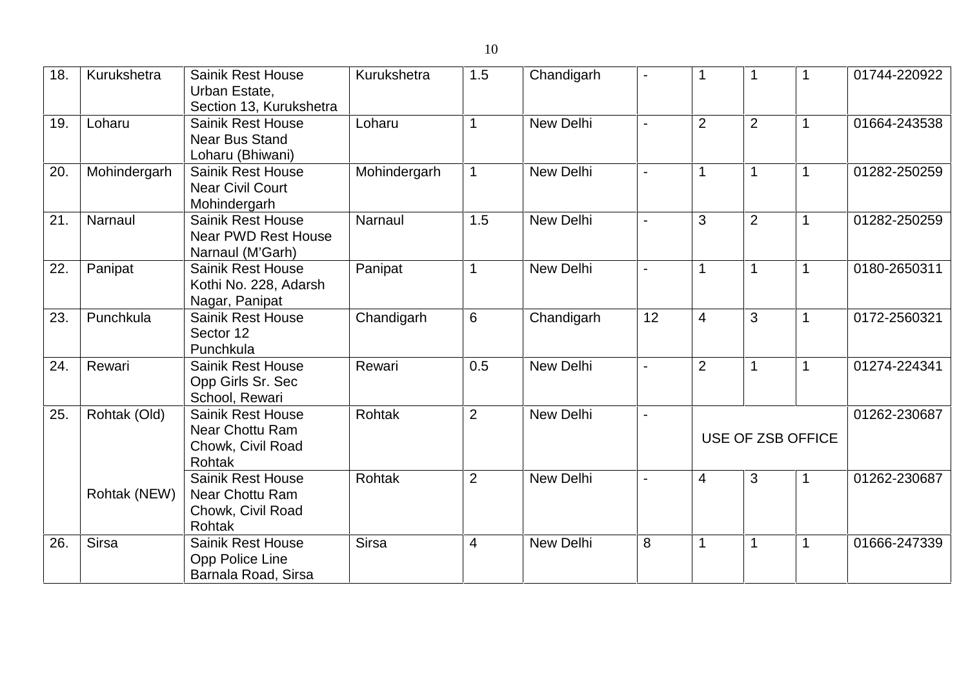| 18. | Kurukshetra  | <b>Sainik Rest House</b><br>Urban Estate,<br>Section 13, Kurukshetra              | Kurukshetra   | 1.5            | Chandigarh       |                |                |                |                   | 01744-220922 |
|-----|--------------|-----------------------------------------------------------------------------------|---------------|----------------|------------------|----------------|----------------|----------------|-------------------|--------------|
| 19. | Loharu       | <b>Sainik Rest House</b><br><b>Near Bus Stand</b><br>Loharu (Bhiwani)             | Loharu        |                | <b>New Delhi</b> |                | $\overline{2}$ | $\overline{2}$ |                   | 01664-243538 |
| 20. | Mohindergarh | <b>Sainik Rest House</b><br><b>Near Civil Court</b><br>Mohindergarh               | Mohindergarh  |                | New Delhi        |                |                |                |                   | 01282-250259 |
| 21. | Narnaul      | <b>Sainik Rest House</b><br><b>Near PWD Rest House</b><br>Narnaul (M'Garh)        | Narnaul       | 1.5            | <b>New Delhi</b> |                | 3              | $\overline{2}$ |                   | 01282-250259 |
| 22. | Panipat      | <b>Sainik Rest House</b><br>Kothi No. 228, Adarsh<br>Nagar, Panipat               | Panipat       | $\mathbf 1$    | New Delhi        |                | 1              |                | 1                 | 0180-2650311 |
| 23. | Punchkula    | <b>Sainik Rest House</b><br>Sector 12<br>Punchkula                                | Chandigarh    | 6              | Chandigarh       | 12             | $\overline{4}$ | 3              | -1                | 0172-2560321 |
| 24. | Rewari       | <b>Sainik Rest House</b><br>Opp Girls Sr. Sec<br>School, Rewari                   | Rewari        | 0.5            | New Delhi        | $\blacksquare$ | $\overline{2}$ |                | -1                | 01274-224341 |
| 25. | Rohtak (Old) | <b>Sainik Rest House</b><br>Near Chottu Ram<br>Chowk, Civil Road<br><b>Rohtak</b> | Rohtak        | 2              | New Delhi        | $\blacksquare$ |                |                | USE OF ZSB OFFICE | 01262-230687 |
|     | Rohtak (NEW) | <b>Sainik Rest House</b><br>Near Chottu Ram<br>Chowk, Civil Road<br>Rohtak        | <b>Rohtak</b> | $\overline{2}$ | New Delhi        |                | 4              | 3              | 1                 | 01262-230687 |
| 26. | <b>Sirsa</b> | <b>Sainik Rest House</b><br>Opp Police Line<br>Barnala Road, Sirsa                | <b>Sirsa</b>  | 4              | New Delhi        | 8              | $\mathbf 1$    | $\mathbf 1$    | $\mathbf 1$       | 01666-247339 |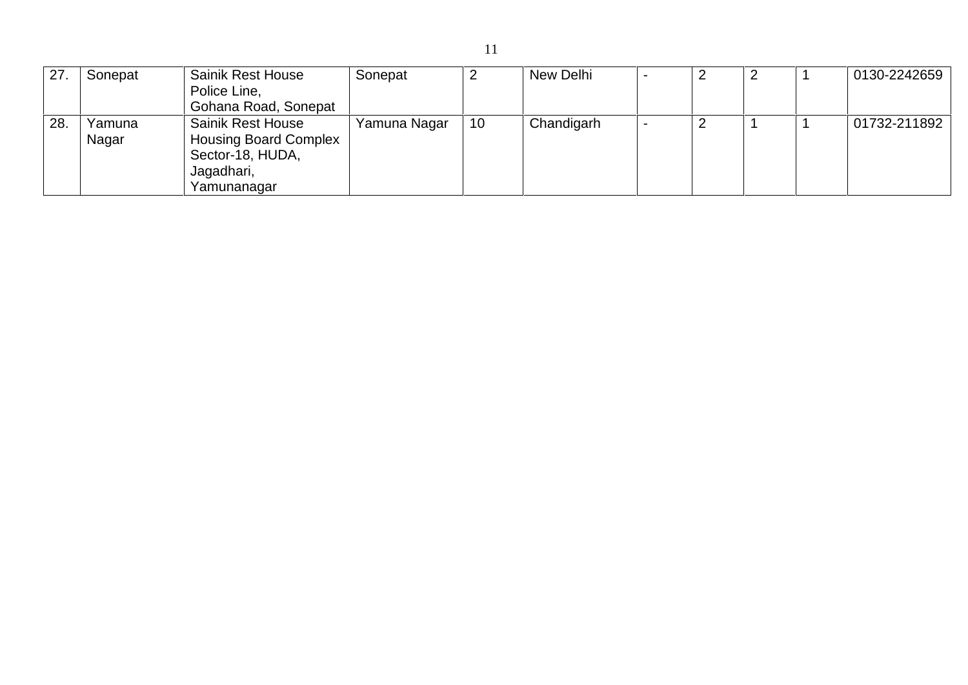| 27 | Sonepat | <b>Sainik Rest House</b>     | Sonepat      | ∼  | New Delhi  |  |  | 0130-2242659 |  |
|----|---------|------------------------------|--------------|----|------------|--|--|--------------|--|
|    |         | Police Line,                 |              |    |            |  |  |              |  |
|    |         | Gohana Road, Sonepat         |              |    |            |  |  |              |  |
| 28 | Yamuna  | <b>Sainik Rest House</b>     | Yamuna Nagar | 10 | Chandigarh |  |  | 01732-211892 |  |
|    | Nagar   | <b>Housing Board Complex</b> |              |    |            |  |  |              |  |
|    |         | Sector-18, HUDA,             |              |    |            |  |  |              |  |
|    |         | Jagadhari,                   |              |    |            |  |  |              |  |
|    |         | Yamunanagar                  |              |    |            |  |  |              |  |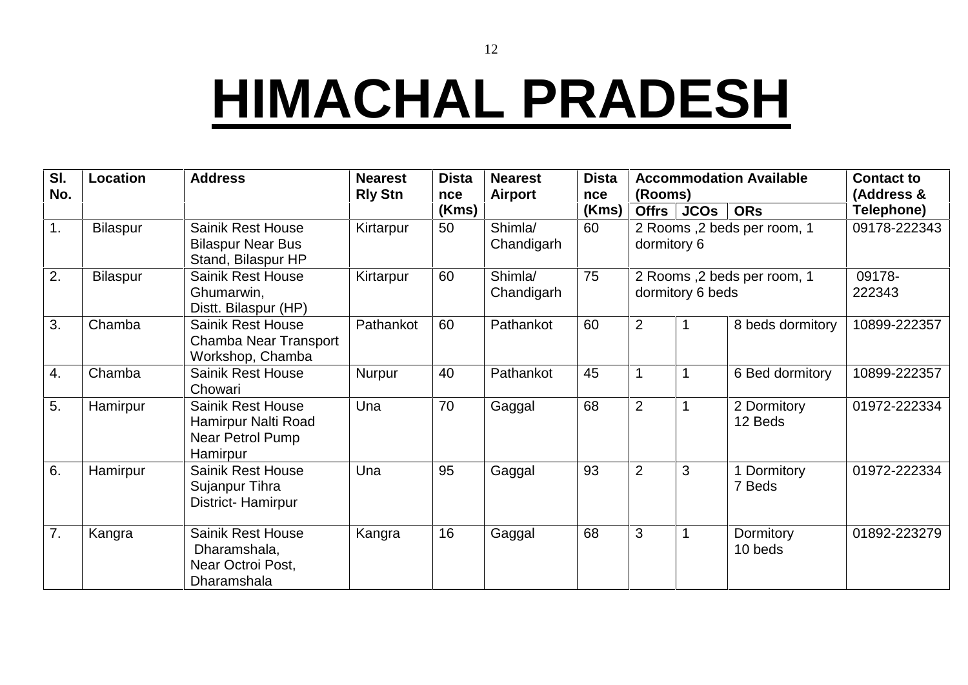#### **HIMACHAL PRADESH**

| SI.<br>No. | <b>Location</b> | <b>Address</b>                                                                  | <b>Nearest</b><br><b>Rly Stn</b> | <b>Dista</b><br>nce | <b>Nearest</b><br>Airport | <b>Dista</b><br>nce | <b>Accommodation Available</b><br>(Rooms)  |                                                  |                        | <b>Contact to</b><br>(Address & |
|------------|-----------------|---------------------------------------------------------------------------------|----------------------------------|---------------------|---------------------------|---------------------|--------------------------------------------|--------------------------------------------------|------------------------|---------------------------------|
|            |                 |                                                                                 |                                  | (Kms)               |                           | (Kms)               | <b>Offrs</b>                               | <b>JCOs</b>                                      | <b>ORs</b>             | Telephone)                      |
| 1.         | Bilaspur        | <b>Sainik Rest House</b><br><b>Bilaspur Near Bus</b><br>Stand, Bilaspur HP      | Kirtarpur                        | 50                  | Shimla/<br>Chandigarh     | 60                  | 2 Rooms ,2 beds per room, 1<br>dormitory 6 |                                                  |                        | 09178-222343                    |
| 2.         | <b>Bilaspur</b> | Sainik Rest House<br>Ghumarwin,<br>Distt. Bilaspur (HP)                         | Kirtarpur                        | 60                  | Shimla/<br>Chandigarh     | 75                  |                                            | 2 Rooms , 2 beds per room, 1<br>dormitory 6 beds | 09178-<br>222343       |                                 |
| 3.         | Chamba          | <b>Sainik Rest House</b><br>Chamba Near Transport<br>Workshop, Chamba           | Pathankot                        | 60                  | Pathankot                 | 60                  | $\overline{2}$                             |                                                  | 10899-222357           |                                 |
| 4.         | Chamba          | <b>Sainik Rest House</b><br>Chowari                                             | Nurpur                           | 40                  | Pathankot                 | 45                  |                                            |                                                  | 6 Bed dormitory        | 10899-222357                    |
| 5.         | Hamirpur        | <b>Sainik Rest House</b><br>Hamirpur Nalti Road<br>Near Petrol Pump<br>Hamirpur | Una                              | 70                  | Gaggal                    | 68                  | $\overline{2}$                             |                                                  | 2 Dormitory<br>12 Beds | 01972-222334                    |
| 6.         | Hamirpur        | <b>Sainik Rest House</b><br>Sujanpur Tihra<br>District-Hamirpur                 | Una                              | 95                  | Gaggal                    | 93                  | $\overline{2}$                             | 3                                                | 1 Dormitory<br>7 Beds  | 01972-222334                    |
| 7.         | Kangra          | <b>Sainik Rest House</b><br>Dharamshala,<br>Near Octroi Post,<br>Dharamshala    | Kangra                           | 16                  | Gaggal                    | 68                  | 3                                          |                                                  | Dormitory<br>10 beds   | 01892-223279                    |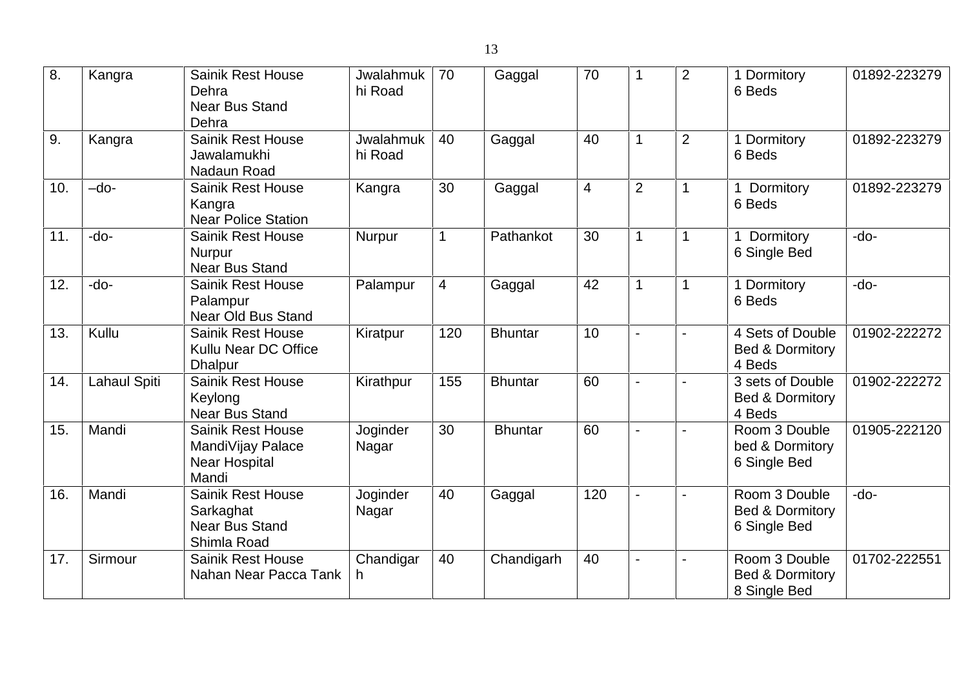| 8.  | Kangra              | <b>Sainik Rest House</b><br>Dehra<br><b>Near Bus Stand</b><br>Dehra            | Jwalahmuk<br>hi Road | 70             | Gaggal         | 70             |                | $\overline{2}$ | 1 Dormitory<br>6 Beds                                       | 01892-223279 |
|-----|---------------------|--------------------------------------------------------------------------------|----------------------|----------------|----------------|----------------|----------------|----------------|-------------------------------------------------------------|--------------|
| 9.  | Kangra              | <b>Sainik Rest House</b><br>Jawalamukhi<br>Nadaun Road                         | Jwalahmuk<br>hi Road | 40             | Gaggal         | 40             |                | $\overline{2}$ | 1 Dormitory<br>6 Beds                                       | 01892-223279 |
| 10. | $-do-$              | <b>Sainik Rest House</b><br>Kangra<br><b>Near Police Station</b>               | Kangra               | 30             | Gaggal         | $\overline{4}$ | $\overline{2}$ | $\mathbf 1$    | Dormitory<br>6 Beds                                         | 01892-223279 |
| 11. | $-do-$              | <b>Sainik Rest House</b><br><b>Nurpur</b><br><b>Near Bus Stand</b>             | Nurpur               | 1              | Pathankot      | 30             |                | 1              | Dormitory<br>6 Single Bed                                   | $-do-$       |
| 12. | -do-                | <b>Sainik Rest House</b><br>Palampur<br><b>Near Old Bus Stand</b>              | Palampur             | $\overline{4}$ | Gaggal         | 42             |                | $\mathbf 1$    | 1 Dormitory<br>6 Beds                                       | $-do-$       |
| 13. | Kullu               | <b>Sainik Rest House</b><br>Kullu Near DC Office<br><b>Dhalpur</b>             | Kiratpur             | 120            | <b>Bhuntar</b> | 10             |                |                | 4 Sets of Double<br><b>Bed &amp; Dormitory</b><br>4 Beds    | 01902-222272 |
| 14. | <b>Lahaul Spiti</b> | <b>Sainik Rest House</b><br>Keylong<br><b>Near Bus Stand</b>                   | Kirathpur            | 155            | <b>Bhuntar</b> | 60             |                |                | 3 sets of Double<br><b>Bed &amp; Dormitory</b><br>4 Beds    | 01902-222272 |
| 15. | Mandi               | <b>Sainik Rest House</b><br>MandiVijay Palace<br><b>Near Hospital</b><br>Mandi | Joginder<br>Nagar    | 30             | <b>Bhuntar</b> | 60             |                |                | Room 3 Double<br>bed & Dormitory<br>6 Single Bed            | 01905-222120 |
| 16. | Mandi               | <b>Sainik Rest House</b><br>Sarkaghat<br><b>Near Bus Stand</b><br>Shimla Road  | Joginder<br>Nagar    | 40             | Gaggal         | 120            |                |                | Room 3 Double<br><b>Bed &amp; Dormitory</b><br>6 Single Bed | -do-         |
| 17. | Sirmour             | <b>Sainik Rest House</b><br>Nahan Near Pacca Tank                              | Chandigar<br>h.      | 40             | Chandigarh     | 40             |                |                | Room 3 Double<br><b>Bed &amp; Dormitory</b><br>8 Single Bed | 01702-222551 |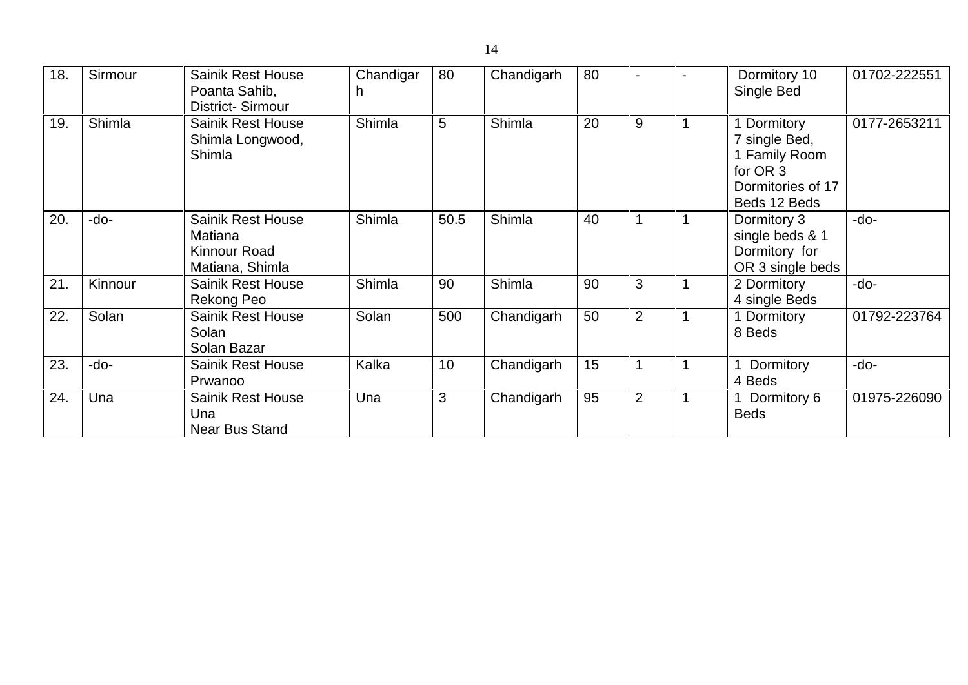| 18. | Sirmour | <b>Sainik Rest House</b><br>Poanta Sahib,<br><b>District-Sirmour</b>   | Chandigar | 80   | Chandigarh | 80 |                | Dormitory 10<br>Single Bed                                                                   | 01702-222551 |
|-----|---------|------------------------------------------------------------------------|-----------|------|------------|----|----------------|----------------------------------------------------------------------------------------------|--------------|
| 19. | Shimla  | <b>Sainik Rest House</b><br>Shimla Longwood,<br>Shimla                 | Shimla    | 5    | Shimla     | 20 | 9              | Dormitory<br>7 single Bed,<br>1 Family Room<br>for OR 3<br>Dormitories of 17<br>Beds 12 Beds | 0177-2653211 |
| 20. | -do-    | <b>Sainik Rest House</b><br>Matiana<br>Kinnour Road<br>Matiana, Shimla | Shimla    | 50.5 | Shimla     | 40 |                | Dormitory 3<br>single beds & 1<br>Dormitory for<br>OR 3 single beds                          | -do-         |
| 21. | Kinnour | <b>Sainik Rest House</b><br>Rekong Peo                                 | Shimla    | 90   | Shimla     | 90 | 3              | 2 Dormitory<br>4 single Beds                                                                 | -do-         |
| 22. | Solan   | <b>Sainik Rest House</b><br>Solan<br>Solan Bazar                       | Solan     | 500  | Chandigarh | 50 | $\overline{2}$ | 1 Dormitory<br>8 Beds                                                                        | 01792-223764 |
| 23. | -do-    | <b>Sainik Rest House</b><br>Prwanoo                                    | Kalka     | 10   | Chandigarh | 15 |                | Dormitory<br>4 Beds                                                                          | -do-         |
| 24. | Una     | <b>Sainik Rest House</b><br>Una<br><b>Near Bus Stand</b>               | Una       | 3    | Chandigarh | 95 | $\overline{2}$ | Dormitory 6<br><b>Beds</b>                                                                   | 01975-226090 |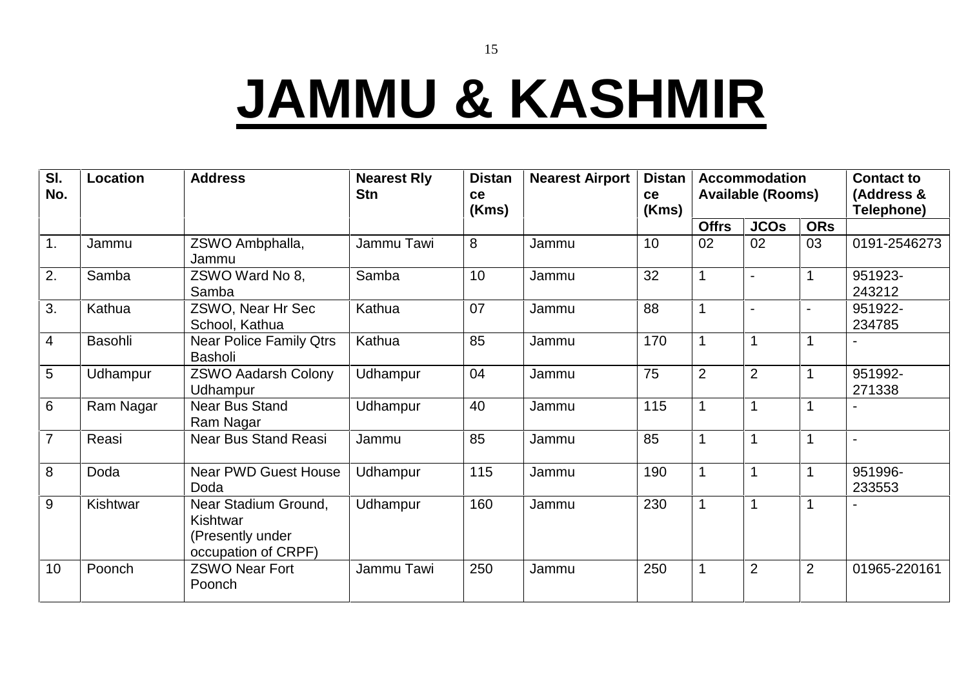## **JAMMU & KASHMIR**

| SI.<br>No.       | <b>Location</b> | <b>Address</b>                                                              | <b>Nearest Rly</b><br><b>Stn</b> | <b>Distan</b><br>ce<br>(Kms) | <b>Nearest Airport</b> | <b>Distan</b><br>ce<br>(Kms) |                | <b>Accommodation</b><br><b>Available (Rooms)</b> |                | <b>Contact to</b><br>(Address &<br>Telephone) |
|------------------|-----------------|-----------------------------------------------------------------------------|----------------------------------|------------------------------|------------------------|------------------------------|----------------|--------------------------------------------------|----------------|-----------------------------------------------|
|                  |                 |                                                                             |                                  |                              |                        |                              | <b>Offrs</b>   | <b>JCOs</b>                                      | <b>ORs</b>     |                                               |
| $\overline{1}$ . | Jammu           | ZSWO Ambphalla,<br>Jammu                                                    | Jammu Tawi                       | 8                            | Jammu                  | 10                           | 02             | 02                                               | 03             | 0191-2546273                                  |
| $\overline{2}$ . | Samba           | ZSWO Ward No 8,<br>Samba                                                    | Samba                            | 10                           | Jammu                  | 32                           |                |                                                  |                | 951923-<br>243212                             |
| 3.               | Kathua          | ZSWO, Near Hr Sec<br>School, Kathua                                         | Kathua                           | 07                           | Jammu                  | 88                           |                |                                                  |                | 951922-<br>234785                             |
| $\overline{4}$   | Basohli         | <b>Near Police Family Qtrs</b><br><b>Basholi</b>                            | Kathua                           | 85                           | Jammu                  | 170                          |                |                                                  |                |                                               |
| $\overline{5}$   | Udhampur        | <b>ZSWO Aadarsh Colony</b><br>Udhampur                                      | Udhampur                         | 04                           | Jammu                  | 75                           | $\overline{2}$ | $\overline{2}$                                   |                | 951992-<br>271338                             |
| 6                | Ram Nagar       | <b>Near Bus Stand</b><br>Ram Nagar                                          | Udhampur                         | 40                           | Jammu                  | 115                          |                |                                                  |                |                                               |
| $\overline{7}$   | Reasi           | <b>Near Bus Stand Reasi</b>                                                 | Jammu                            | 85                           | Jammu                  | 85                           |                |                                                  |                | $\blacksquare$                                |
| 8                | Doda            | <b>Near PWD Guest House</b><br>Doda                                         | Udhampur                         | 115                          | Jammu                  | 190                          |                |                                                  |                | 951996-<br>233553                             |
| 9                | Kishtwar        | Near Stadium Ground,<br>Kishtwar<br>(Presently under<br>occupation of CRPF) | Udhampur                         | 160                          | Jammu                  | 230                          | 1              | 1                                                | 1              |                                               |
| 10               | Poonch          | <b>ZSWO Near Fort</b><br>Poonch                                             | Jammu Tawi                       | 250                          | Jammu                  | 250                          |                | $\overline{2}$                                   | $\overline{2}$ | 01965-220161                                  |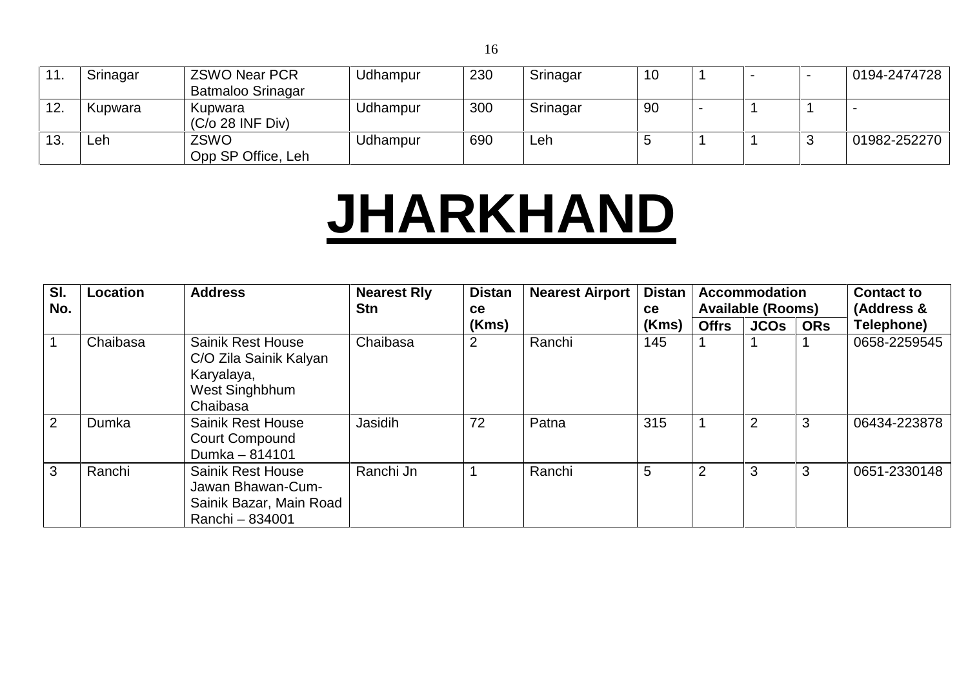| 11. | Srinagar | <b>ZSWO Near PCR</b><br><b>Batmaloo Srinagar</b> | Udhampur | 230 | Srinagar | 10 |  | 0194-2474728 |  |
|-----|----------|--------------------------------------------------|----------|-----|----------|----|--|--------------|--|
| 12. | Kupwara  | Kupwara<br>$(C/O 28$ INF Div)                    | Udhampur | 300 | Srinagar | 90 |  |              |  |
| 13. | Leh      | ZSWO<br>Opp SP Office, Leh                       | Udhampur | 690 | ∟eh      |    |  | 01982-252270 |  |

#### **JHARKHAND**

| SI.<br>No. | Location | <b>Address</b>                                                                                 | <b>Nearest Rly</b><br><b>Stn</b> | <b>Distan</b><br><b>ce</b> | <b>Nearest Airport</b> | <b>Distan</b><br><b>ce</b> |              | <b>Accommodation</b><br><b>Available (Rooms)</b> |            | <b>Contact to</b><br>(Address & |
|------------|----------|------------------------------------------------------------------------------------------------|----------------------------------|----------------------------|------------------------|----------------------------|--------------|--------------------------------------------------|------------|---------------------------------|
|            |          |                                                                                                |                                  | (Kms)                      |                        | (Kms)                      | <b>Offrs</b> | <b>JCOs</b>                                      | <b>ORs</b> | Telephone)                      |
|            | Chaibasa | <b>Sainik Rest House</b><br>C/O Zila Sainik Kalyan<br>Karyalaya,<br>West Singhbhum<br>Chaibasa | Chaibasa                         | 2                          | Ranchi                 | 145                        |              |                                                  |            | 0658-2259545                    |
| 2          | Dumka    | <b>Sainik Rest House</b><br><b>Court Compound</b><br>Dumka - 814101                            | Jasidih                          | 72                         | Patna                  | 315                        |              | $\overline{2}$                                   | 3          | 06434-223878                    |
| 3          | Ranchi   | <b>Sainik Rest House</b><br>Jawan Bhawan-Cum-<br>Sainik Bazar, Main Road<br>Ranchi - 834001    | Ranchi Jn                        |                            | Ranchi                 | 5                          |              | 3                                                | 3          | 0651-2330148                    |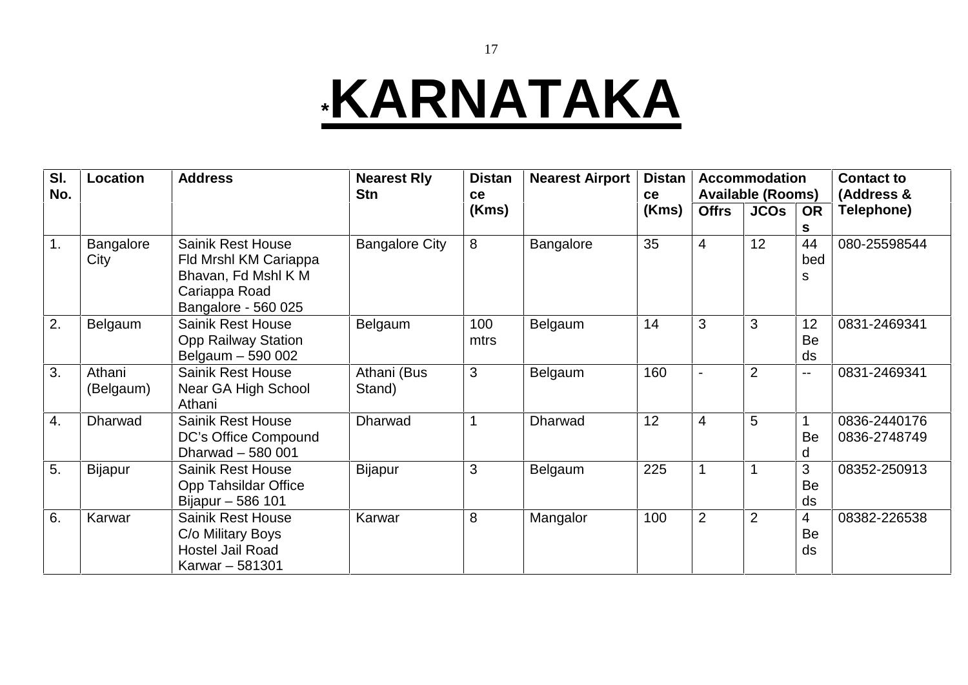### **\*KARNATAKA**

| SI.<br>No. | <b>Location</b>     | <b>Address</b>                                                                                                   | <b>Nearest Rly</b><br><b>Stn</b> | <b>Distan</b><br><b>ce</b> | <b>Nearest Airport</b> | <b>Distan</b><br>ce |                | <b>Accommodation</b><br><b>Available (Rooms)</b> |                | <b>Contact to</b><br>(Address & |
|------------|---------------------|------------------------------------------------------------------------------------------------------------------|----------------------------------|----------------------------|------------------------|---------------------|----------------|--------------------------------------------------|----------------|---------------------------------|
|            |                     |                                                                                                                  |                                  | (Kms)                      |                        | (Kms)               | <b>Offrs</b>   | <b>JCOs</b>                                      | <b>OR</b><br>S | Telephone)                      |
| 1.         | Bangalore<br>City   | <b>Sainik Rest House</b><br>Fld Mrshl KM Cariappa<br>Bhavan, Fd Mshl K M<br>Cariappa Road<br>Bangalore - 560 025 | <b>Bangalore City</b>            | 8                          | Bangalore              | 35                  | $\overline{4}$ | 12                                               | 44<br>bed<br>s | 080-25598544                    |
| 2.         | Belgaum             | <b>Sainik Rest House</b><br><b>Opp Railway Station</b><br>Belgaum - 590 002                                      | Belgaum                          | 100<br>mtrs                | Belgaum                | 14                  | 3              | 3                                                | 12<br>Be<br>ds | 0831-2469341                    |
| 3.         | Athani<br>(Belgaum) | <b>Sainik Rest House</b><br>Near GA High School<br>Athani                                                        | Athani (Bus<br>Stand)            | 3                          | Belgaum                | 160                 | $\blacksquare$ | $\overline{2}$                                   | --             | 0831-2469341                    |
| 4.         | <b>Dharwad</b>      | <b>Sainik Rest House</b><br>DC's Office Compound<br>Dharwad - 580 001                                            | Dharwad                          |                            | Dharwad                | 12                  | $\overline{4}$ | 5                                                | Be<br>d        | 0836-2440176<br>0836-2748749    |
| 5.         | <b>Bijapur</b>      | <b>Sainik Rest House</b><br><b>Opp Tahsildar Office</b><br>Bijapur - 586 101                                     | <b>Bijapur</b>                   | 3                          | Belgaum                | 225                 |                |                                                  | 3<br>Be<br>ds  | 08352-250913                    |
| 6.         | Karwar              | <b>Sainik Rest House</b><br>C/o Military Boys<br>Hostel Jail Road<br>Karwar - 581301                             | Karwar                           | 8                          | Mangalor               | 100                 | $\overline{2}$ | $\overline{2}$                                   | 4<br>Be<br>ds  | 08382-226538                    |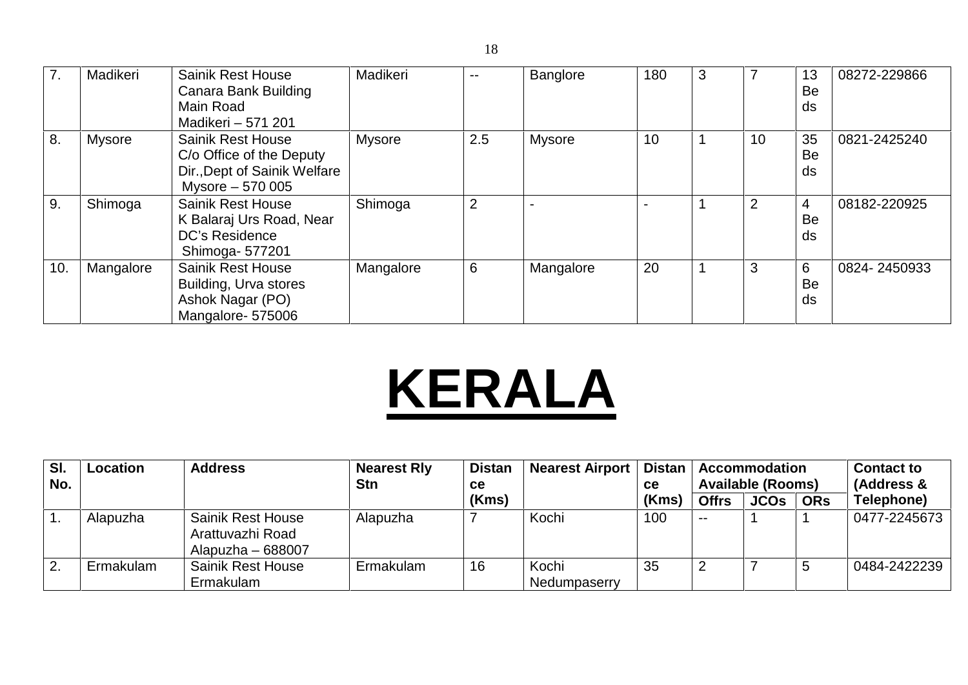| 7.  | Madikeri      | <b>Sainik Rest House</b><br>Canara Bank Building<br>Main Road<br>Madikeri - 571 201                      | Madikeri      | --             | <b>Banglore</b> | 180 | 3 | $\overline{7}$ | 13<br>Be<br>ds             | 08272-229866 |
|-----|---------------|----------------------------------------------------------------------------------------------------------|---------------|----------------|-----------------|-----|---|----------------|----------------------------|--------------|
| 8.  | <b>Mysore</b> | <b>Sainik Rest House</b><br>C/o Office of the Deputy<br>Dir., Dept of Sainik Welfare<br>Mysore - 570 005 | <b>Mysore</b> | 2.5            | <b>Mysore</b>   | 10  |   | 10             | 35<br>Be<br>ds             | 0821-2425240 |
| 9.  | Shimoga       | <b>Sainik Rest House</b><br>K Balaraj Urs Road, Near<br>DC's Residence<br>Shimoga- 577201                | Shimoga       | $\overline{2}$ |                 |     |   | $\overline{2}$ | $\overline{4}$<br>Be<br>ds | 08182-220925 |
| 10. | Mangalore     | <b>Sainik Rest House</b><br>Building, Urva stores<br>Ashok Nagar (PO)<br>Mangalore-575006                | Mangalore     | 6              | Mangalore       | 20  | 1 | 3              | 6<br>Be<br>ds              | 0824-2450933 |

# **KERALA**

| SI.<br>No. | <b>Location</b> | <b>Address</b>                                                     | <b>Nearest Rly</b><br><b>Stn</b> | <b>Distan</b><br><b>ce</b> | <b>Nearest Airport</b> | <b>Distan</b><br><b>ce</b> |              | <b>Accommodation</b><br><b>Available (Rooms)</b> |            | <b>Contact to</b><br>(Address & |  |
|------------|-----------------|--------------------------------------------------------------------|----------------------------------|----------------------------|------------------------|----------------------------|--------------|--------------------------------------------------|------------|---------------------------------|--|
|            |                 |                                                                    |                                  | (Kms)                      |                        | (Kms)                      | <b>Offrs</b> | <b>JCOs</b>                                      | <b>ORs</b> | Telephone)                      |  |
|            | Alapuzha        | <b>Sainik Rest House</b><br>Arattuvazhi Road<br>Alapuzha $-688007$ | Alapuzha                         |                            | Kochi                  | 100                        | $- -$        |                                                  |            | 0477-2245673                    |  |
| 2.         | Ermakulam       | <b>Sainik Rest House</b><br>Ermakulam                              | Ermakulam                        | 16                         | Kochi<br>Nedumpaserry  | 35                         |              |                                                  |            | 0484-2422239                    |  |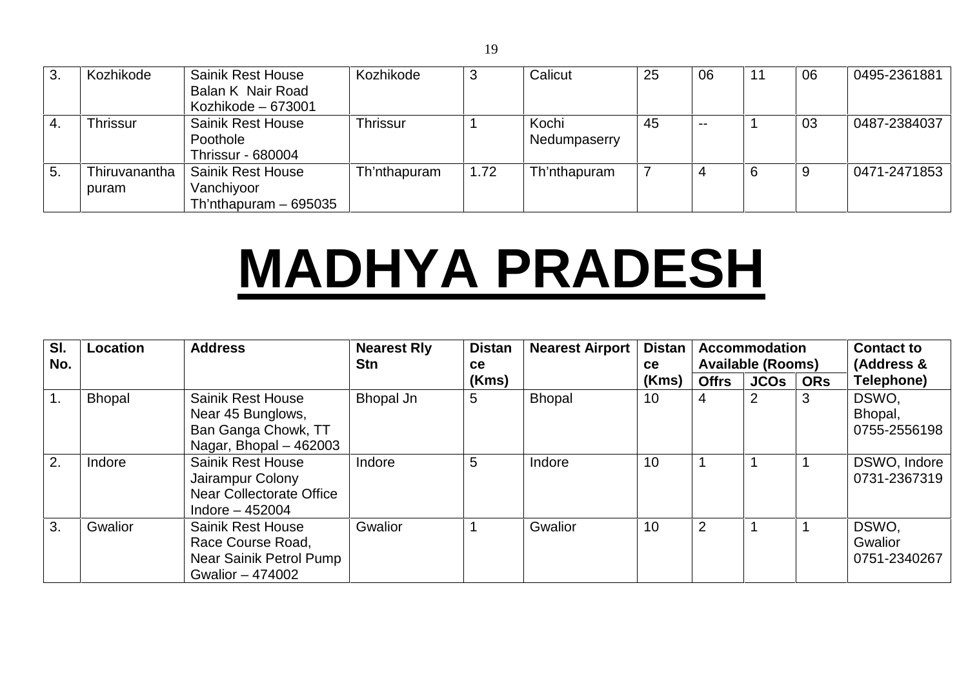| 3. | Kozhikode       | <b>Sainik Rest House</b> | Kozhikode    | 3    | Calicut      | 25 | 06    |   | 06 | 0495-2361881 |  |
|----|-----------------|--------------------------|--------------|------|--------------|----|-------|---|----|--------------|--|
|    |                 | Balan K Nair Road        |              |      |              |    |       |   |    |              |  |
|    |                 | Kozhikode - 673001       |              |      |              |    |       |   |    |              |  |
|    | <b>Thrissur</b> | <b>Sainik Rest House</b> | Thrissur     |      | Kochi        | 45 | $- -$ |   | 03 | 0487-2384037 |  |
|    |                 | Poothole                 |              |      | Nedumpaserry |    |       |   |    |              |  |
|    |                 | <b>Thrissur - 680004</b> |              |      |              |    |       |   |    |              |  |
| 5. | Thiruvanantha   | <b>Sainik Rest House</b> | Th'nthapuram | 1.72 | Th'nthapuram |    |       | 6 | 9  | 0471-2471853 |  |
|    | puram           | Vanchiyoor               |              |      |              |    |       |   |    |              |  |
|    |                 | Th'nthapuram $-695035$   |              |      |              |    |       |   |    |              |  |

## **MADHYA PRADESH**

| SI.<br>No.     | Location      | <b>Address</b>                                                                                      | <b>Nearest Rly</b><br><b>Stn</b> | <b>Distan</b><br><b>ce</b> | <b>Nearest Airport</b> | <b>Distan</b><br><b>ce</b> |              | <b>Accommodation</b><br><b>Available (Rooms)</b> |            | <b>Contact to</b><br>(Address &  |
|----------------|---------------|-----------------------------------------------------------------------------------------------------|----------------------------------|----------------------------|------------------------|----------------------------|--------------|--------------------------------------------------|------------|----------------------------------|
|                |               |                                                                                                     |                                  | (Kms)                      |                        | (Kms)                      | <b>Offrs</b> | <b>JCOs</b>                                      | <b>ORs</b> | Telephone)                       |
| $\mathbf{1}$ . | <b>Bhopal</b> | <b>Sainik Rest House</b><br>Near 45 Bunglows,<br>Ban Ganga Chowk, TT<br>Nagar, Bhopal $-462003$     | Bhopal Jn                        | 5                          | <b>Bhopal</b>          | 10                         | 4            |                                                  | C,         | DSWO.<br>Bhopal,<br>0755-2556198 |
| 2.             | Indore        | <b>Sainik Rest House</b><br>Jairampur Colony<br><b>Near Collectorate Office</b><br>Indore $-452004$ | Indore                           | 5                          | Indore                 | 10                         |              |                                                  |            | DSWO, Indore<br>0731-2367319     |
| 3.             | Gwalior       | <b>Sainik Rest House</b><br>Race Course Road,<br>Near Sainik Petrol Pump<br>Gwalior - 474002        | Gwalior                          |                            | <b>Gwalior</b>         | 10                         | 2            |                                                  |            | DSWO,<br>Gwalior<br>0751-2340267 |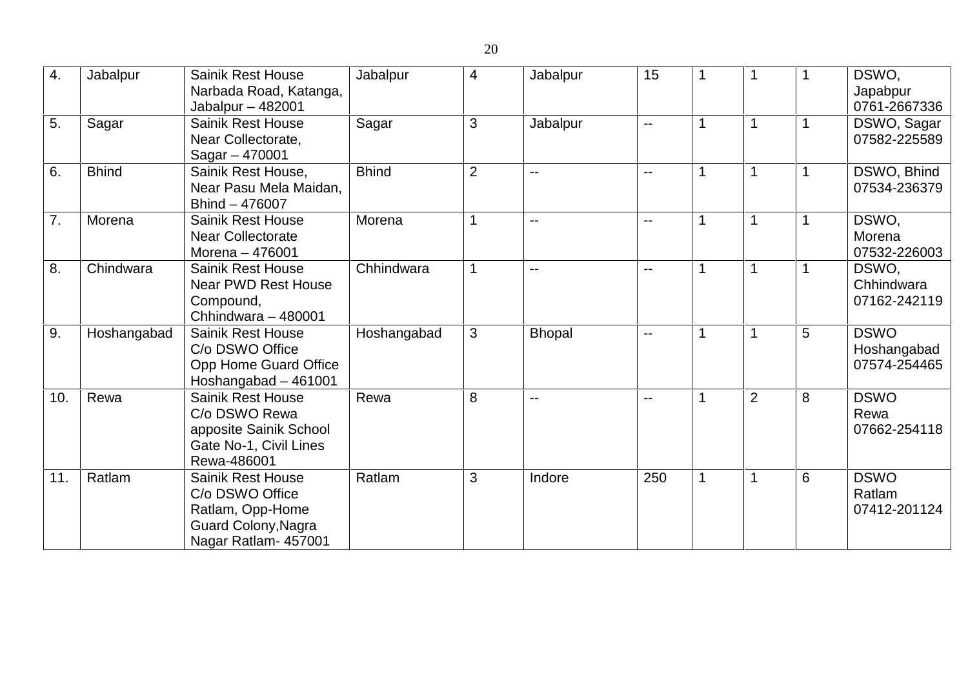| 4.  | Jabalpur     | <b>Sainik Rest House</b><br>Narbada Road, Katanga,<br>Jabalpur $-482001$                                       | Jabalpur     | $\overline{4}$           | Jabalpur       | 15                       |             |                |   | DSWO,<br>Japabpur<br>0761-2667336          |
|-----|--------------|----------------------------------------------------------------------------------------------------------------|--------------|--------------------------|----------------|--------------------------|-------------|----------------|---|--------------------------------------------|
| 5.  | Sagar        | <b>Sainik Rest House</b><br>Near Collectorate,<br>Sagar - 470001                                               | Sagar        | $\mathbf{3}$             | Jabalpur       | $-$                      | 1           | 1              |   | DSWO, Sagar<br>07582-225589                |
| 6.  | <b>Bhind</b> | Sainik Rest House,<br>Near Pasu Mela Maidan,<br>Bhind - 476007                                                 | <b>Bhind</b> | 2                        | $\overline{a}$ | $- -$                    |             |                |   | DSWO, Bhind<br>07534-236379                |
| 7.  | Morena       | <b>Sainik Rest House</b><br><b>Near Collectorate</b><br>Morena - 476001                                        | Morena       | $\overline{\phantom{a}}$ | $\overline{a}$ | $- -$                    |             |                |   | DSWO,<br>Morena<br>07532-226003            |
| 8.  | Chindwara    | <b>Sainik Rest House</b><br><b>Near PWD Rest House</b><br>Compound,<br>Chhindwara - 480001                     | Chhindwara   |                          | $\overline{a}$ | $\overline{\phantom{a}}$ |             |                |   | DSWO,<br>Chhindwara<br>07162-242119        |
| 9.  | Hoshangabad  | <b>Sainik Rest House</b><br>C/o DSWO Office<br>Opp Home Guard Office<br>Hoshangabad - 461001                   | Hoshangabad  | 3                        | <b>Bhopal</b>  | $- -$                    |             |                | 5 | <b>DSWO</b><br>Hoshangabad<br>07574-254465 |
| 10. | Rewa         | <b>Sainik Rest House</b><br>C/o DSWO Rewa<br>apposite Sainik School<br>Gate No-1, Civil Lines<br>Rewa-486001   | Rewa         | 8                        | $\overline{a}$ | $- -$                    |             | $\overline{2}$ | 8 | <b>DSWO</b><br>Rewa<br>07662-254118        |
| 11. | Ratlam       | <b>Sainik Rest House</b><br>C/o DSWO Office<br>Ratlam, Opp-Home<br>Guard Colony, Nagra<br>Nagar Ratlam- 457001 | Ratlam       | 3                        | Indore         | 250                      | $\mathbf 1$ | 1              | 6 | <b>DSWO</b><br>Ratlam<br>07412-201124      |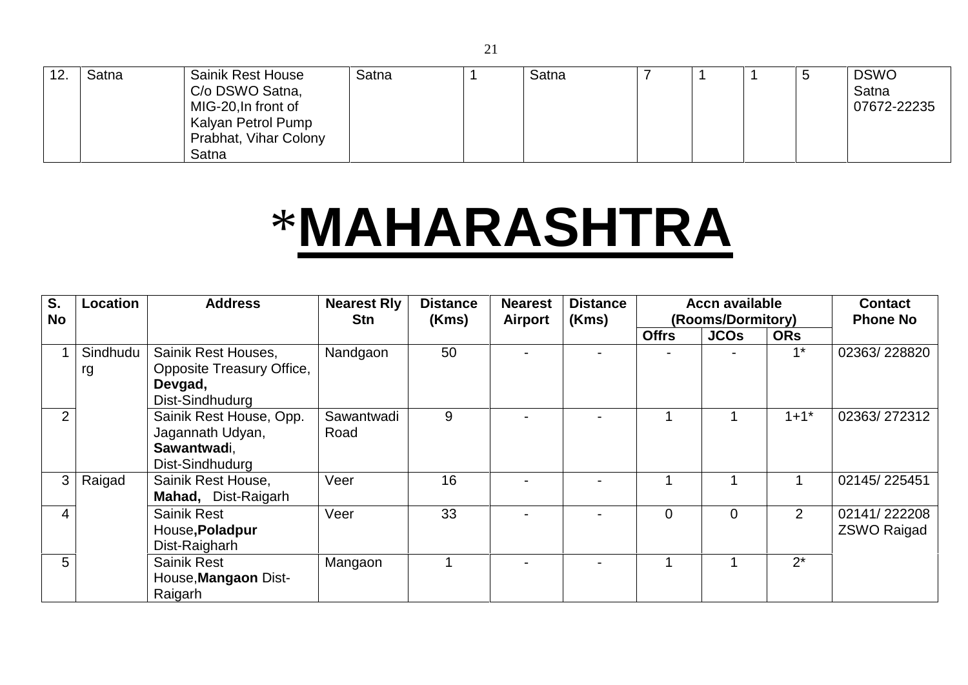| 12. | Satna | <b>Sainik Rest House</b><br>C/o DSWO Satna,<br>MIG-20, In front of<br>Kalyan Petrol Pump<br>Prabhat, Vihar Colony | Satna | Satna |  |  | <b>DSWO</b><br>Satna<br>07672-22235 |
|-----|-------|-------------------------------------------------------------------------------------------------------------------|-------|-------|--|--|-------------------------------------|
|     |       | Satna                                                                                                             |       |       |  |  |                                     |

#### \***MAHARASHTRA**

| S.<br><b>No</b> | Location       | <b>Address</b>                                                                 | <b>Nearest Rly</b><br><b>Stn</b> | <b>Distance</b><br>(Kms) | <b>Nearest</b><br>Airport | <b>Distance</b><br>(Kms) |              | <b>Accn available</b><br>(Rooms/Dormitory) |                | <b>Contact</b><br><b>Phone No</b>  |
|-----------------|----------------|--------------------------------------------------------------------------------|----------------------------------|--------------------------|---------------------------|--------------------------|--------------|--------------------------------------------|----------------|------------------------------------|
|                 |                |                                                                                |                                  |                          |                           |                          | <b>Offrs</b> | <b>JCOs</b>                                | <b>ORs</b>     |                                    |
|                 | Sindhudu<br>rg | Sainik Rest Houses,<br>Opposite Treasury Office,<br>Devgad,<br>Dist-Sindhudurg | Nandgaon                         | 50                       | $\overline{\phantom{0}}$  |                          |              |                                            | $4*$           | 02363/228820                       |
| $\overline{2}$  |                | Sainik Rest House, Opp.<br>Jagannath Udyan,<br>Sawantwadi,<br>Dist-Sindhudurg  | Sawantwadi<br>Road               | 9                        |                           |                          |              |                                            | $1 + 1^*$      | 02363/272312                       |
| 3               | Raigad         | Sainik Rest House,<br>Mahad, Dist-Raigarh                                      | Veer                             | 16                       |                           |                          |              |                                            |                | 02145/225451                       |
| 4               |                | <b>Sainik Rest</b><br>House, Poladpur<br>Dist-Raigharh                         | Veer                             | 33                       | $\overline{\phantom{0}}$  |                          | $\Omega$     | $\Omega$                                   | $\overline{2}$ | 02141/222208<br><b>ZSWO Raigad</b> |
| 5               |                | <b>Sainik Rest</b><br>House, Mangaon Dist-<br>Raigarh                          | Mangaon                          |                          |                           |                          |              |                                            | $2^*$          |                                    |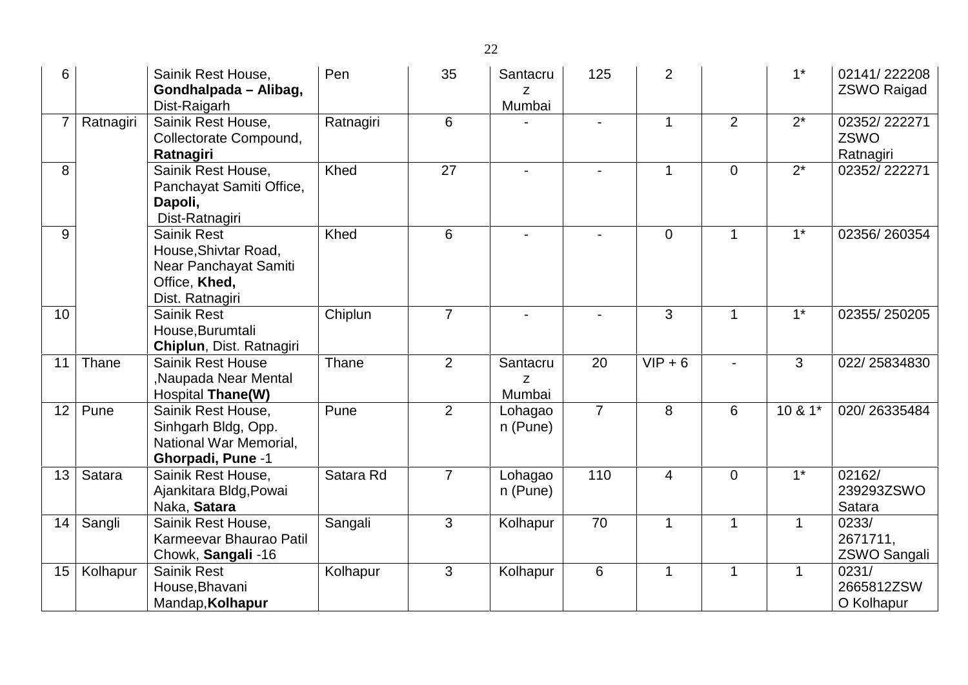| 6              |           | Sainik Rest House,<br>Gondhalpada - Alibag,<br>Dist-Raigarh                                             | Pen       | 35             | Santacru<br>Z<br>Mumbai | 125            | $\overline{2}$ |                | $1^*$        | 02141/222208<br><b>ZSWO Raigad</b> |
|----------------|-----------|---------------------------------------------------------------------------------------------------------|-----------|----------------|-------------------------|----------------|----------------|----------------|--------------|------------------------------------|
| $\overline{7}$ | Ratnagiri | Sainik Rest House,<br>Collectorate Compound,<br>Ratnagiri                                               | Ratnagiri | 6              |                         |                | 1              | $\overline{2}$ | $2^*$        | 02352/222271<br>ZSWO<br>Ratnagiri  |
| 8              |           | Sainik Rest House,<br>Panchayat Samiti Office,<br>Dapoli,<br>Dist-Ratnagiri                             | Khed      | 27             |                         |                | 1              | $\overline{0}$ | $2^*$        | 02352/222271                       |
| 9              |           | <b>Sainik Rest</b><br>House, Shivtar Road,<br>Near Panchayat Samiti<br>Office, Khed,<br>Dist. Ratnagiri | Khed      | 6              |                         |                | $\overline{0}$ | 1              | $1*$         | 02356/260354                       |
| 10             |           | <b>Sainik Rest</b><br>House, Burumtali<br>Chiplun, Dist. Ratnagiri                                      | Chiplun   | $\overline{7}$ |                         |                | 3              | 1              | $1^*$        | 02355/250205                       |
| 11             | Thane     | <b>Sainik Rest House</b><br>Naupada Near Mental<br>Hospital Thane(W)                                    | Thane     | $\overline{2}$ | Santacru<br>Z<br>Mumbai | 20             | $VIP + 6$      |                | 3            | 022/25834830                       |
| 12             | Pune      | Sainik Rest House.<br>Sinhgarh Bldg, Opp.<br>National War Memorial,<br><b>Ghorpadi, Pune -1</b>         | Pune      | $\overline{2}$ | Lohagao<br>n (Pune)     | $\overline{7}$ | 8              | 6              | 10 & 1*      | 020/26335484                       |
| 13             | Satara    | Sainik Rest House,<br>Ajankitara Bldg, Powai<br>Naka, Satara                                            | Satara Rd | $\overline{7}$ | Lohagao<br>n (Pune)     | 110            | $\overline{4}$ | $\overline{0}$ | $1*$         | 02162/<br>239293ZSWO<br>Satara     |
| 14             | Sangli    | Sainik Rest House,<br>Karmeevar Bhaurao Patil<br>Chowk, Sangali -16                                     | Sangali   | 3              | Kolhapur                | 70             | 1              | 1              | $\mathbf{1}$ | 0233/<br>2671711,<br>ZSWO Sangali  |
| 15             | Kolhapur  | <b>Sainik Rest</b><br>House, Bhavani<br>Mandap, Kolhapur                                                | Kolhapur  | 3              | Kolhapur                | $6\phantom{1}$ | 1              | 1              | 1            | 0231/<br>2665812ZSW<br>O Kolhapur  |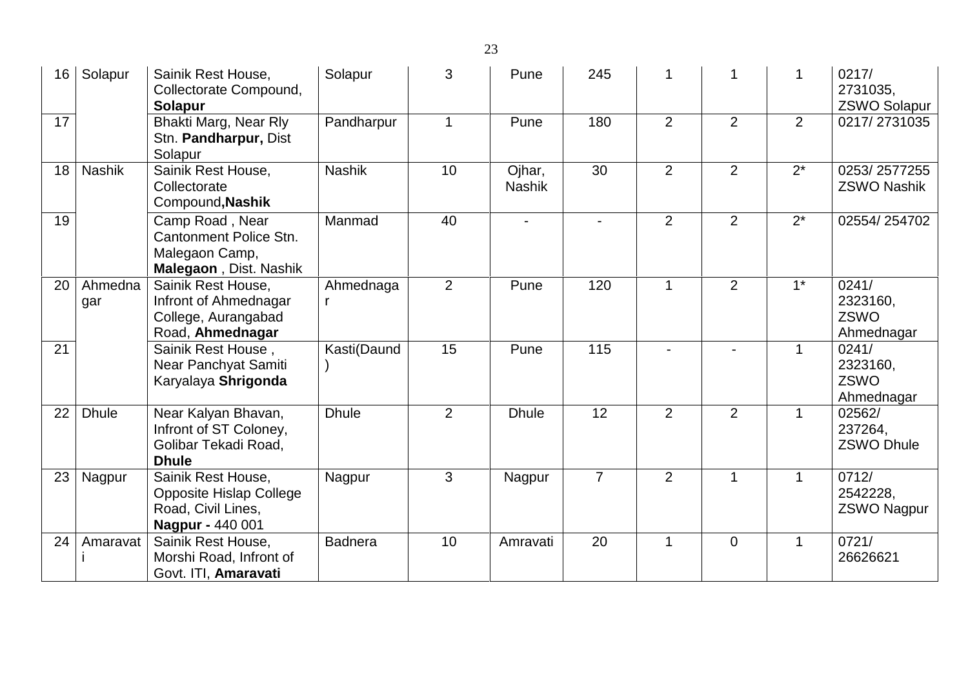| 16 | Solapur        | Sainik Rest House,<br>Collectorate Compound,<br><b>Solapur</b>                                        | Solapur        | 3              | Pune                    | 245            |                |                |              | 0217/<br>2731035,<br><b>ZSWO Solapur</b> |
|----|----------------|-------------------------------------------------------------------------------------------------------|----------------|----------------|-------------------------|----------------|----------------|----------------|--------------|------------------------------------------|
| 17 |                | Bhakti Marg, Near Rly<br>Stn. Pandharpur, Dist<br>Solapur                                             | Pandharpur     | $\mathbf 1$    | Pune                    | 180            | 2              | $\overline{2}$ | 2            | 0217/2731035                             |
| 18 | <b>Nashik</b>  | Sainik Rest House,<br>Collectorate<br>Compound, Nashik                                                | <b>Nashik</b>  | 10             | Ojhar,<br><b>Nashik</b> | 30             | 2              | 2              | $2^*$        | 0253/2577255<br><b>ZSWO Nashik</b>       |
| 19 |                | Camp Road, Near<br>Cantonment Police Stn.<br>Malegaon Camp,<br>Malegaon, Dist. Nashik                 | Manmad         | 40             | $\blacksquare$          | $\overline{a}$ | 2              | 2              | $2^*$        | 02554/254702                             |
| 20 | Ahmedna<br>gar | Sainik Rest House,<br>Infront of Ahmednagar<br>College, Aurangabad<br>Road, Ahmednagar                | Ahmednaga<br>r | $\overline{2}$ | Pune                    | 120            | $\mathbf{1}$   | 2              | $1^*$        | 0241/<br>2323160,<br>ZSWO<br>Ahmednagar  |
| 21 |                | Sainik Rest House,<br>Near Panchyat Samiti<br>Karyalaya Shrigonda                                     | Kasti(Daund    | 15             | Pune                    | 115            |                |                |              | 0241/<br>2323160,<br>ZSWO<br>Ahmednagar  |
| 22 | <b>Dhule</b>   | Near Kalyan Bhavan,<br>Infront of ST Coloney,<br>Golibar Tekadi Road,<br><b>Dhule</b>                 | <b>Dhule</b>   | $\overline{2}$ | <b>Dhule</b>            | 12             | $\overline{2}$ | $\overline{2}$ | $\mathbf{1}$ | 02562/<br>237264,<br><b>ZSWO Dhule</b>   |
| 23 | Nagpur         | Sainik Rest House,<br><b>Opposite Hislap College</b><br>Road, Civil Lines,<br><b>Nagpur - 440 001</b> | Nagpur         | 3              | Nagpur                  | $\overline{7}$ | 2              | 1              | $\mathbf 1$  | 0712/<br>2542228,<br><b>ZSWO Nagpur</b>  |
| 24 | Amaravat       | Sainik Rest House,<br>Morshi Road, Infront of<br>Govt. ITI, Amaravati                                 | <b>Badnera</b> | 10             | Amravati                | 20             | $\mathbf{1}$   | $\overline{0}$ | $\mathbf 1$  | 0721/<br>26626621                        |

23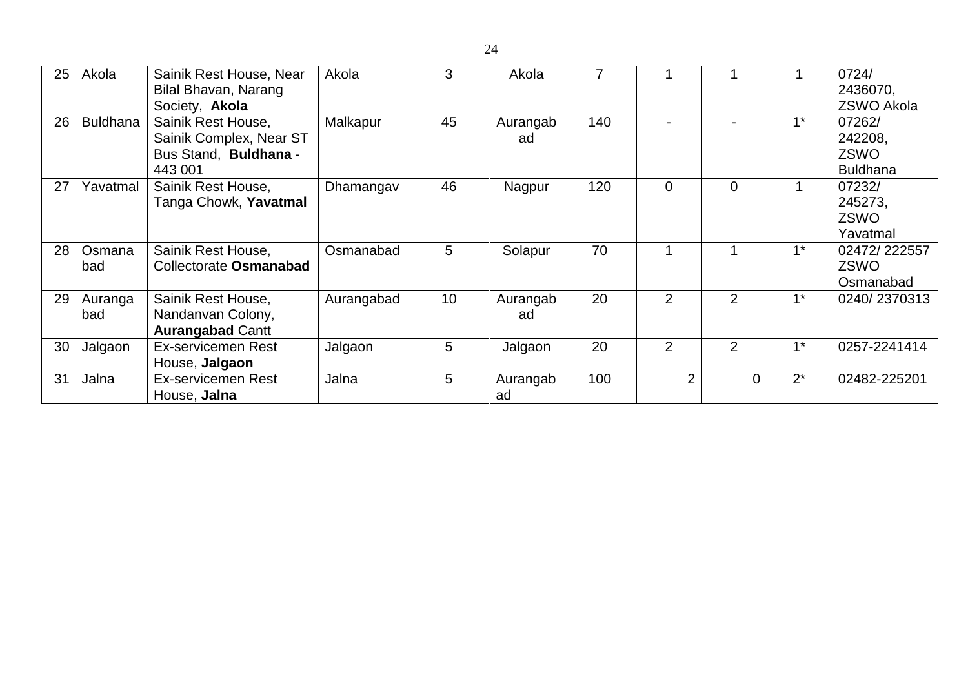| 25 | Akola           | Sainik Rest House, Near<br>Bilal Bhavan, Narang<br>Society, Akola                 | Akola      | 3  | Akola          |     |                |          |       | 0724/<br>2436070,<br><b>ZSWO Akola</b>              |
|----|-----------------|-----------------------------------------------------------------------------------|------------|----|----------------|-----|----------------|----------|-------|-----------------------------------------------------|
| 26 | <b>Buldhana</b> | Sainik Rest House,<br>Sainik Complex, Near ST<br>Bus Stand, Buldhana -<br>443 001 | Malkapur   | 45 | Aurangab<br>ad | 140 |                |          | $1^*$ | 07262/<br>242208,<br><b>ZSWO</b><br><b>Buldhana</b> |
| 27 | Yavatmal        | Sainik Rest House,<br>Tanga Chowk, Yavatmal                                       | Dhamangav  | 46 | Nagpur         | 120 | $\overline{0}$ | $\Omega$ |       | 07232/<br>245273,<br><b>ZSWO</b><br>Yavatmal        |
| 28 | Osmana<br>bad   | Sainik Rest House,<br>Collectorate Osmanabad                                      | Osmanabad  | 5  | Solapur        | 70  |                |          | $1^*$ | 02472/222557<br><b>ZSWO</b><br>Osmanabad            |
| 29 | Auranga<br>bad  | Sainik Rest House,<br>Nandanvan Colony,<br><b>Aurangabad Cantt</b>                | Aurangabad | 10 | Aurangab<br>ad | 20  | $\overline{2}$ | 2        | $1^*$ | 0240/2370313                                        |
| 30 | Jalgaon         | <b>Ex-servicemen Rest</b><br>House, Jalgaon                                       | Jalgaon    | 5  | Jalgaon        | 20  | $\overline{2}$ | 2        | $1^*$ | 0257-2241414                                        |
| 31 | Jalna           | Ex-servicemen Rest<br>House, Jalna                                                | Jalna      | 5  | Aurangab<br>ad | 100 | 2              | 0        | $2^*$ | 02482-225201                                        |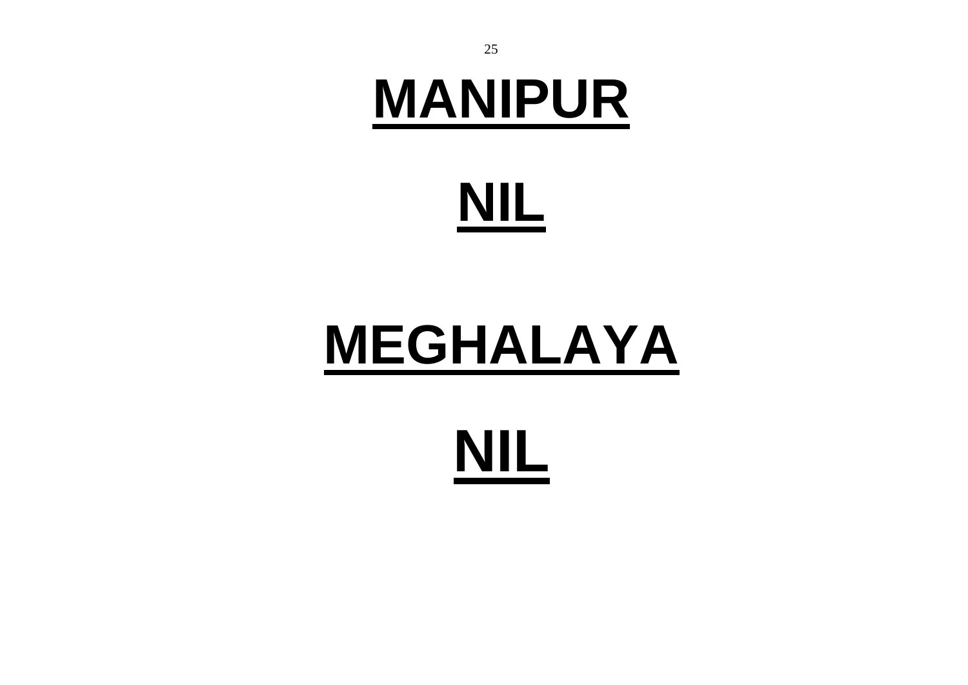## **MANIPUR**

# **NIL**

# **MEGHALAYA**

# **NIL**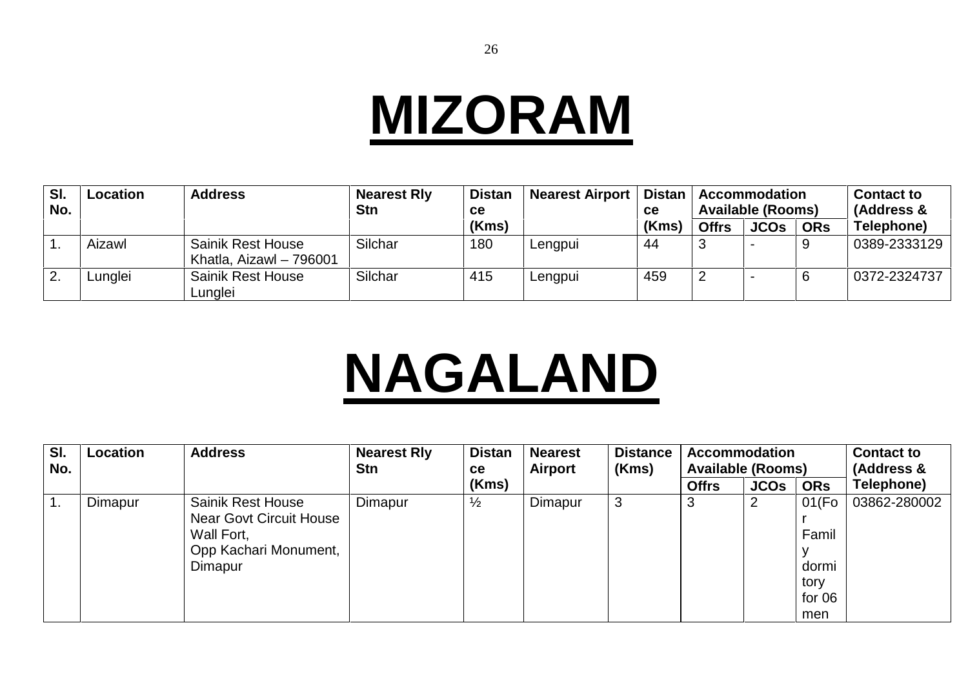#### **MIZORAM**

| SI.<br>No. | Location | <b>Address</b>                                      | <b>Nearest Rly</b><br><b>Stn</b> | <b>Distan</b><br><b>ce</b> | <b>Nearest Airport</b> | <b>Distan</b><br>ce |              | <b>Accommodation</b><br><b>Available (Rooms)</b> |            | <b>Contact to</b><br>(Address & |
|------------|----------|-----------------------------------------------------|----------------------------------|----------------------------|------------------------|---------------------|--------------|--------------------------------------------------|------------|---------------------------------|
|            |          |                                                     |                                  | (Kms)                      |                        | (Kms)               | <b>Offrs</b> | <b>JCOs</b>                                      | <b>ORs</b> | Telephone)                      |
|            | Aizawl   | <b>Sainik Rest House</b><br>Khatla, Aizawl - 796001 | Silchar                          | 180                        | Lengpui                | 44                  |              |                                                  |            | 0389-2333129                    |
| 2.         | Lunglei  | <b>Sainik Rest House</b><br>Lunglei                 | Silchar                          | 415                        | Lengpui                | 459                 |              |                                                  |            | 0372-2324737                    |

# **NAGALAND**

| SI.<br>No. | Location | <b>Address</b>                                                                                               | <b>Nearest Rly</b><br><b>Stn</b> | <b>Distan</b><br><b>ce</b> | <b>Nearest</b><br>Airport | <b>Distance</b><br>(Kms) | <b>Accommodation</b><br><b>Available (Rooms)</b> |             |                                                   | <b>Contact to</b><br>(Address & |
|------------|----------|--------------------------------------------------------------------------------------------------------------|----------------------------------|----------------------------|---------------------------|--------------------------|--------------------------------------------------|-------------|---------------------------------------------------|---------------------------------|
|            |          |                                                                                                              |                                  | (Kms)                      |                           |                          | <b>Offrs</b>                                     | <b>JCOS</b> | <b>ORs</b>                                        | Telephone)                      |
| ι.         | Dimapur  | <b>Sainik Rest House</b><br><b>Near Govt Circuit House</b><br>Wall Fort,<br>Opp Kachari Monument,<br>Dimapur | Dimapur                          | $\frac{1}{2}$              | Dimapur                   | 3                        | 3                                                | 2           | 01(Fo)<br>Famil<br>dormi<br>tory<br>for 06<br>men | 03862-280002                    |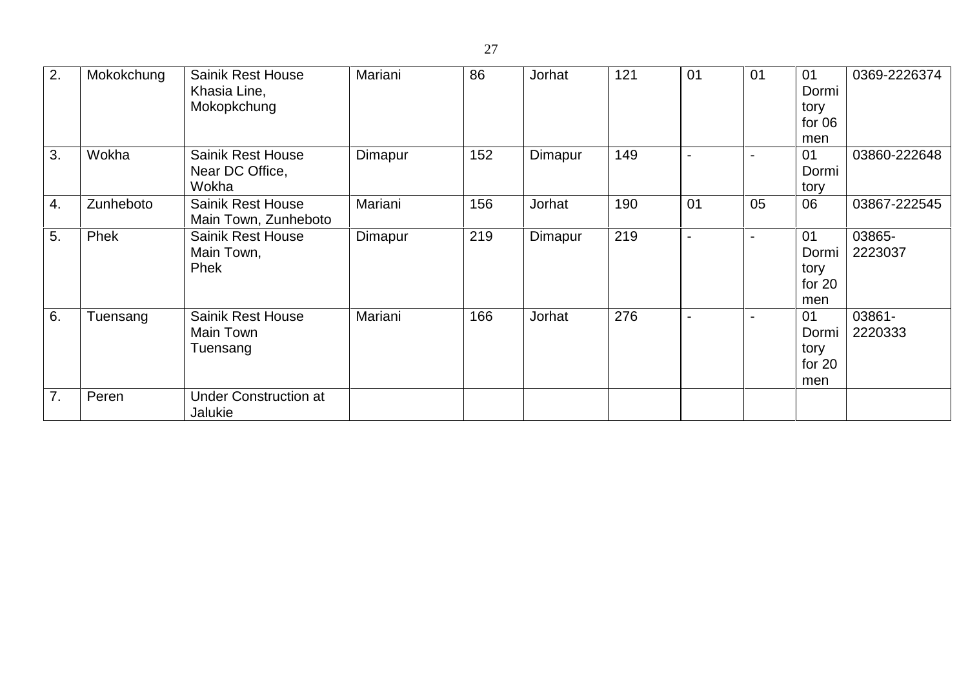| 2. | Mokokchung | <b>Sainik Rest House</b><br>Khasia Line,<br>Mokopkchung | Mariani | 86  | Jorhat  | 121 | 01 | 01                       | 01<br>Dormi<br>tory<br>for 06<br>men   | 0369-2226374      |
|----|------------|---------------------------------------------------------|---------|-----|---------|-----|----|--------------------------|----------------------------------------|-------------------|
| 3. | Wokha      | Sainik Rest House<br>Near DC Office,<br>Wokha           | Dimapur | 152 | Dimapur | 149 |    |                          | 01<br>Dormi<br>tory                    | 03860-222648      |
| 4. | Zunheboto  | <b>Sainik Rest House</b><br>Main Town, Zunheboto        | Mariani | 156 | Jorhat  | 190 | 01 | 05                       | 06                                     | 03867-222545      |
| 5. | Phek       | <b>Sainik Rest House</b><br>Main Town,<br>Phek          | Dimapur | 219 | Dimapur | 219 |    | $\overline{\phantom{a}}$ | 01<br>Dormi<br>tory<br>for $20$<br>men | 03865-<br>2223037 |
| 6. | Tuensang   | <b>Sainik Rest House</b><br>Main Town<br>Tuensang       | Mariani | 166 | Jorhat  | 276 |    | $\overline{\phantom{0}}$ | 01<br>Dormi<br>tory<br>for $20$<br>men | 03861-<br>2220333 |
| 7. | Peren      | <b>Under Construction at</b><br>Jalukie                 |         |     |         |     |    |                          |                                        |                   |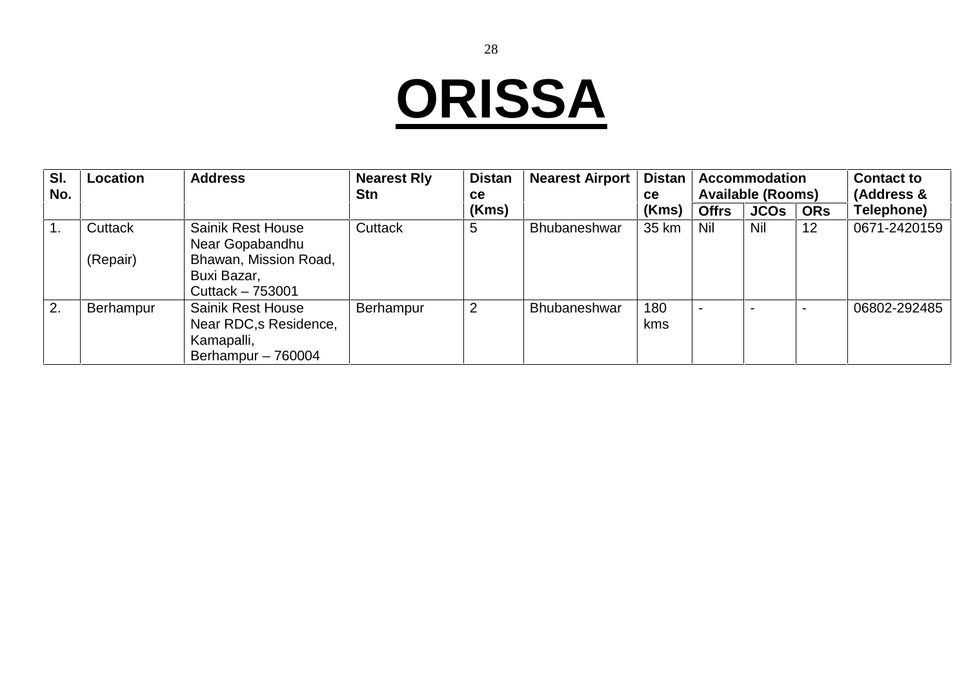# **ORISSA**

| SI.<br>No. | <b>Location</b> | <b>Address</b>                                                                         | <b>Nearest Rly</b><br><b>Stn</b> | <b>Distan</b><br><b>ce</b> | <b>Nearest Airport</b> | <b>Distan</b><br>ce |              | <b>Accommodation</b><br><b>Available (Rooms)</b> |            | <b>Contact to</b><br>(Address & |  |
|------------|-----------------|----------------------------------------------------------------------------------------|----------------------------------|----------------------------|------------------------|---------------------|--------------|--------------------------------------------------|------------|---------------------------------|--|
|            |                 |                                                                                        |                                  | (Kms)                      |                        | (Kms)               | <b>Offrs</b> | <b>JCOs</b>                                      | <b>ORs</b> | Telephone)                      |  |
|            | Cuttack         | <b>Sainik Rest House</b><br>Near Gopabandhu                                            | <b>Cuttack</b>                   | 5                          | <b>Bhubaneshwar</b>    | 35 km               | Nil          | Nil                                              | 12         | 0671-2420159                    |  |
|            | (Repair)        | Bhawan, Mission Road,<br>Buxi Bazar,<br>Cuttack - 753001                               |                                  |                            |                        |                     |              |                                                  |            |                                 |  |
| 2.         | Berhampur       | <b>Sainik Rest House</b><br>Near RDC, s Residence,<br>Kamapalli,<br>Berhampur - 760004 | Berhampur                        | 2                          | <b>Bhubaneshwar</b>    | 180<br><b>kms</b>   |              |                                                  |            | 06802-292485                    |  |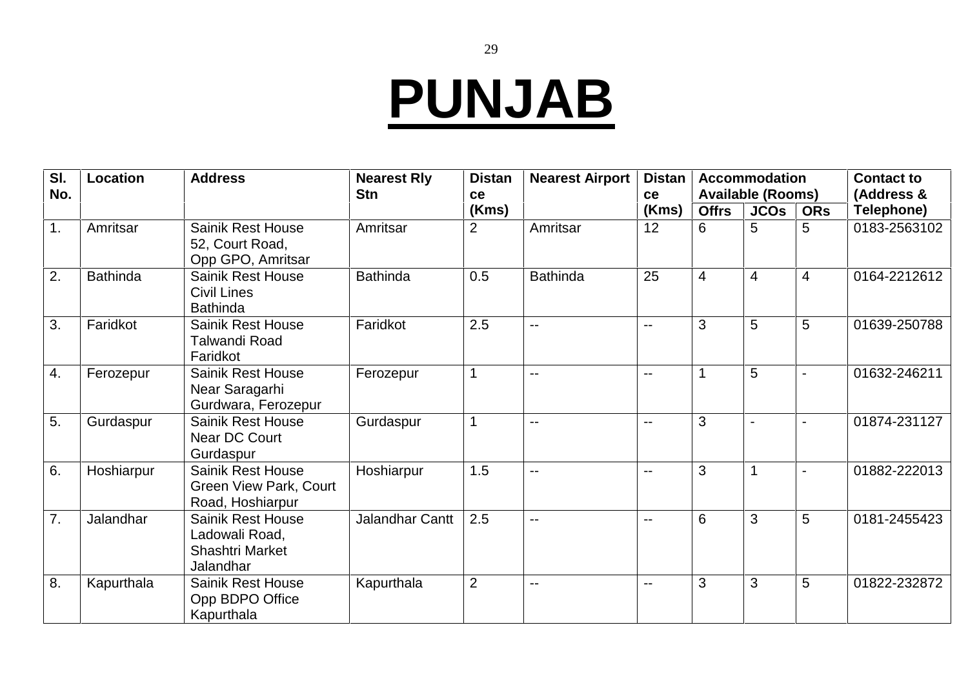## **PUNJAB**

| SI.<br>No.       | Location        | <b>Address</b>                                                                    | <b>Nearest Rly</b><br><b>Stn</b> | <b>Distan</b><br>ce | <b>Nearest Airport</b> | <b>Distan</b><br>ce |                 | <b>Accommodation</b><br><b>Available (Rooms)</b> |            | <b>Contact to</b><br>(Address & |
|------------------|-----------------|-----------------------------------------------------------------------------------|----------------------------------|---------------------|------------------------|---------------------|-----------------|--------------------------------------------------|------------|---------------------------------|
|                  |                 |                                                                                   |                                  | (Kms)               |                        | (Kms)               | <b>Offrs</b>    | <b>JCOs</b>                                      | <b>ORs</b> | Telephone)                      |
| 1.               | Amritsar        | Sainik Rest House<br>52, Court Road,<br>Opp GPO, Amritsar                         | Amritsar                         | 2                   | Amritsar               | 12                  | 6               | 5                                                | 5          | 0183-2563102                    |
| 2.               | <b>Bathinda</b> | <b>Sainik Rest House</b><br><b>Civil Lines</b><br><b>Bathinda</b>                 | <b>Bathinda</b>                  | 0.5                 | <b>Bathinda</b>        | 25                  | $\overline{4}$  | $\overline{4}$                                   | 4          | 0164-2212612                    |
| 3.               | Faridkot        | <b>Sainik Rest House</b><br><b>Talwandi Road</b><br>Faridkot                      | Faridkot                         | 2.5                 | $- -$                  | --                  | 3               | 5                                                | 5          | 01639-250788                    |
| 4.               | Ferozepur       | <b>Sainik Rest House</b><br>Near Saragarhi<br>Gurdwara, Ferozepur                 | Ferozepur                        | 1                   | $\overline{a}$         | $-$                 | 1               | 5                                                |            | 01632-246211                    |
| 5.               | Gurdaspur       | <b>Sainik Rest House</b><br>Near DC Court<br>Gurdaspur                            | Gurdaspur                        |                     | $- -$                  | $-$                 | 3               |                                                  |            | 01874-231127                    |
| 6.               | Hoshiarpur      | <b>Sainik Rest House</b><br><b>Green View Park, Court</b><br>Road, Hoshiarpur     | Hoshiarpur                       | 1.5                 | $\overline{a}$         | $-$                 | 3               |                                                  |            | 01882-222013                    |
| $\overline{7}$ . | Jalandhar       | <b>Sainik Rest House</b><br>Ladowali Road,<br><b>Shashtri Market</b><br>Jalandhar | Jalandhar Cantt                  | 2.5                 | $- -$                  | $-$                 | $6\phantom{1}6$ | 3                                                | 5          | 0181-2455423                    |
| 8.               | Kapurthala      | <b>Sainik Rest House</b><br>Opp BDPO Office<br>Kapurthala                         | Kapurthala                       | $\overline{2}$      | --                     | $-$                 | 3               | 3                                                | 5          | 01822-232872                    |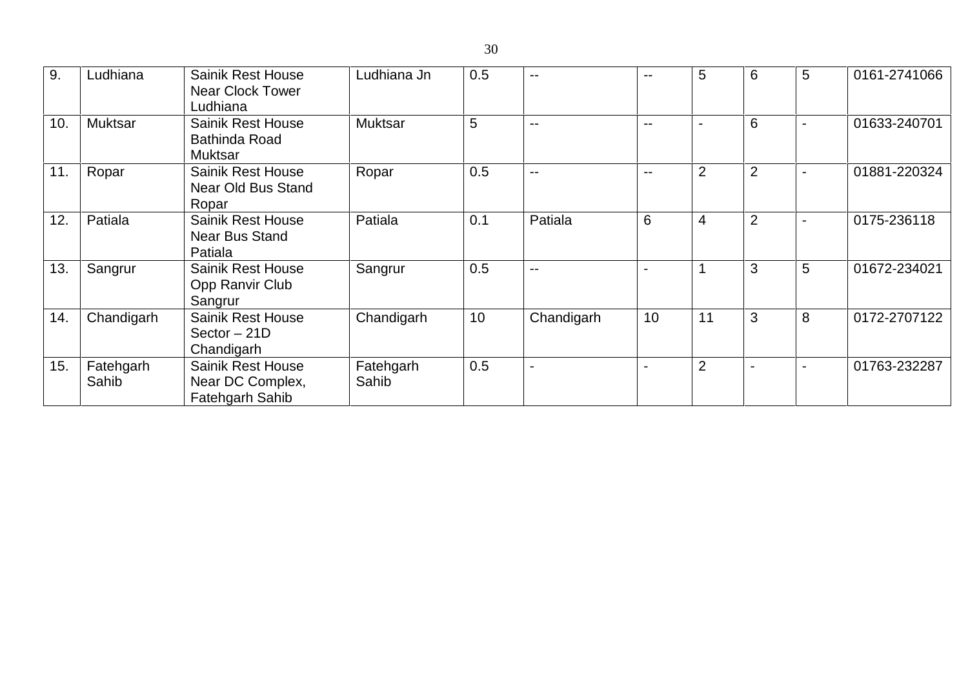| 9.              | Ludhiana           | <b>Sainik Rest House</b><br><b>Near Clock Tower</b><br>Ludhiana    | Ludhiana Jn        | 0.5 | $\overline{\phantom{m}}$ | $-$   | 5              | 6              | 5                        | 0161-2741066 |
|-----------------|--------------------|--------------------------------------------------------------------|--------------------|-----|--------------------------|-------|----------------|----------------|--------------------------|--------------|
| 10 <sub>1</sub> | <b>Muktsar</b>     | <b>Sainik Rest House</b><br><b>Bathinda Road</b><br><b>Muktsar</b> | <b>Muktsar</b>     | 5   | $\overline{\phantom{m}}$ | $- -$ |                | 6              | $\blacksquare$           | 01633-240701 |
| 11.             | Ropar              | <b>Sainik Rest House</b><br>Near Old Bus Stand<br>Ropar            | Ropar              | 0.5 | $\sim$ $\sim$            | $- -$ | $\overline{2}$ | $\overline{2}$ | $\blacksquare$           | 01881-220324 |
| 12.             | Patiala            | Sainik Rest House<br><b>Near Bus Stand</b><br>Patiala              | Patiala            | 0.1 | Patiala                  | 6     | 4              | 2              |                          | 0175-236118  |
| 13.             | Sangrur            | <b>Sainik Rest House</b><br>Opp Ranvir Club<br>Sangrur             | Sangrur            | 0.5 | $\overline{\phantom{m}}$ |       |                | 3              | 5                        | 01672-234021 |
| 14.             | Chandigarh         | <b>Sainik Rest House</b><br>$Sector - 21D$<br>Chandigarh           | Chandigarh         | 10  | Chandigarh               | 10    | 11             | 3              | 8                        | 0172-2707122 |
| 15.             | Fatehgarh<br>Sahib | <b>Sainik Rest House</b><br>Near DC Complex,<br>Fatehgarh Sahib    | Fatehgarh<br>Sahib | 0.5 | $\blacksquare$           |       | $\overline{2}$ |                | $\overline{\phantom{a}}$ | 01763-232287 |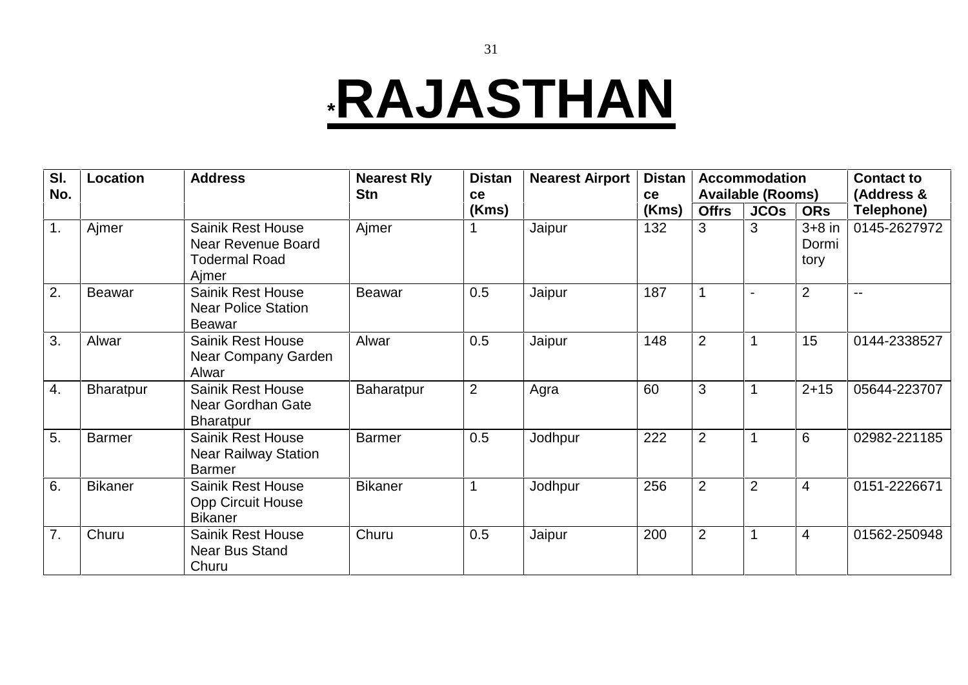#### **\*RAJASTHAN**

| SI.<br>No. | Location         | <b>Address</b>                                                                  | <b>Nearest Rly</b><br><b>Stn</b> | <b>Distan</b>  | <b>Nearest Airport</b> | <b>Distan</b>      |                | <b>Accommodation</b>                    |                           | <b>Contact to</b>        |
|------------|------------------|---------------------------------------------------------------------------------|----------------------------------|----------------|------------------------|--------------------|----------------|-----------------------------------------|---------------------------|--------------------------|
|            |                  |                                                                                 |                                  | ce<br>(Kms)    |                        | <b>ce</b><br>(Kms) | <b>Offrs</b>   | <b>Available (Rooms)</b><br><b>JCOS</b> | <b>ORs</b>                | (Address &<br>Telephone) |
| 1.         | Ajmer            | <b>Sainik Rest House</b><br>Near Revenue Board<br><b>Todermal Road</b><br>Ajmer | Ajmer                            |                | Jaipur                 | 132                | 3              | 3                                       | $3+8$ in<br>Dormi<br>tory | 0145-2627972             |
| 2.         | <b>Beawar</b>    | <b>Sainik Rest House</b><br><b>Near Police Station</b><br><b>Beawar</b>         | <b>Beawar</b>                    | 0.5            | Jaipur                 | 187                |                |                                         | 2                         | $\sim$ $\sim$            |
| 3.         | Alwar            | <b>Sainik Rest House</b><br>Near Company Garden<br>Alwar                        | Alwar                            | 0.5            | Jaipur                 | 148                | $\overline{2}$ |                                         | 15                        | 0144-2338527             |
| 4.         | <b>Bharatpur</b> | <b>Sainik Rest House</b><br>Near Gordhan Gate<br><b>Bharatpur</b>               | Baharatpur                       | $\overline{2}$ | Agra                   | 60                 | 3              |                                         | $2 + 15$                  | 05644-223707             |
| 5.         | <b>Barmer</b>    | <b>Sainik Rest House</b><br><b>Near Railway Station</b><br><b>Barmer</b>        | <b>Barmer</b>                    | 0.5            | Jodhpur                | 222                | $\overline{2}$ |                                         | 6                         | 02982-221185             |
| 6.         | <b>Bikaner</b>   | <b>Sainik Rest House</b><br><b>Opp Circuit House</b><br><b>Bikaner</b>          | <b>Bikaner</b>                   |                | Jodhpur                | 256                | $\overline{2}$ | $\overline{2}$                          | 4                         | 0151-2226671             |
| 7.         | Churu            | <b>Sainik Rest House</b><br><b>Near Bus Stand</b><br>Churu                      | Churu                            | 0.5            | Jaipur                 | 200                | $\overline{2}$ |                                         | $\overline{4}$            | 01562-250948             |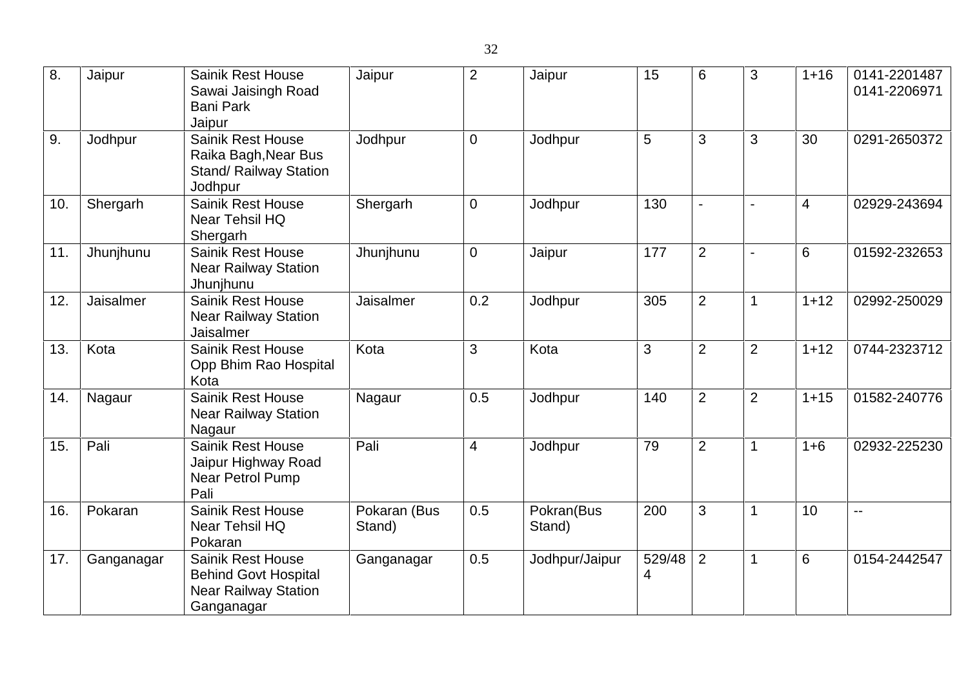| 8.  | Jaipur     | <b>Sainik Rest House</b><br>Sawai Jaisingh Road<br><b>Bani Park</b><br>Jaipur                        | Jaipur                 | 2              | Jaipur               | 15          | 6              | 3                        | $1 + 16$       | 0141-2201487<br>0141-2206971 |
|-----|------------|------------------------------------------------------------------------------------------------------|------------------------|----------------|----------------------|-------------|----------------|--------------------------|----------------|------------------------------|
| 9.  | Jodhpur    | <b>Sainik Rest House</b><br>Raika Bagh, Near Bus<br><b>Stand/ Railway Station</b><br>Jodhpur         | Jodhpur                | $\mathbf 0$    | Jodhpur              | 5           | 3              | 3                        | 30             | 0291-2650372                 |
| 10. | Shergarh   | <b>Sainik Rest House</b><br>Near Tehsil HQ<br>Shergarh                                               | Shergarh               | $\overline{0}$ | Jodhpur              | 130         | $\overline{a}$ | $\sim$                   | $\overline{4}$ | 02929-243694                 |
| 11. | Jhunjhunu  | <b>Sainik Rest House</b><br><b>Near Railway Station</b><br>Jhunjhunu                                 | Jhunjhunu              | $\overline{0}$ | Jaipur               | 177         | $\overline{2}$ | $\overline{\phantom{a}}$ | 6              | 01592-232653                 |
| 12. | Jaisalmer  | <b>Sainik Rest House</b><br><b>Near Railway Station</b><br>Jaisalmer                                 | Jaisalmer              | 0.2            | Jodhpur              | 305         | $\overline{2}$ | 1                        | $1 + 12$       | 02992-250029                 |
| 13. | Kota       | <b>Sainik Rest House</b><br>Opp Bhim Rao Hospital<br>Kota                                            | Kota                   | 3              | Kota                 | 3           | $\overline{2}$ | $\overline{2}$           | $1 + 12$       | 0744-2323712                 |
| 14. | Nagaur     | <b>Sainik Rest House</b><br><b>Near Railway Station</b><br>Nagaur                                    | Nagaur                 | 0.5            | Jodhpur              | 140         | $\overline{2}$ | $\overline{2}$           | $1 + 15$       | 01582-240776                 |
| 15. | Pali       | <b>Sainik Rest House</b><br>Jaipur Highway Road<br>Near Petrol Pump<br>Pali                          | Pali                   | $\overline{4}$ | Jodhpur              | 79          | $\overline{2}$ | $\mathbf 1$              | $1 + 6$        | 02932-225230                 |
| 16. | Pokaran    | <b>Sainik Rest House</b><br>Near Tehsil HQ<br>Pokaran                                                | Pokaran (Bus<br>Stand) | 0.5            | Pokran(Bus<br>Stand) | 200         | 3              | $\mathbf 1$              | 10             | $\mathbf{u}$                 |
| 17. | Ganganagar | <b>Sainik Rest House</b><br><b>Behind Govt Hospital</b><br><b>Near Railway Station</b><br>Ganganagar | Ganganagar             | 0.5            | Jodhpur/Jaipur       | 529/48<br>4 | $\overline{2}$ | $\mathbf 1$              | 6              | 0154-2442547                 |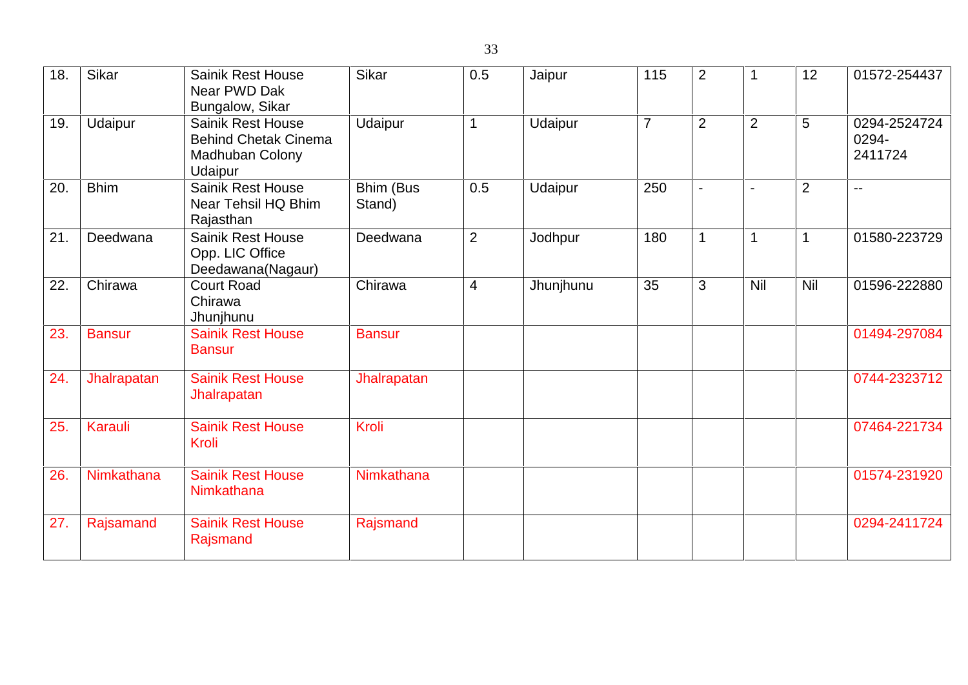| 18. | Sikar         | <b>Sainik Rest House</b><br>Near PWD Dak<br>Bungalow, Sikar                           | Sikar               | 0.5            | Jaipur    | 115            | $\overline{2}$ | 1              | 12             | 01572-254437                     |
|-----|---------------|---------------------------------------------------------------------------------------|---------------------|----------------|-----------|----------------|----------------|----------------|----------------|----------------------------------|
| 19. | Udaipur       | <b>Sainik Rest House</b><br><b>Behind Chetak Cinema</b><br>Madhuban Colony<br>Udaipur | Udaipur             | 1              | Udaipur   | $\overline{7}$ | $\overline{2}$ | $\overline{2}$ | 5              | 0294-2524724<br>0294-<br>2411724 |
| 20. | <b>Bhim</b>   | <b>Sainik Rest House</b><br>Near Tehsil HQ Bhim<br>Rajasthan                          | Bhim (Bus<br>Stand) | 0.5            | Udaipur   | 250            | $\blacksquare$ | $\blacksquare$ | $\overline{2}$ | $\overline{\phantom{a}}$         |
| 21  | Deedwana      | <b>Sainik Rest House</b><br>Opp. LIC Office<br>Deedawana(Nagaur)                      | Deedwana            | 2              | Jodhpur   | 180            | 1              | $\mathbf{1}$   | $\mathbf 1$    | 01580-223729                     |
| 22. | Chirawa       | <b>Court Road</b><br>Chirawa<br>Jhunjhunu                                             | Chirawa             | $\overline{4}$ | Jhunjhunu | 35             | 3              | <b>Nil</b>     | Nil            | 01596-222880                     |
| 23. | <b>Bansur</b> | <b>Sainik Rest House</b><br><b>Bansur</b>                                             | <b>Bansur</b>       |                |           |                |                |                |                | 01494-297084                     |
| 24. | Jhalrapatan   | <b>Sainik Rest House</b><br>Jhalrapatan                                               | Jhalrapatan         |                |           |                |                |                |                | 0744-2323712                     |
| 25. | Karauli       | <b>Sainik Rest House</b><br>Kroli                                                     | Kroli               |                |           |                |                |                |                | 07464-221734                     |
| 26. | Nimkathana    | <b>Sainik Rest House</b><br>Nimkathana                                                | Nimkathana          |                |           |                |                |                |                | 01574-231920                     |
| 27. | Rajsamand     | <b>Sainik Rest House</b><br>Rajsmand                                                  | Rajsmand            |                |           |                |                |                |                | 0294-2411724                     |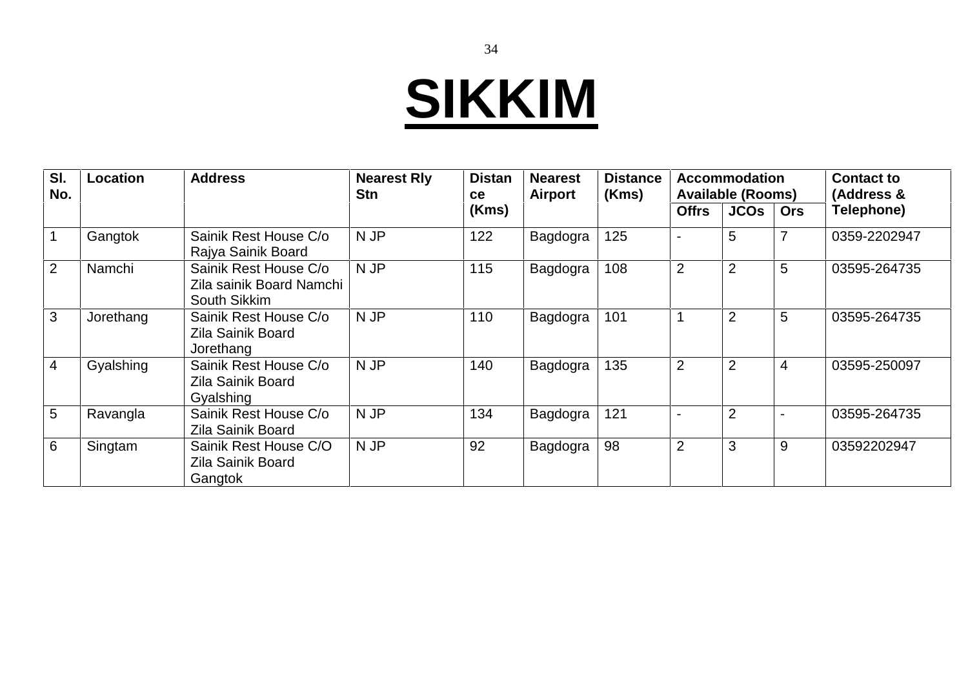# **SIKKIM**

| SI.<br>No.      | <b>Location</b> | <b>Address</b>                                                    | <b>Nearest Rly</b><br><b>Stn</b> | <b>Distan</b><br><b>ce</b> | <b>Nearest</b><br>Airport | <b>Distance</b><br>(Kms) | <b>Accommodation</b><br><b>Available (Rooms)</b> |                |                | <b>Contact to</b><br>(Address & |
|-----------------|-----------------|-------------------------------------------------------------------|----------------------------------|----------------------------|---------------------------|--------------------------|--------------------------------------------------|----------------|----------------|---------------------------------|
|                 |                 |                                                                   |                                  | (Kms)                      |                           |                          | <b>Offrs</b>                                     | <b>JCOS</b>    | <b>Ors</b>     | Telephone)                      |
| $\overline{1}$  | Gangtok         | Sainik Rest House C/o<br>Rajya Sainik Board                       | N JP                             | 122                        | Bagdogra                  | 125                      |                                                  | 5              |                | 0359-2202947                    |
| 2               | Namchi          | Sainik Rest House C/o<br>Zila sainik Board Namchi<br>South Sikkim | N JP                             | 115                        | Bagdogra                  | 108                      | $\overline{2}$                                   | $\overline{2}$ | 5              | 03595-264735                    |
| $\overline{3}$  | Jorethang       | Sainik Rest House C/o<br>Zila Sainik Board<br>Jorethang           | N JP                             | 110                        | Bagdogra                  | 101                      |                                                  | $\overline{2}$ | 5              | 03595-264735                    |
| $\overline{4}$  | Gyalshing       | Sainik Rest House C/o<br>Zila Sainik Board<br>Gyalshing           | N JP                             | 140                        | Bagdogra                  | 135                      | $\overline{2}$                                   | $\overline{2}$ | $\overline{4}$ | 03595-250097                    |
| $5\overline{)}$ | Ravangla        | Sainik Rest House C/o<br>Zila Sainik Board                        | N JP                             | 134                        | Bagdogra                  | 121                      |                                                  | $\overline{2}$ |                | 03595-264735                    |
| 6               | Singtam         | Sainik Rest House C/O<br>Zila Sainik Board<br>Gangtok             | N JP                             | 92                         | Bagdogra                  | 98                       | $\overline{2}$                                   | 3              | 9              | 03592202947                     |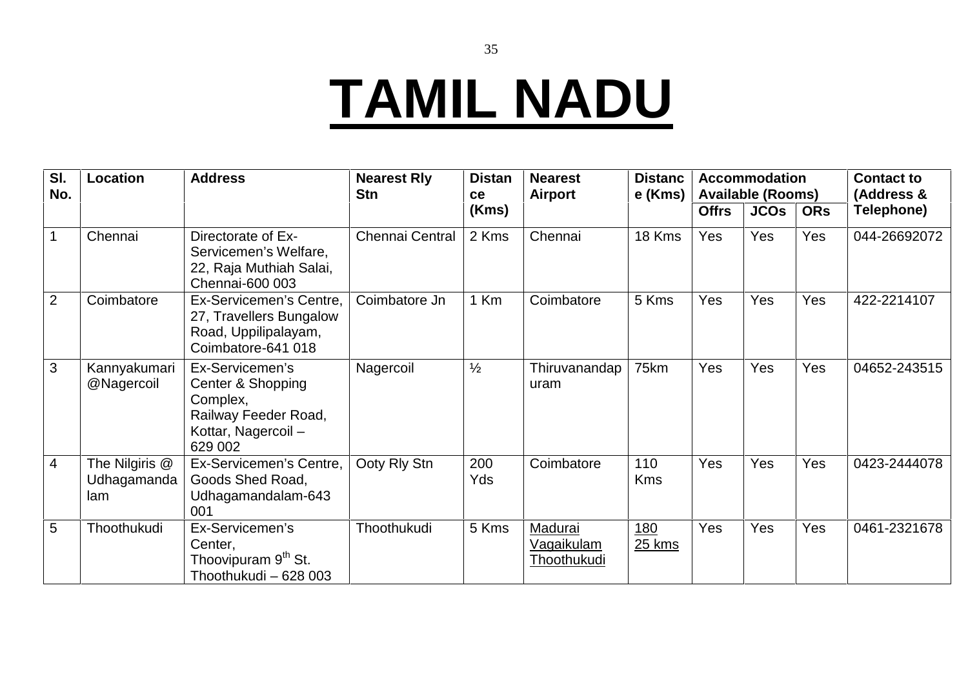## **TAMIL NADU**

| SI.<br>No.     | Location                             | <b>Address</b>                                                                                            | <b>Nearest Rly</b><br><b>Stn</b> | <b>Distan</b><br>ce | <b>Nearest</b><br>Airport            |                   |              | <b>Accommodation</b><br><b>Available (Rooms)</b> |            | <b>Contact to</b><br>(Address & |
|----------------|--------------------------------------|-----------------------------------------------------------------------------------------------------------|----------------------------------|---------------------|--------------------------------------|-------------------|--------------|--------------------------------------------------|------------|---------------------------------|
|                |                                      |                                                                                                           |                                  | (Kms)               |                                      |                   | <b>Offrs</b> | <b>JCOS</b>                                      | <b>ORs</b> | Telephone)                      |
| $\mathbf{1}$   | Chennai                              | Directorate of Ex-<br>Servicemen's Welfare,<br>22, Raja Muthiah Salai,<br>Chennai-600 003                 | <b>Chennai Central</b>           | 2 Kms               | Chennai                              | 18 Kms            | <b>Yes</b>   | Yes                                              | Yes        | 044-26692072                    |
| 2              | Coimbatore                           | Ex-Servicemen's Centre,<br>27, Travellers Bungalow<br>Road, Uppilipalayam,<br>Coimbatore-641 018          | Coimbatore Jn                    | 1 Km                | Coimbatore                           | 5 Kms             | Yes          | Yes                                              | Yes        | 422-2214107                     |
| 3              | Kannyakumari<br>@Nagercoil           | Ex-Servicemen's<br>Center & Shopping<br>Complex,<br>Railway Feeder Road,<br>Kottar, Nagercoil-<br>629 002 | Nagercoil                        | $\frac{1}{2}$       | Thiruvanandap<br>uram                | 75km              | Yes          | Yes                                              | Yes        | 04652-243515                    |
| $\overline{4}$ | The Nilgiris @<br>Udhagamanda<br>lam | Ex-Servicemen's Centre,<br>Goods Shed Road,<br>Udhagamandalam-643<br>001                                  | Ooty Rly Stn                     | 200<br>Yds          | Coimbatore                           | 110<br><b>Kms</b> | Yes          | Yes                                              | Yes        | 0423-2444078                    |
| 5              | Thoothukudi                          | Ex-Servicemen's<br>Center,<br>Thoovipuram 9 <sup>th</sup> St.<br>Thoothukudi - 628 003                    | Thoothukudi                      | 5 Kms               | Madurai<br>Vagaikulam<br>Thoothukudi | 180<br>25 kms     | Yes          | Yes                                              | Yes        | 0461-2321678                    |

35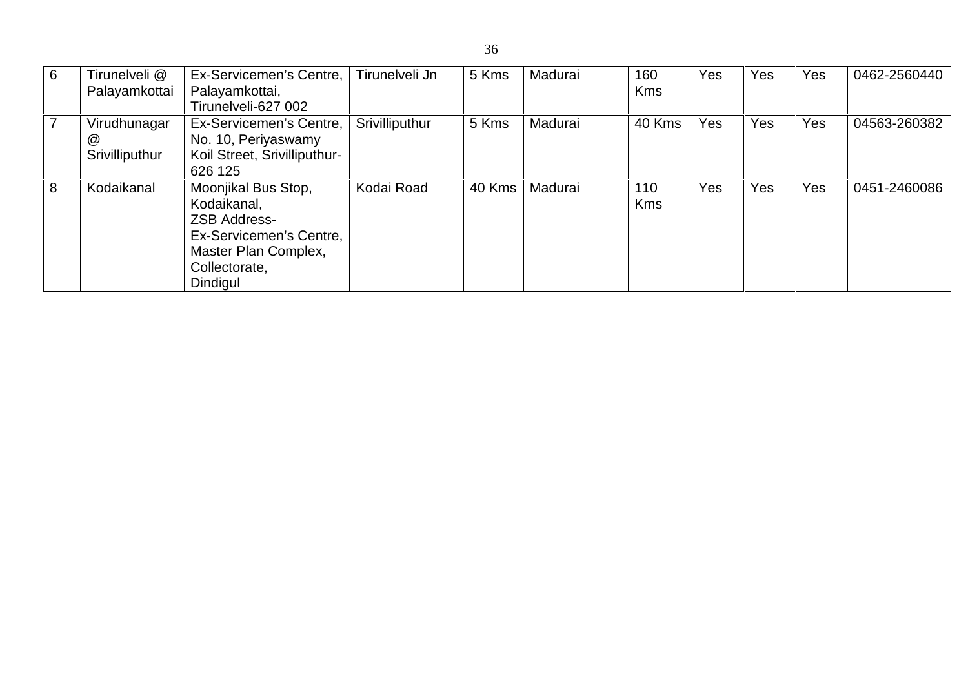| 6              | Tirunelveli @<br>Palayamkottai      | Ex-Servicemen's Centre,<br>Palayamkottai,<br>Tirunelveli-627 002                                                                          | Tirunelveli Jn | 5 Kms  | Madurai | 160<br><b>Kms</b> | Yes | Yes | Yes | 0462-2560440 |
|----------------|-------------------------------------|-------------------------------------------------------------------------------------------------------------------------------------------|----------------|--------|---------|-------------------|-----|-----|-----|--------------|
| $\overline{7}$ | Virudhunagar<br>@<br>Srivilliputhur | Ex-Servicemen's Centre,<br>No. 10, Periyaswamy<br>Koil Street, Srivilliputhur-<br>626 125                                                 | Srivilliputhur | 5 Kms  | Madurai | 40 Kms            | Yes | Yes | Yes | 04563-260382 |
| 8              | Kodaikanal                          | Moonjikal Bus Stop,<br>Kodaikanal,<br><b>ZSB Address-</b><br>Ex-Servicemen's Centre,<br>Master Plan Complex,<br>Collectorate,<br>Dindigul | Kodai Road     | 40 Kms | Madurai | 110<br><b>Kms</b> | Yes | Yes | Yes | 0451-2460086 |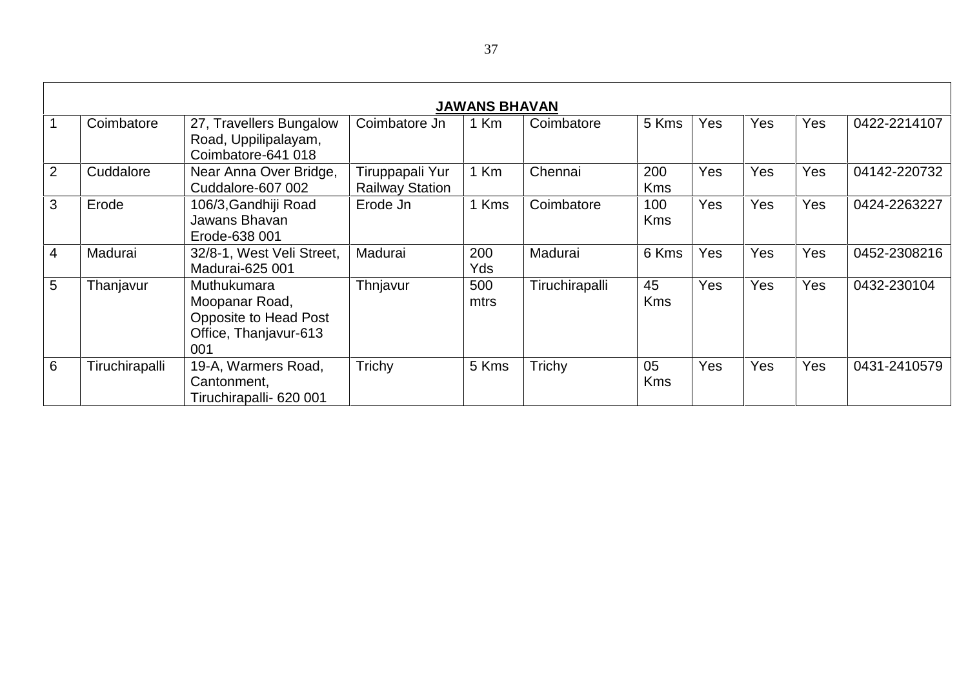|                |                |                                                                                        |                                           | <b>JAWANS BHAVAN</b> |                |                   |            |     |     |              |
|----------------|----------------|----------------------------------------------------------------------------------------|-------------------------------------------|----------------------|----------------|-------------------|------------|-----|-----|--------------|
|                | Coimbatore     | 27, Travellers Bungalow<br>Road, Uppilipalayam,<br>Coimbatore-641 018                  | Coimbatore Jn                             | 1 Km                 | Coimbatore     | 5 Kms             | <b>Yes</b> | Yes | Yes | 0422-2214107 |
| $\overline{2}$ | Cuddalore      | Near Anna Over Bridge,<br>Cuddalore-607 002                                            | Tiruppapali Yur<br><b>Railway Station</b> | 1 Km                 | Chennai        | 200<br><b>Kms</b> | <b>Yes</b> | Yes | Yes | 04142-220732 |
| 3              | Erode          | 106/3, Gandhiji Road<br>Jawans Bhavan<br>Erode-638 001                                 | Erode Jn                                  | Kms                  | Coimbatore     | 100<br><b>Kms</b> | <b>Yes</b> | Yes | Yes | 0424-2263227 |
| 4              | Madurai        | 32/8-1, West Veli Street,<br>Madurai-625 001                                           | Madurai                                   | 200<br>Yds           | Madurai        | 6 Kms             | Yes        | Yes | Yes | 0452-2308216 |
| 5              | Thanjavur      | Muthukumara<br>Moopanar Road,<br>Opposite to Head Post<br>Office, Thanjavur-613<br>001 | Thnjavur                                  | 500<br>mtrs          | Tiruchirapalli | 45<br><b>Kms</b>  | Yes        | Yes | Yes | 0432-230104  |
| 6              | Tiruchirapalli | 19-A, Warmers Road,<br>Cantonment,<br>Tiruchirapalli- 620 001                          | Trichy                                    | 5 Kms                | Trichy         | 05<br><b>Kms</b>  | <b>Yes</b> | Yes | Yes | 0431-2410579 |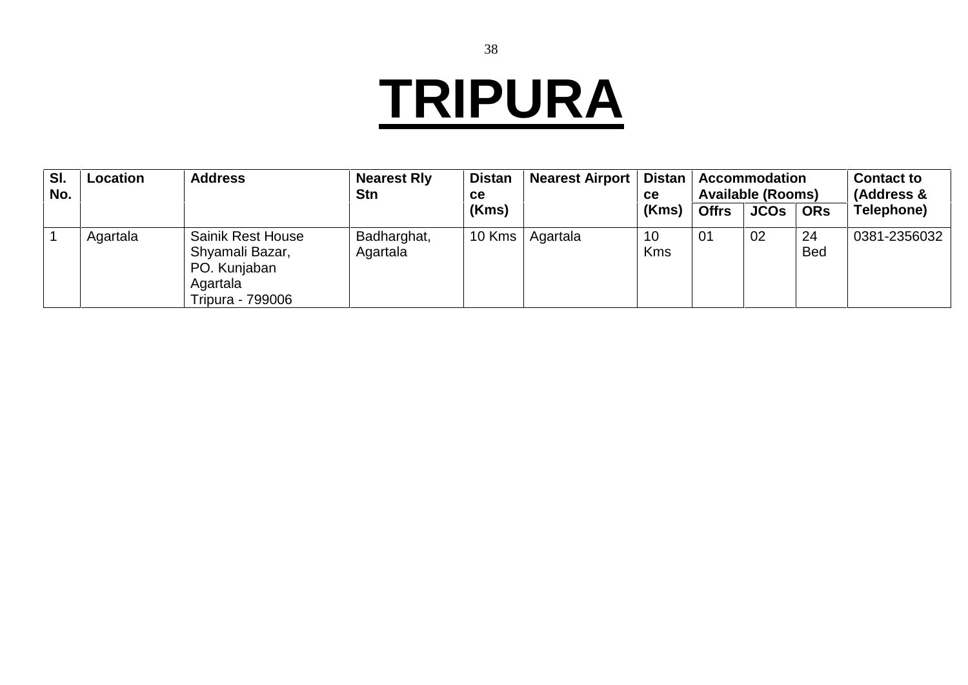## **TRIPURA**

| SI.<br>No. | Location | <b>Address</b>                                                                              | <b>Nearest Rly</b><br><b>Stn</b> | <b>Distan</b><br><b>ce</b> | <b>Nearest Airport</b> | <b>Distan</b><br>ce |              | <b>Accommodation</b><br><b>Available (Rooms)</b> |                  | <b>Contact to</b><br>(Address & |
|------------|----------|---------------------------------------------------------------------------------------------|----------------------------------|----------------------------|------------------------|---------------------|--------------|--------------------------------------------------|------------------|---------------------------------|
|            |          |                                                                                             |                                  | (Kms)                      |                        | (Kms)               | <b>Offrs</b> | <b>JCOs</b>                                      | <b>ORs</b>       | Telephone)                      |
|            | Agartala | <b>Sainik Rest House</b><br>Shyamali Bazar,<br>PO. Kunjaban<br>Agartala<br>Tripura - 799006 | Badharghat,<br>Agartala          | 10 Kms $ $                 | Agartala               | 10<br><b>Kms</b>    | 01           | 02                                               | 24<br><b>Bed</b> | 0381-2356032                    |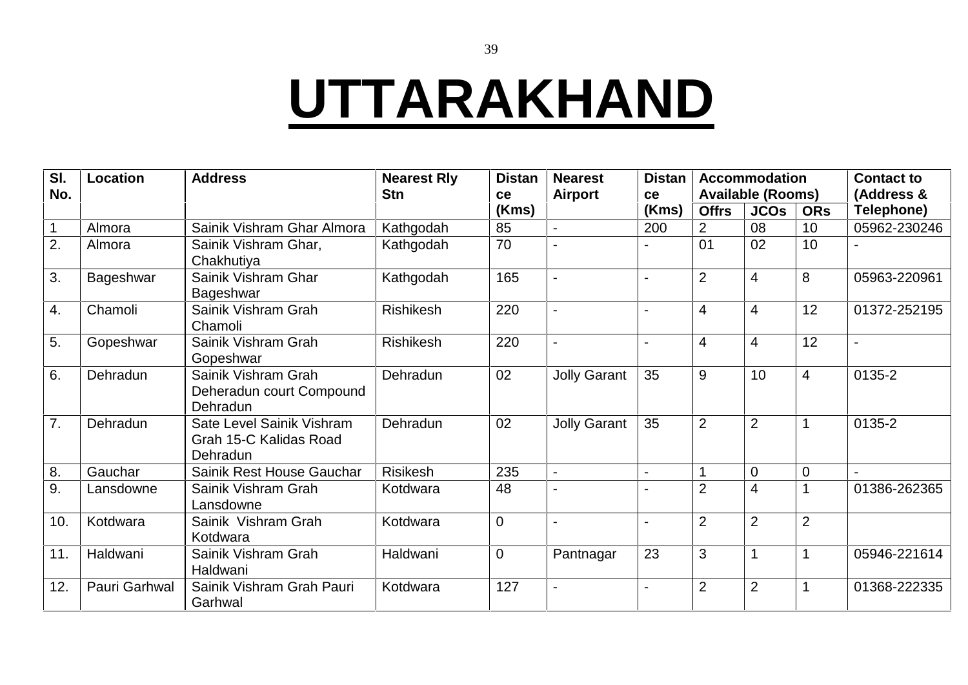#### **UTTARAKHAND**

| SI.<br>No.   | Location      | <b>Address</b>                                                  | <b>Nearest Rly</b><br><b>Stn</b> | <b>Distan</b><br>ce | <b>Nearest</b><br><b>Airport</b> | <b>Distan</b><br>ce |                | <b>Accommodation</b><br><b>Available (Rooms)</b> |                | <b>Contact to</b><br>(Address & |
|--------------|---------------|-----------------------------------------------------------------|----------------------------------|---------------------|----------------------------------|---------------------|----------------|--------------------------------------------------|----------------|---------------------------------|
|              |               |                                                                 |                                  | (Kms)               |                                  | (Kms)               | <b>Offrs</b>   | <b>JCOs</b>                                      | <b>ORs</b>     | Telephone)                      |
| $\mathbf{1}$ | Almora        | Sainik Vishram Ghar Almora                                      | Kathgodah                        | 85                  | $\overline{a}$                   | 200                 | $\overline{2}$ | 08                                               | 10             | 05962-230246                    |
| 2.           | Almora        | Sainik Vishram Ghar,<br>Chakhutiya                              | Kathgodah                        | 70                  |                                  |                     | 01             | 02                                               | 10             |                                 |
| 3.           | Bageshwar     | Sainik Vishram Ghar<br>Bageshwar                                | Kathgodah                        | 165                 |                                  |                     | $\overline{2}$ | 4                                                | 8              | 05963-220961                    |
| 4.           | Chamoli       | Sainik Vishram Grah<br>Chamoli                                  | <b>Rishikesh</b>                 | 220                 | $\blacksquare$                   |                     | $\overline{4}$ | 4                                                | 12             | 01372-252195                    |
| 5.           | Gopeshwar     | Sainik Vishram Grah<br>Gopeshwar                                | Rishikesh                        | 220                 |                                  |                     | $\overline{4}$ | 4                                                | 12             |                                 |
| 6.           | Dehradun      | Sainik Vishram Grah<br>Deheradun court Compound<br>Dehradun     | Dehradun                         | 02                  | <b>Jolly Garant</b>              | 35                  | 9              | 10                                               | $\overline{4}$ | 0135-2                          |
| 7.           | Dehradun      | Sate Level Sainik Vishram<br>Grah 15-C Kalidas Road<br>Dehradun | Dehradun                         | 02                  | <b>Jolly Garant</b>              | 35                  | $\overline{2}$ | $\overline{2}$                                   |                | 0135-2                          |
| 8.           | Gauchar       | Sainik Rest House Gauchar                                       | Risikesh                         | 235                 | $\blacksquare$                   |                     |                | $\overline{0}$                                   | $\Omega$       |                                 |
| 9.           | Lansdowne     | Sainik Vishram Grah<br>Lansdowne                                | Kotdwara                         | 48                  |                                  |                     | $\overline{2}$ | 4                                                |                | 01386-262365                    |
| 10.          | Kotdwara      | Sainik Vishram Grah<br>Kotdwara                                 | Kotdwara                         | $\overline{0}$      |                                  |                     | $\overline{2}$ | $\overline{2}$                                   | $\overline{2}$ |                                 |
| 11.          | Haldwani      | Sainik Vishram Grah<br>Haldwani                                 | Haldwani                         | $\mathbf 0$         | Pantnagar                        | 23                  | 3              |                                                  |                | 05946-221614                    |
| 12.          | Pauri Garhwal | Sainik Vishram Grah Pauri<br>Garhwal                            | Kotdwara                         | 127                 |                                  |                     | $\overline{2}$ | $\overline{2}$                                   |                | 01368-222335                    |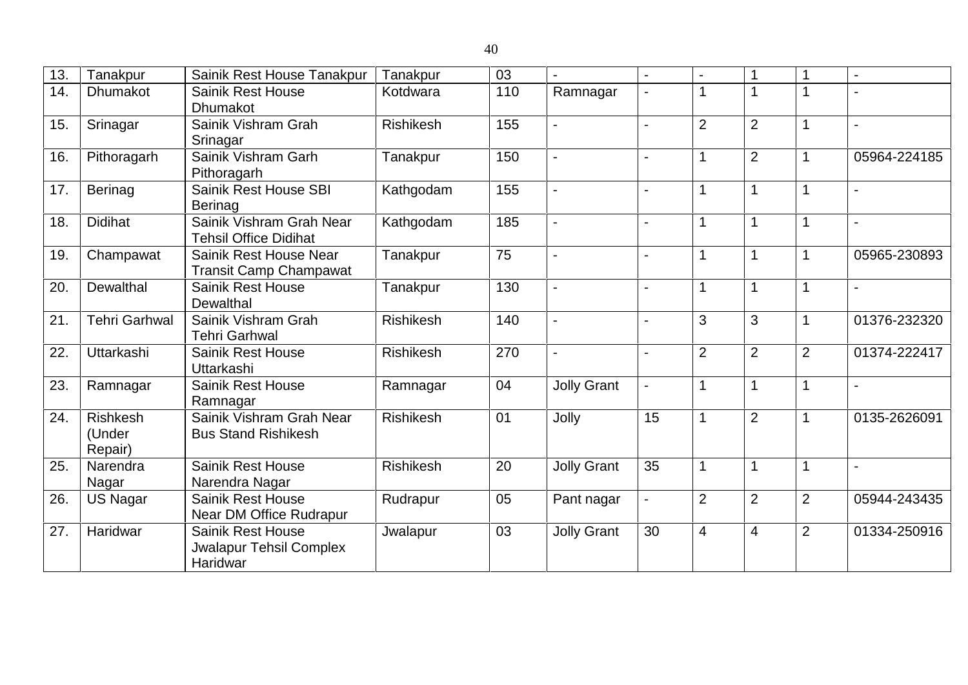| 13. | Tanakpur                             | Sainik Rest House Tanakpur                                             | Tanakpur         | 03  | $\overline{a}$     | $\overline{a}$           |                |                | 1              | $\blacksquare$           |
|-----|--------------------------------------|------------------------------------------------------------------------|------------------|-----|--------------------|--------------------------|----------------|----------------|----------------|--------------------------|
| 14. | Dhumakot                             | <b>Sainik Rest House</b><br><b>Dhumakot</b>                            | Kotdwara         | 110 | Ramnagar           |                          |                |                |                |                          |
| 15. | Srinagar                             | Sainik Vishram Grah<br>Srinagar                                        | <b>Rishikesh</b> | 155 |                    |                          | $\overline{2}$ | $\overline{2}$ | 1              | $\overline{\phantom{a}}$ |
| 16. | Pithoragarh                          | Sainik Vishram Garh<br>Pithoragarh                                     | Tanakpur         | 150 | $\overline{a}$     | $\blacksquare$           | 1              | $\overline{2}$ | 1              | 05964-224185             |
| 17. | <b>Berinag</b>                       | Sainik Rest House SBI<br><b>Berinag</b>                                | Kathgodam        | 155 | $\blacksquare$     | $\overline{\phantom{0}}$ |                |                |                | $\blacksquare$           |
| 18. | <b>Didihat</b>                       | Sainik Vishram Grah Near<br><b>Tehsil Office Didihat</b>               | Kathgodam        | 185 | $\overline{a}$     |                          | 1              |                |                | $\overline{\phantom{a}}$ |
| 19. | Champawat                            | Sainik Rest House Near<br><b>Transit Camp Champawat</b>                | Tanakpur         | 75  |                    |                          | 1              |                | 1              | 05965-230893             |
| 20  | Dewalthal                            | <b>Sainik Rest House</b><br>Dewalthal                                  | Tanakpur         | 130 |                    |                          | 1              | 1              | 1              | $\overline{\phantom{a}}$ |
| 21. | <b>Tehri Garhwal</b>                 | Sainik Vishram Grah<br><b>Tehri Garhwal</b>                            | <b>Rishikesh</b> | 140 | $\blacksquare$     | $\overline{a}$           | 3              | 3              | 1              | 01376-232320             |
| 22. | Uttarkashi                           | <b>Sainik Rest House</b><br>Uttarkashi                                 | <b>Rishikesh</b> | 270 | $\overline{a}$     | $\blacksquare$           | $\overline{2}$ | $\overline{2}$ | $\overline{2}$ | 01374-222417             |
| 23. | Ramnagar                             | <b>Sainik Rest House</b><br>Ramnagar                                   | Ramnagar         | 04  | <b>Jolly Grant</b> | $\overline{a}$           | 1              |                | 1              | $\overline{\phantom{a}}$ |
| 24. | <b>Rishkesh</b><br>(Under<br>Repair) | Sainik Vishram Grah Near<br><b>Bus Stand Rishikesh</b>                 | <b>Rishikesh</b> | 01  | Jolly              | $\overline{15}$          | 1              | $\overline{2}$ | 1              | 0135-2626091             |
| 25. | Narendra<br>Nagar                    | <b>Sainik Rest House</b><br>Narendra Nagar                             | Rishikesh        | 20  | <b>Jolly Grant</b> | 35                       |                |                | 1              | $\overline{\phantom{a}}$ |
| 26. | <b>US Nagar</b>                      | <b>Sainik Rest House</b><br>Near DM Office Rudrapur                    | Rudrapur         | 05  | Pant nagar         |                          | $\overline{2}$ | $\overline{2}$ | $\overline{2}$ | 05944-243435             |
| 27. | Haridwar                             | <b>Sainik Rest House</b><br><b>Jwalapur Tehsil Complex</b><br>Haridwar | Jwalapur         | 03  | <b>Jolly Grant</b> | 30                       | $\overline{4}$ | $\overline{4}$ | $\overline{2}$ | 01334-250916             |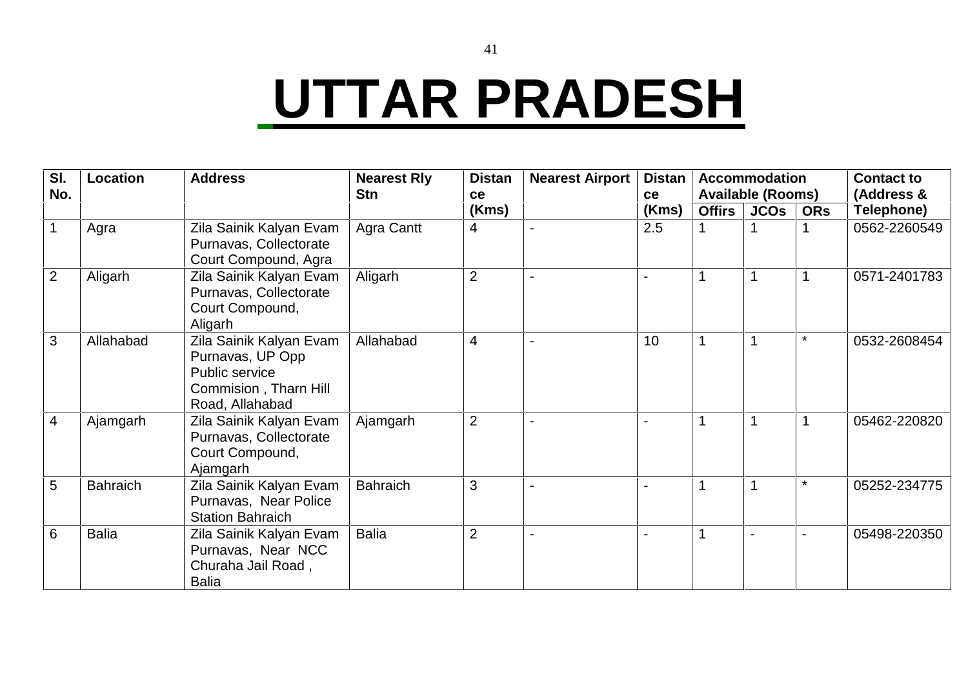# **UTTAR PRADESH**

| SI.<br>No.     | <b>Location</b> | <b>Address</b>                                                                                            | <b>Nearest Rly</b><br><b>Stn</b> | <b>Distan</b><br>ce | <b>Nearest Airport</b> | <b>Distan</b><br><b>ce</b> |               | <b>Accommodation</b><br><b>Available (Rooms)</b> |            | <b>Contact to</b><br>(Address & |
|----------------|-----------------|-----------------------------------------------------------------------------------------------------------|----------------------------------|---------------------|------------------------|----------------------------|---------------|--------------------------------------------------|------------|---------------------------------|
|                |                 |                                                                                                           |                                  | (Kms)               |                        | (Kms)                      | <b>Offirs</b> | JCOs                                             | <b>ORs</b> | Telephone)                      |
|                | Agra            | Zila Sainik Kalyan Evam<br>Purnavas, Collectorate<br>Court Compound, Agra                                 | Agra Cantt                       | 4                   |                        | 2.5                        |               |                                                  |            | 0562-2260549                    |
| 2              | Aligarh         | Zila Sainik Kalyan Evam<br>Purnavas, Collectorate<br>Court Compound,<br>Aligarh                           | Aligarh                          | $\overline{2}$      |                        |                            | 1             |                                                  |            | 0571-2401783                    |
| 3              | Allahabad       | Zila Sainik Kalyan Evam<br>Purnavas, UP Opp<br>Public service<br>Commision, Tharn Hill<br>Road, Allahabad | Allahabad                        | $\overline{4}$      |                        | 10                         |               |                                                  | $\star$    | 0532-2608454                    |
| $\overline{4}$ | Ajamgarh        | Zila Sainik Kalyan Evam<br>Purnavas, Collectorate<br>Court Compound,<br>Ajamgarh                          | Ajamgarh                         | $\overline{2}$      |                        |                            |               |                                                  |            | 05462-220820                    |
| 5              | <b>Bahraich</b> | Zila Sainik Kalyan Evam<br>Purnavas, Near Police<br><b>Station Bahraich</b>                               | <b>Bahraich</b>                  | 3                   |                        |                            |               |                                                  | $\star$    | 05252-234775                    |
| 6              | <b>Balia</b>    | Zila Sainik Kalyan Evam<br>Purnavas, Near NCC<br>Churaha Jail Road,<br>Balia                              | <b>Balia</b>                     | $\overline{2}$      |                        |                            | 1             |                                                  |            | 05498-220350                    |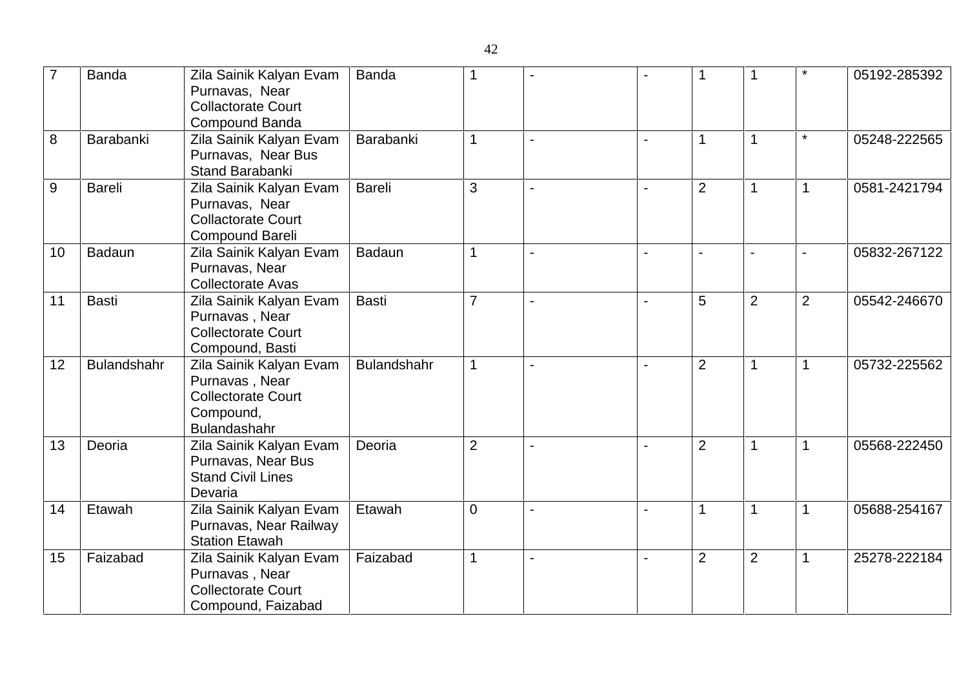| $\overline{7}$ | <b>Banda</b>  | Zila Sainik Kalyan Evam<br>Purnavas, Near<br><b>Collactorate Court</b><br>Compound Banda                   | <b>Banda</b>       |                |                | 1              | -1             | $\ast$         | 05192-285392 |
|----------------|---------------|------------------------------------------------------------------------------------------------------------|--------------------|----------------|----------------|----------------|----------------|----------------|--------------|
| 8              | Barabanki     | Zila Sainik Kalyan Evam<br>Purnavas, Near Bus<br>Stand Barabanki                                           | Barabanki          | 1              |                | 1              |                | $\star$        | 05248-222565 |
| 9              | <b>Bareli</b> | Zila Sainik Kalyan Evam<br>Purnavas, Near<br><b>Collactorate Court</b><br><b>Compound Bareli</b>           | <b>Bareli</b>      | 3              | $\blacksquare$ | $\overline{2}$ | $\mathbf 1$    | $\mathbf 1$    | 0581-2421794 |
| 10             | Badaun        | Zila Sainik Kalyan Evam<br>Purnavas, Near<br><b>Collectorate Avas</b>                                      | <b>Badaun</b>      | $\mathbf{1}$   |                | $\blacksquare$ | $\blacksquare$ | $\blacksquare$ | 05832-267122 |
| 11             | <b>Basti</b>  | Zila Sainik Kalyan Evam<br>Purnavas, Near<br><b>Collectorate Court</b><br>Compound, Basti                  | <b>Basti</b>       | $\overline{7}$ |                | 5              | $\overline{2}$ | $\overline{2}$ | 05542-246670 |
| 12             | Bulandshahr   | Zila Sainik Kalyan Evam<br>Purnavas, Near<br><b>Collectorate Court</b><br>Compound,<br><b>Bulandashahr</b> | <b>Bulandshahr</b> | $\mathbf 1$    |                | $\overline{2}$ | $\mathbf 1$    | $\mathbf 1$    | 05732-225562 |
| 13             | Deoria        | Zila Sainik Kalyan Evam<br>Purnavas, Near Bus<br><b>Stand Civil Lines</b><br>Devaria                       | Deoria             | $\overline{2}$ |                | $\overline{2}$ | 1              | $\mathbf 1$    | 05568-222450 |
| 14             | Etawah        | Zila Sainik Kalyan Evam<br>Purnavas, Near Railway<br><b>Station Etawah</b>                                 | Etawah             | $\mathbf 0$    | $\overline{a}$ | $\mathbf 1$    | $\mathbf 1$    | $\mathbf 1$    | 05688-254167 |
| 15             | Faizabad      | Zila Sainik Kalyan Evam<br>Purnavas, Near<br><b>Collectorate Court</b><br>Compound, Faizabad               | Faizabad           | 1              |                | $\overline{2}$ | $\overline{2}$ | $\mathbf 1$    | 25278-222184 |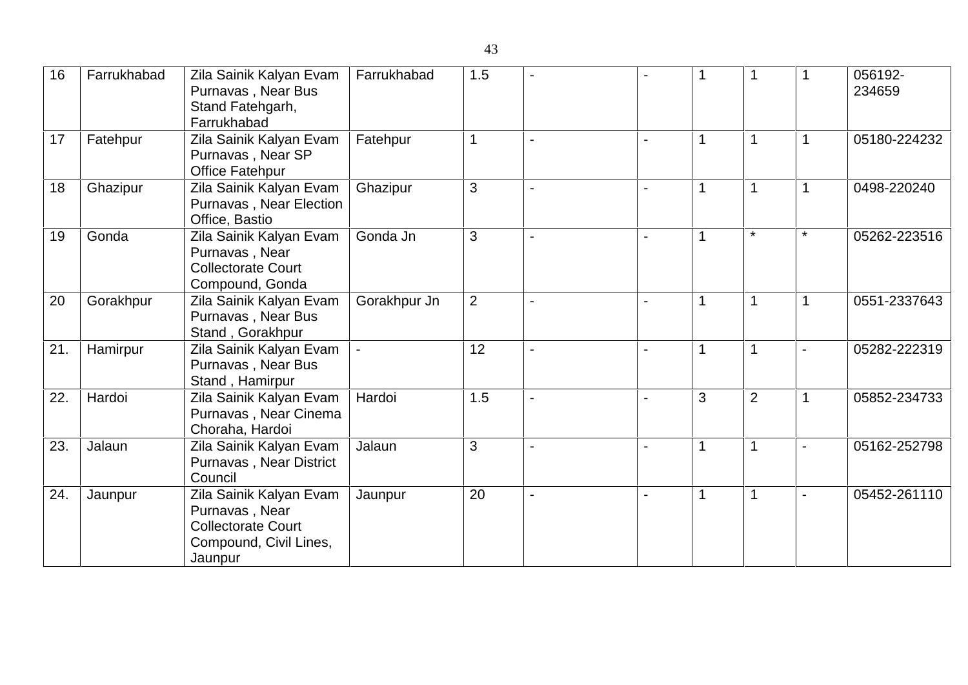| 16  | Farrukhabad | Zila Sainik Kalyan Evam<br>Purnavas, Near Bus<br>Stand Fatehgarh,<br>Farrukhabad                            | Farrukhabad  | 1.5            |                |   |                |                          | 056192-<br>234659 |
|-----|-------------|-------------------------------------------------------------------------------------------------------------|--------------|----------------|----------------|---|----------------|--------------------------|-------------------|
| 17  | Fatehpur    | Zila Sainik Kalyan Evam<br>Purnavas, Near SP<br><b>Office Fatehpur</b>                                      | Fatehpur     |                |                |   |                | $\overline{1}$           | 05180-224232      |
| 18  | Ghazipur    | Zila Sainik Kalyan Evam<br>Purnavas, Near Election<br>Office, Bastio                                        | Ghazipur     | 3              |                |   |                |                          | 0498-220240       |
| 19  | Gonda       | Zila Sainik Kalyan Evam<br>Purnavas, Near<br><b>Collectorate Court</b><br>Compound, Gonda                   | Gonda Jn     | 3              |                |   | $\star$        | $\star$                  | 05262-223516      |
| 20  | Gorakhpur   | Zila Sainik Kalyan Evam<br>Purnavas, Near Bus<br>Stand, Gorakhpur                                           | Gorakhpur Jn | $\overline{2}$ |                | 1 | $\mathbf{1}$   | 1                        | 0551-2337643      |
| 21. | Hamirpur    | Zila Sainik Kalyan Evam<br>Purnavas, Near Bus<br>Stand, Hamirpur                                            |              | 12             | $\blacksquare$ |   |                | $\blacksquare$           | 05282-222319      |
| 22. | Hardoi      | Zila Sainik Kalyan Evam<br>Purnavas, Near Cinema<br>Choraha, Hardoi                                         | Hardoi       | 1.5            |                | 3 | $\overline{2}$ | $\overline{1}$           | 05852-234733      |
| 23. | Jalaun      | Zila Sainik Kalyan Evam<br>Purnavas, Near District<br>Council                                               | Jalaun       | 3              |                | 1 |                |                          | 05162-252798      |
| 24. | Jaunpur     | Zila Sainik Kalyan Evam<br>Purnavas, Near<br><b>Collectorate Court</b><br>Compound, Civil Lines,<br>Jaunpur | Jaunpur      | 20             |                | 1 |                | $\overline{\phantom{a}}$ | 05452-261110      |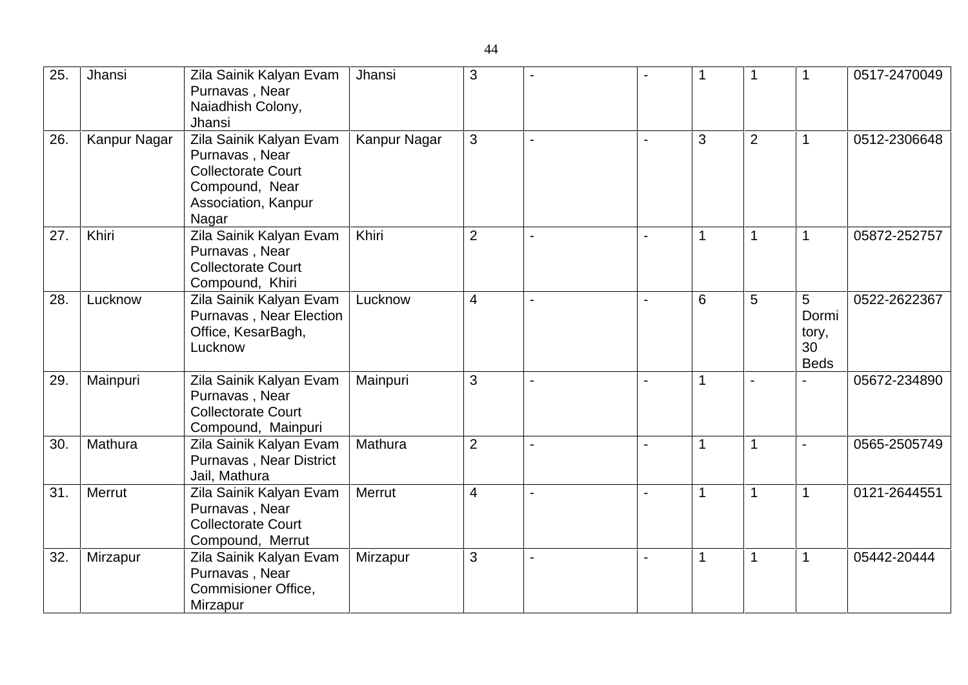| 25. | Jhansi       | Zila Sainik Kalyan Evam<br>Purnavas, Near<br>Naiadhish Colony,<br>Jhansi                                                 | Jhansi       | 3              |                | 1 | 1              | $\mathbf 1$                              | 0517-2470049 |
|-----|--------------|--------------------------------------------------------------------------------------------------------------------------|--------------|----------------|----------------|---|----------------|------------------------------------------|--------------|
| 26. | Kanpur Nagar | Zila Sainik Kalyan Evam<br>Purnavas, Near<br><b>Collectorate Court</b><br>Compound, Near<br>Association, Kanpur<br>Nagar | Kanpur Nagar | 3              |                | 3 | $\overline{2}$ | $\mathbf 1$                              | 0512-2306648 |
| 27. | Khiri        | Zila Sainik Kalyan Evam<br>Purnavas, Near<br><b>Collectorate Court</b><br>Compound, Khiri                                | Khiri        | 2              |                | 1 | $\mathbf{1}$   | $\mathbf 1$                              | 05872-252757 |
| 28. | Lucknow      | Zila Sainik Kalyan Evam<br>Purnavas, Near Election<br>Office, KesarBagh,<br>Lucknow                                      | Lucknow      | $\overline{4}$ |                | 6 | 5              | 5<br>Dormi<br>tory,<br>30<br><b>Beds</b> | 0522-2622367 |
| 29. | Mainpuri     | Zila Sainik Kalyan Evam<br>Purnavas, Near<br><b>Collectorate Court</b><br>Compound, Mainpuri                             | Mainpuri     | 3              |                | 1 |                |                                          | 05672-234890 |
| 30. | Mathura      | Zila Sainik Kalyan Evam<br>Purnavas, Near District<br>Jail, Mathura                                                      | Mathura      | 2              | $\blacksquare$ | 1 | $\mathbf 1$    | $\sim$                                   | 0565-2505749 |
| 31. | Merrut       | Zila Sainik Kalyan Evam<br>Purnavas, Near<br><b>Collectorate Court</b><br>Compound, Merrut                               | Merrut       | $\overline{4}$ | $\blacksquare$ |   | $\mathbf 1$    | $\mathbf 1$                              | 0121-2644551 |
| 32. | Mirzapur     | Zila Sainik Kalyan Evam<br>Purnavas, Near<br>Commisioner Office,<br>Mirzapur                                             | Mirzapur     | 3              |                |   | $\mathbf 1$    | 1                                        | 05442-20444  |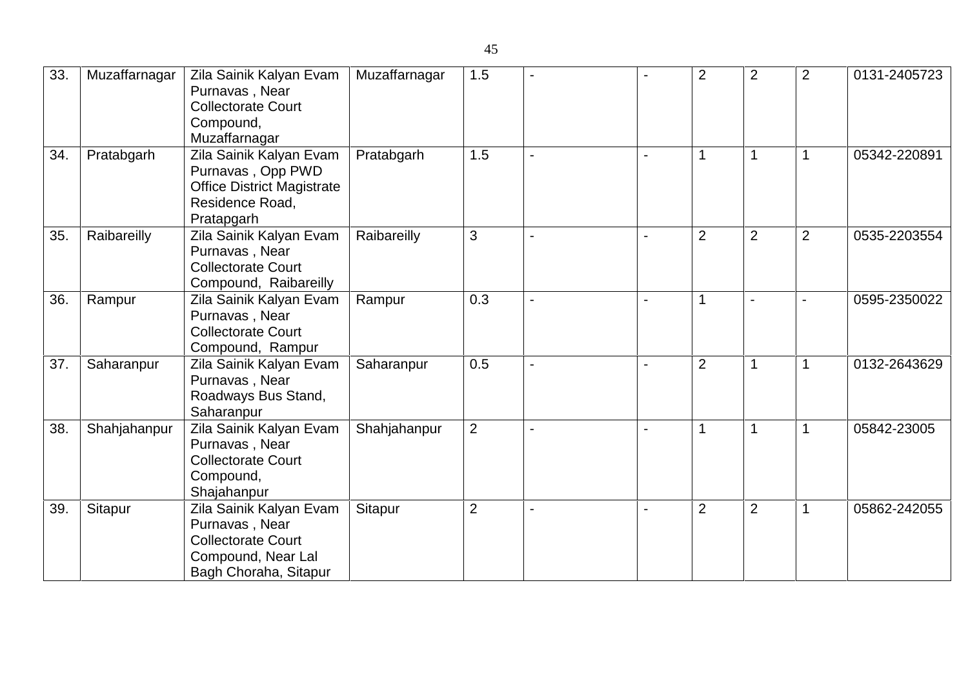| 33. | Muzaffarnagar | Zila Sainik Kalyan Evam<br>Purnavas, Near<br><b>Collectorate Court</b><br>Compound,<br>Muzaffarnagar                  | Muzaffarnagar | 1.5            |  | $\overline{2}$ | $\overline{2}$ | $\overline{2}$ | 0131-2405723 |
|-----|---------------|-----------------------------------------------------------------------------------------------------------------------|---------------|----------------|--|----------------|----------------|----------------|--------------|
| 34. | Pratabgarh    | Zila Sainik Kalyan Evam<br>Purnavas, Opp PWD<br><b>Office District Magistrate</b><br>Residence Road,<br>Pratapgarh    | Pratabgarh    | 1.5            |  | 1              | $\mathbf 1$    | $\mathbf 1$    | 05342-220891 |
| 35. | Raibareilly   | Zila Sainik Kalyan Evam<br>Purnavas, Near<br><b>Collectorate Court</b><br>Compound, Raibareilly                       | Raibareilly   | 3              |  | $\overline{2}$ | $\overline{2}$ | $\overline{2}$ | 0535-2203554 |
| 36. | Rampur        | Zila Sainik Kalyan Evam<br>Purnavas, Near<br><b>Collectorate Court</b><br>Compound, Rampur                            | Rampur        | 0.3            |  |                |                |                | 0595-2350022 |
| 37. | Saharanpur    | Zila Sainik Kalyan Evam<br>Purnavas, Near<br>Roadways Bus Stand,<br>Saharanpur                                        | Saharanpur    | 0.5            |  | $\overline{2}$ |                |                | 0132-2643629 |
| 38. | Shahjahanpur  | Zila Sainik Kalyan Evam<br>Purnavas, Near<br><b>Collectorate Court</b><br>Compound,<br>Shajahanpur                    | Shahjahanpur  | $\overline{2}$ |  | 1              | $\mathbf 1$    | $\mathbf 1$    | 05842-23005  |
| 39. | Sitapur       | Zila Sainik Kalyan Evam<br>Purnavas, Near<br><b>Collectorate Court</b><br>Compound, Near Lal<br>Bagh Choraha, Sitapur | Sitapur       | $\overline{2}$ |  | $\overline{2}$ | $\overline{2}$ |                | 05862-242055 |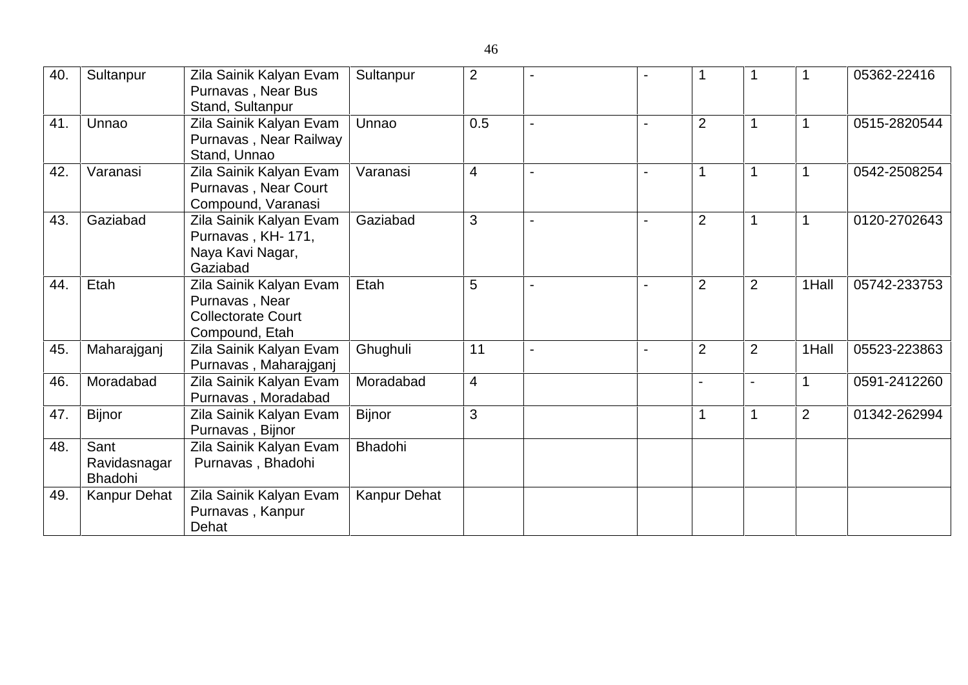| 40. | Sultanpur                       | Zila Sainik Kalyan Evam<br>Purnavas, Near Bus<br>Stand, Sultanpur                        | Sultanpur           | 2              |  |                |                | 1              | 05362-22416  |
|-----|---------------------------------|------------------------------------------------------------------------------------------|---------------------|----------------|--|----------------|----------------|----------------|--------------|
| 41. | Unnao                           | Zila Sainik Kalyan Evam<br>Purnavas, Near Railway<br>Stand, Unnao                        | Unnao               | 0.5            |  | $\overline{2}$ |                |                | 0515-2820544 |
| 42. | Varanasi                        | Zila Sainik Kalyan Evam<br>Purnavas, Near Court<br>Compound, Varanasi                    | Varanasi            | $\overline{4}$ |  | 1              |                | 1              | 0542-2508254 |
| 43. | Gaziabad                        | Zila Sainik Kalyan Evam<br>Purnavas, KH-171,<br>Naya Kavi Nagar,<br>Gaziabad             | Gaziabad            | 3              |  | $\overline{2}$ |                |                | 0120-2702643 |
| 44. | Etah                            | Zila Sainik Kalyan Evam<br>Purnavas, Near<br><b>Collectorate Court</b><br>Compound, Etah | Etah                | 5              |  | $\overline{2}$ | $\overline{2}$ | 1Hall          | 05742-233753 |
| 45. | Maharajganj                     | Zila Sainik Kalyan Evam<br>Purnavas, Maharajganj                                         | Ghughuli            | 11             |  | $\overline{2}$ | $\overline{2}$ | 1Hall          | 05523-223863 |
| 46. | Moradabad                       | Zila Sainik Kalyan Evam<br>Purnavas, Moradabad                                           | Moradabad           | $\overline{4}$ |  |                | $\blacksquare$ |                | 0591-2412260 |
| 47. | <b>Bijnor</b>                   | Zila Sainik Kalyan Evam<br>Purnavas, Bijnor                                              | <b>Bijnor</b>       | 3              |  |                |                | $\overline{2}$ | 01342-262994 |
| 48. | Sant<br>Ravidasnagar<br>Bhadohi | Zila Sainik Kalyan Evam<br>Purnavas, Bhadohi                                             | Bhadohi             |                |  |                |                |                |              |
| 49. | <b>Kanpur Dehat</b>             | Zila Sainik Kalyan Evam<br>Purnavas, Kanpur<br>Dehat                                     | <b>Kanpur Dehat</b> |                |  |                |                |                |              |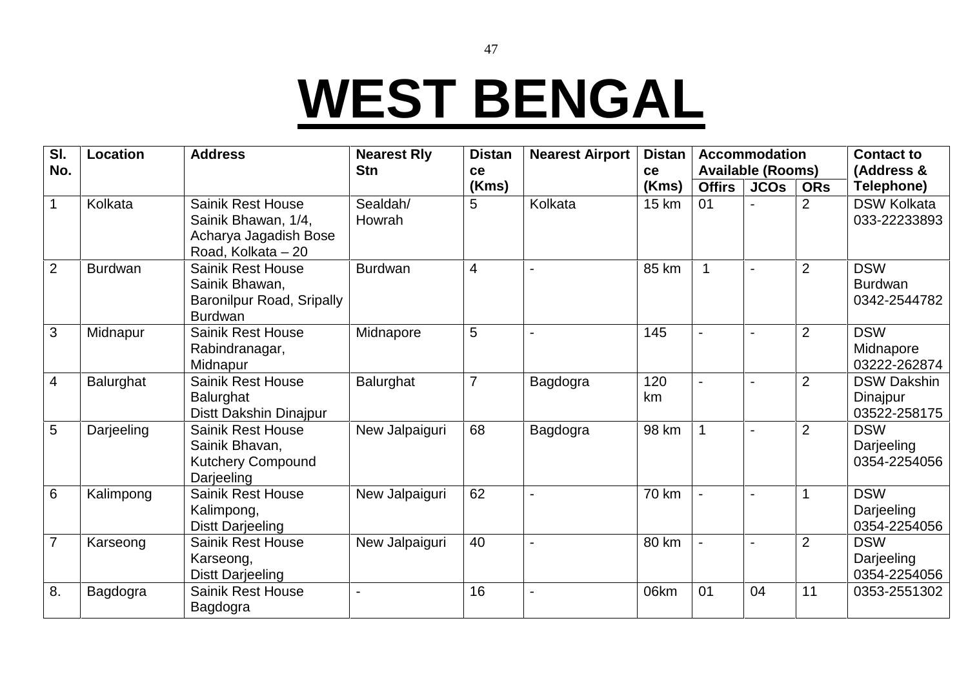# **WEST BENGAL**

| SI.<br>No.     | Location       | <b>Address</b>                                                                                 | <b>Nearest Rly</b><br><b>Stn</b><br>ce | <b>Distan</b><br><b>Nearest Airport</b><br>(Kms) | <b>Distan</b><br>ce | <b>Accommodation</b><br><b>Available (Rooms)</b> |               |             | <b>Contact to</b><br>(Address & |                                                |
|----------------|----------------|------------------------------------------------------------------------------------------------|----------------------------------------|--------------------------------------------------|---------------------|--------------------------------------------------|---------------|-------------|---------------------------------|------------------------------------------------|
|                |                |                                                                                                |                                        |                                                  |                     | (Kms)                                            | <b>Offirs</b> | <b>JCOS</b> | <b>ORs</b>                      | Telephone)                                     |
|                | Kolkata        | <b>Sainik Rest House</b><br>Sainik Bhawan, 1/4,<br>Acharya Jagadish Bose<br>Road, Kolkata - 20 | Sealdah/<br>Howrah                     | 5                                                | Kolkata             | 15 km                                            | 01            |             | $\overline{2}$                  | <b>DSW Kolkata</b><br>033-22233893             |
| $\overline{2}$ | <b>Burdwan</b> | <b>Sainik Rest House</b><br>Sainik Bhawan,<br>Baronilpur Road, Sripally<br><b>Burdwan</b>      | <b>Burdwan</b>                         | $\overline{4}$                                   |                     | 85 km                                            |               |             | 2                               | <b>DSW</b><br><b>Burdwan</b><br>0342-2544782   |
| 3              | Midnapur       | <b>Sainik Rest House</b><br>Rabindranagar,<br>Midnapur                                         | Midnapore                              | 5                                                |                     | 145                                              |               |             | 2                               | <b>DSW</b><br>Midnapore<br>03222-262874        |
| $\overline{4}$ | Balurghat      | <b>Sainik Rest House</b><br><b>Balurghat</b><br>Distt Dakshin Dinajpur                         | Balurghat                              | $\overline{7}$                                   | Bagdogra            | 120<br>km                                        |               |             | $\overline{2}$                  | <b>DSW Dakshin</b><br>Dinajpur<br>03522-258175 |
| 5              | Darjeeling     | Sainik Rest House<br>Sainik Bhavan,<br>Kutchery Compound<br>Darjeeling                         | New Jalpaiguri                         | 68                                               | Bagdogra            | 98 km                                            | $\mathbf 1$   |             | $\overline{2}$                  | <b>DSW</b><br>Darjeeling<br>0354-2254056       |
| $6\phantom{1}$ | Kalimpong      | <b>Sainik Rest House</b><br>Kalimpong,<br><b>Distt Darjeeling</b>                              | New Jalpaiguri                         | 62                                               |                     | 70 km                                            |               |             |                                 | <b>DSW</b><br>Darjeeling<br>0354-2254056       |
| $\overline{7}$ | Karseong       | <b>Sainik Rest House</b><br>Karseong,<br><b>Distt Darjeeling</b>                               | New Jalpaiguri                         | 40                                               |                     | 80 km                                            |               |             | $\overline{2}$                  | <b>DSW</b><br>Darjeeling<br>0354-2254056       |
| 8.             | Bagdogra       | <b>Sainik Rest House</b><br>Bagdogra                                                           |                                        | 16                                               | ۰                   | 06km                                             | 01            | 04          | 11                              | 0353-2551302                                   |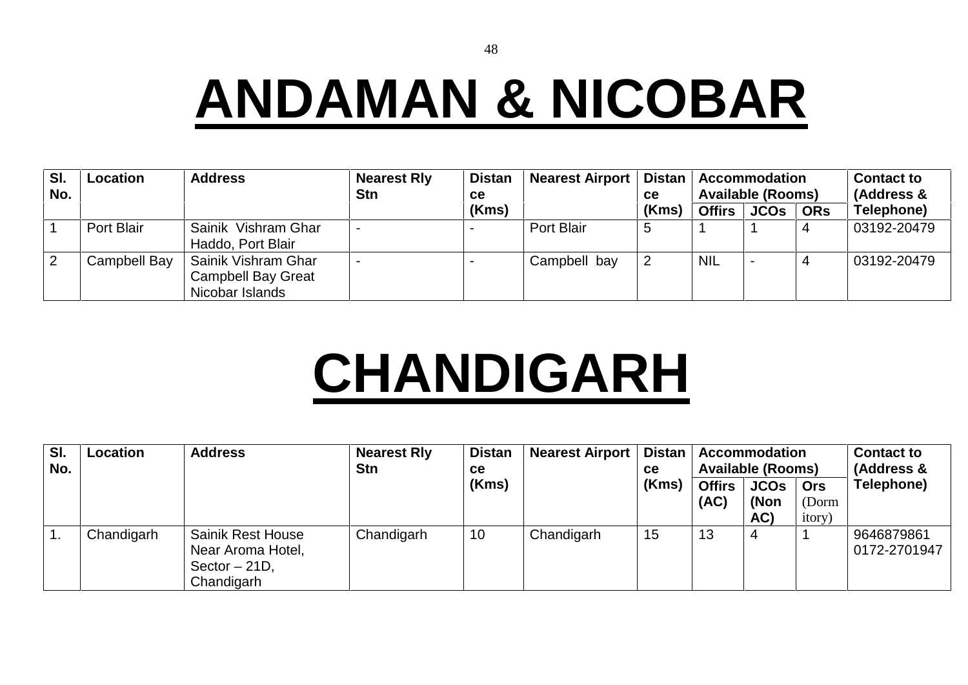48

# **ANDAMAN & NICOBAR**

| SI.<br>No. | <b>Location</b> | <b>Address</b>                                                      | <b>Nearest Rly</b><br><b>Stn</b> | <b>Distan</b><br><b>ce</b> | <b>Nearest Airport</b> | Distan<br>ce | <b>Accommodation</b><br><b>Available (Rooms)</b> |             |            | <b>Contact to</b><br>(Address & |  |
|------------|-----------------|---------------------------------------------------------------------|----------------------------------|----------------------------|------------------------|--------------|--------------------------------------------------|-------------|------------|---------------------------------|--|
|            |                 |                                                                     |                                  | (Kms)                      |                        | (Kms)        | <b>Offirs</b>                                    | <b>JCOs</b> | <b>ORs</b> | Telephone)                      |  |
|            | Port Blair      | Sainik Vishram Ghar<br>Haddo, Port Blair                            |                                  |                            | Port Blair             | .5           |                                                  |             |            | 03192-20479                     |  |
| 2          | Campbell Bay    | Sainik Vishram Ghar<br><b>Campbell Bay Great</b><br>Nicobar Islands |                                  |                            | Campbell bay           |              | <b>NIL</b>                                       |             |            | 03192-20479                     |  |

# **CHANDIGARH**

| SI.<br>No. | <b>Location</b> | <b>Address</b>                                                                 | <b>Nearest Rly</b><br><b>Stn</b> | <b>Distan</b><br><b>ce</b> | <b>Nearest Airport</b> | <b>Distan</b><br>ce | <b>Accommodation</b><br><b>Available (Rooms)</b> |                            |                                       | <b>Contact to</b><br>(Address & |  |
|------------|-----------------|--------------------------------------------------------------------------------|----------------------------------|----------------------------|------------------------|---------------------|--------------------------------------------------|----------------------------|---------------------------------------|---------------------------------|--|
|            |                 |                                                                                |                                  | (Kms)                      |                        | (Kms)               | <b>Offirs</b><br>(AC)                            | <b>JCOs</b><br>(Non<br>AC) | <b>Ors</b><br>(Dorm<br><i>itory</i> ) | Telephone)                      |  |
|            | Chandigarh      | <b>Sainik Rest House</b><br>Near Aroma Hotel,<br>Sector $-21D$ ,<br>Chandigarh | Chandigarh                       | 10                         | Chandigarh             | 15                  | 13                                               | 4                          |                                       | 9646879861<br>0172-2701947      |  |